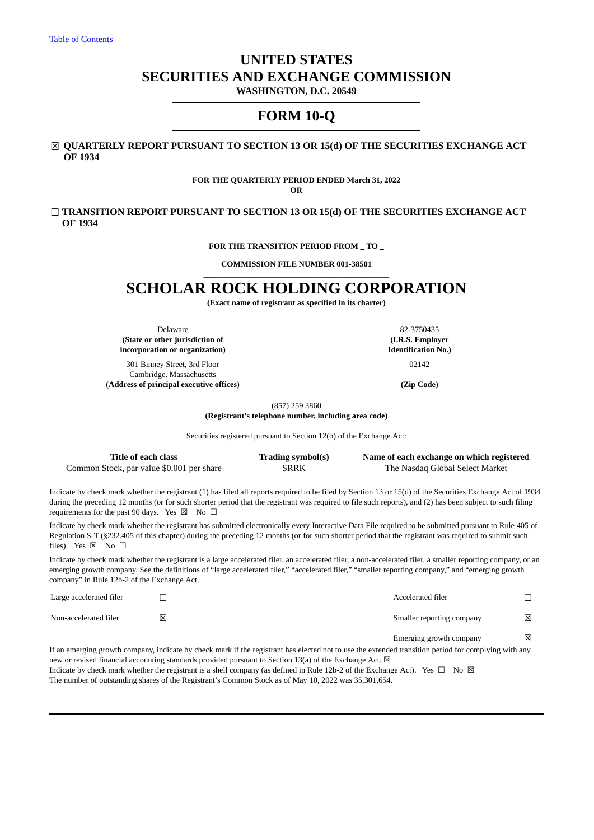# **UNITED STATES SECURITIES AND EXCHANGE COMMISSION**

**WASHINGTON, D.C. 20549**

# **FORM 10-Q**

# ☒ **QUARTERLY REPORT PURSUANT TO SECTION 13 OR 15(d) OF THE SECURITIES EXCHANGE ACT OF 1934**

**FOR THE QUARTERLY PERIOD ENDED March 31, 2022 OR**

☐ **TRANSITION REPORT PURSUANT TO SECTION 13 OR 15(d) OF THE SECURITIES EXCHANGE ACT OF 1934**

**FOR THE TRANSITION PERIOD FROM \_ TO \_**

**COMMISSION FILE NUMBER 001-38501** \_\_\_\_\_\_\_\_\_\_\_\_\_\_\_\_\_\_\_\_\_\_\_\_\_\_\_\_\_\_\_\_\_\_\_\_\_\_\_\_\_\_\_\_\_\_

# **SCHOLAR ROCK HOLDING CORPORATION**

**(Exact name of registrant as specified in its charter)**

Delaware 82-3750435 **(State or other jurisdiction of incorporation or organization)**

301 Binney Street, 3rd Floor Cambridge, Massachusetts **(Address of principal executive offices) (Zip Code)**

**(I.R.S. Employer Identification No.)**

02142

(857) 259 3860

**(Registrant's telephone number, including area code)**

Securities registered pursuant to Section 12(b) of the Exchange Act:

| Title of each class                       | Trading symbol(s) | Name of each exchange on which registered |
|-------------------------------------------|-------------------|-------------------------------------------|
| Common Stock, par value \$0.001 per share | SRRK              | The Nasdag Global Select Market           |

Indicate by check mark whether the registrant (1) has filed all reports required to be filed by Section 13 or 15(d) of the Securities Exchange Act of 1934 during the preceding 12 months (or for such shorter period that the registrant was required to file such reports), and (2) has been subject to such filing requirements for the past 90 days. Yes  $\boxtimes$  No  $\Box$ 

Indicate by check mark whether the registrant has submitted electronically every Interactive Data File required to be submitted pursuant to Rule 405 of Regulation S-T (§232.405 of this chapter) during the preceding 12 months (or for such shorter period that the registrant was required to submit such files). Yes  $\boxtimes$  No  $\square$ 

Indicate by check mark whether the registrant is a large accelerated filer, an accelerated filer, a non-accelerated filer, a smaller reporting company, or an emerging growth company. See the definitions of "large accelerated filer," "accelerated filer," "smaller reporting company," and "emerging growth company" in Rule 12b-2 of the Exchange Act.

| Large accelerated filer |                                                                                                                                                      | Accelerated filer         |   |
|-------------------------|------------------------------------------------------------------------------------------------------------------------------------------------------|---------------------------|---|
| Non-accelerated filer   | ⋉                                                                                                                                                    | Smaller reporting company | ⊠ |
|                         |                                                                                                                                                      | Emerging growth company   | 冈 |
|                         | If an emerging growth company, indicate by check mark if the registrant has elected not to use the extended transition period for complying with any |                           |   |

new or revised financial accounting standards provided pursuant to Section 13(a) of the Exchange Act.  $\boxtimes$ Indicate by check mark whether the registrant is a shell company (as defined in Rule 12b-2 of the Exchange Act). Yes  $\Box$  No  $\boxtimes$ The number of outstanding shares of the Registrant's Common Stock as of May 10, 2022 was 35,301,654.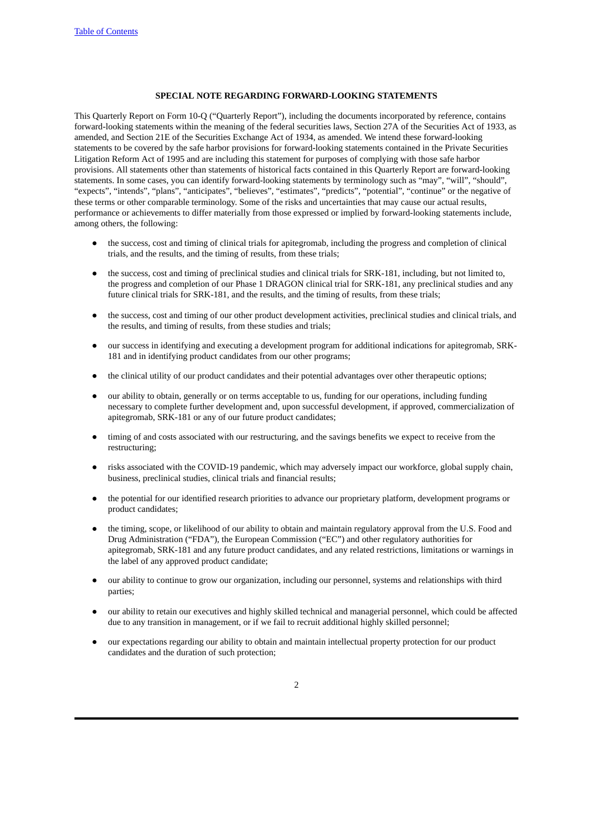## **SPECIAL NOTE REGARDING FORWARD-LOOKING STATEMENTS**

This Quarterly Report on Form 10-Q ("Quarterly Report"), including the documents incorporated by reference, contains forward-looking statements within the meaning of the federal securities laws, Section 27A of the Securities Act of 1933, as amended, and Section 21E of the Securities Exchange Act of 1934, as amended. We intend these forward-looking statements to be covered by the safe harbor provisions for forward-looking statements contained in the Private Securities Litigation Reform Act of 1995 and are including this statement for purposes of complying with those safe harbor provisions. All statements other than statements of historical facts contained in this Quarterly Report are forward-looking statements. In some cases, you can identify forward-looking statements by terminology such as "may", "will", "should", "expects", "intends", "plans", "anticipates", "believes", "estimates", "predicts", "potential", "continue" or the negative of these terms or other comparable terminology. Some of the risks and uncertainties that may cause our actual results, performance or achievements to differ materially from those expressed or implied by forward-looking statements include, among others, the following:

- the success, cost and timing of clinical trials for apitegromab, including the progress and completion of clinical trials, and the results, and the timing of results, from these trials;
- the success, cost and timing of preclinical studies and clinical trials for SRK-181, including, but not limited to, the progress and completion of our Phase 1 DRAGON clinical trial for SRK-181, any preclinical studies and any future clinical trials for SRK-181, and the results, and the timing of results, from these trials;
- the success, cost and timing of our other product development activities, preclinical studies and clinical trials, and the results, and timing of results, from these studies and trials;
- our success in identifying and executing a development program for additional indications for apitegromab, SRK-181 and in identifying product candidates from our other programs;
- the clinical utility of our product candidates and their potential advantages over other therapeutic options;
- our ability to obtain, generally or on terms acceptable to us, funding for our operations, including funding necessary to complete further development and, upon successful development, if approved, commercialization of apitegromab, SRK-181 or any of our future product candidates;
- timing of and costs associated with our restructuring, and the savings benefits we expect to receive from the restructuring;
- risks associated with the COVID-19 pandemic, which may adversely impact our workforce, global supply chain, business, preclinical studies, clinical trials and financial results;
- the potential for our identified research priorities to advance our proprietary platform, development programs or product candidates;
- the timing, scope, or likelihood of our ability to obtain and maintain regulatory approval from the U.S. Food and Drug Administration ("FDA"), the European Commission ("EC") and other regulatory authorities for apitegromab, SRK-181 and any future product candidates, and any related restrictions, limitations or warnings in the label of any approved product candidate;
- our ability to continue to grow our organization, including our personnel, systems and relationships with third parties;
- our ability to retain our executives and highly skilled technical and managerial personnel, which could be affected due to any transition in management, or if we fail to recruit additional highly skilled personnel;
- our expectations regarding our ability to obtain and maintain intellectual property protection for our product candidates and the duration of such protection;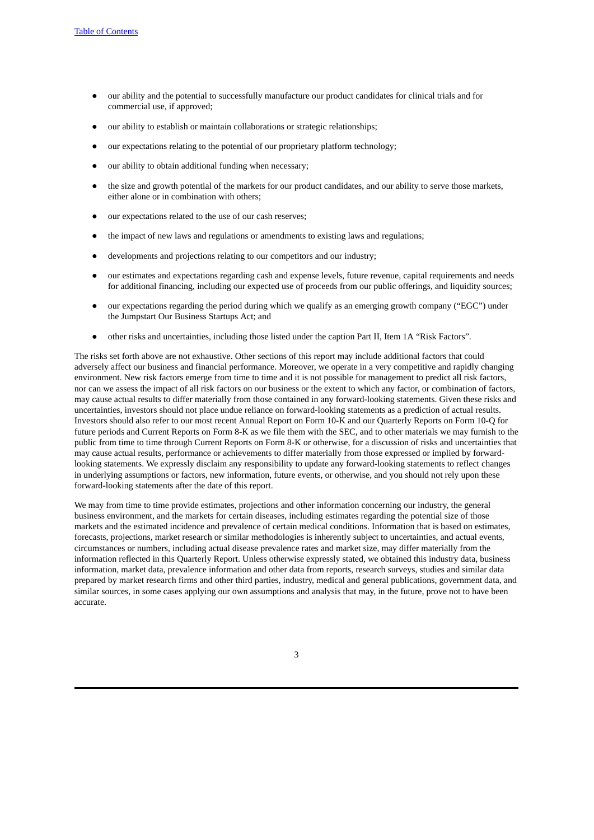- our ability and the potential to successfully manufacture our product candidates for clinical trials and for commercial use, if approved;
- our ability to establish or maintain collaborations or strategic relationships;
- our expectations relating to the potential of our proprietary platform technology;
- our ability to obtain additional funding when necessary;
- the size and growth potential of the markets for our product candidates, and our ability to serve those markets, either alone or in combination with others;
- our expectations related to the use of our cash reserves;
- the impact of new laws and regulations or amendments to existing laws and regulations;
- developments and projections relating to our competitors and our industry;
- our estimates and expectations regarding cash and expense levels, future revenue, capital requirements and needs for additional financing, including our expected use of proceeds from our public offerings, and liquidity sources;
- our expectations regarding the period during which we qualify as an emerging growth company ("EGC") under the Jumpstart Our Business Startups Act; and
- other risks and uncertainties, including those listed under the caption Part II, Item 1A "Risk Factors".

The risks set forth above are not exhaustive. Other sections of this report may include additional factors that could adversely affect our business and financial performance. Moreover, we operate in a very competitive and rapidly changing environment. New risk factors emerge from time to time and it is not possible for management to predict all risk factors, nor can we assess the impact of all risk factors on our business or the extent to which any factor, or combination of factors, may cause actual results to differ materially from those contained in any forward-looking statements. Given these risks and uncertainties, investors should not place undue reliance on forward-looking statements as a prediction of actual results. Investors should also refer to our most recent Annual Report on Form 10-K and our Quarterly Reports on Form 10-Q for future periods and Current Reports on Form 8-K as we file them with the SEC, and to other materials we may furnish to the public from time to time through Current Reports on Form 8-K or otherwise, for a discussion of risks and uncertainties that may cause actual results, performance or achievements to differ materially from those expressed or implied by forwardlooking statements. We expressly disclaim any responsibility to update any forward-looking statements to reflect changes in underlying assumptions or factors, new information, future events, or otherwise, and you should not rely upon these forward-looking statements after the date of this report.

We may from time to time provide estimates, projections and other information concerning our industry, the general business environment, and the markets for certain diseases, including estimates regarding the potential size of those markets and the estimated incidence and prevalence of certain medical conditions. Information that is based on estimates, forecasts, projections, market research or similar methodologies is inherently subject to uncertainties, and actual events, circumstances or numbers, including actual disease prevalence rates and market size, may differ materially from the information reflected in this Quarterly Report. Unless otherwise expressly stated, we obtained this industry data, business information, market data, prevalence information and other data from reports, research surveys, studies and similar data prepared by market research firms and other third parties, industry, medical and general publications, government data, and similar sources, in some cases applying our own assumptions and analysis that may, in the future, prove not to have been accurate.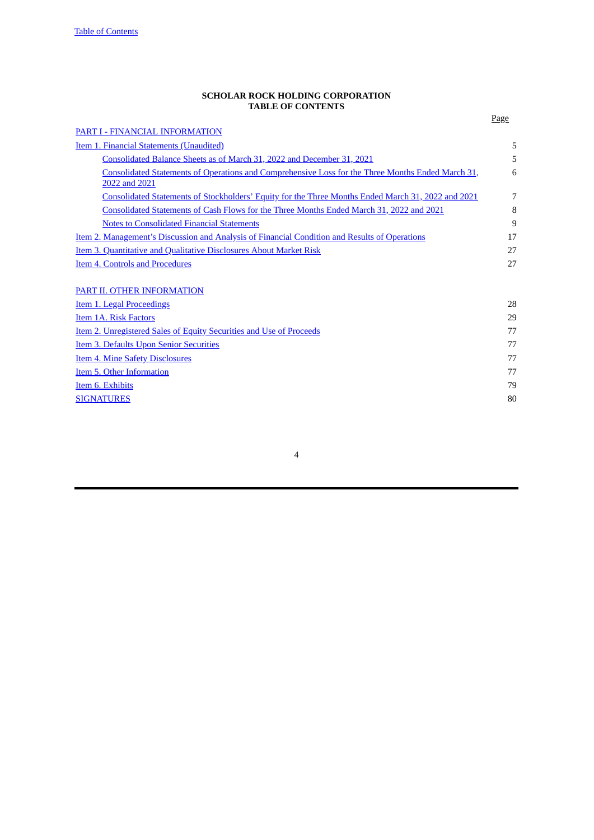#### **SCHOLAR ROCK HOLDING CORPORATION TABLE OF CONTENTS**

<span id="page-3-0"></span>

|                                                                                                                    | Page |
|--------------------------------------------------------------------------------------------------------------------|------|
| PART I - FINANCIAL INFORMATION                                                                                     |      |
| Item 1. Financial Statements (Unaudited)                                                                           | 5    |
| Consolidated Balance Sheets as of March 31, 2022 and December 31, 2021                                             | 5    |
| Consolidated Statements of Operations and Comprehensive Loss for the Three Months Ended March 31,<br>2022 and 2021 | 6    |
| Consolidated Statements of Stockholders' Equity for the Three Months Ended March 31, 2022 and 2021                 | 7    |
| Consolidated Statements of Cash Flows for the Three Months Ended March 31, 2022 and 2021                           | 8    |
| <b>Notes to Consolidated Financial Statements</b>                                                                  | 9    |
| <u>Item 2. Management's Discussion and Analysis of Financial Condition and Results of Operations</u>               | 17   |
| <b>Item 3. Quantitative and Qualitative Disclosures About Market Risk</b>                                          | 27   |
| <b>Item 4. Controls and Procedures</b>                                                                             | 27   |
| PART II. OTHER INFORMATION                                                                                         |      |
| Item 1. Legal Proceedings                                                                                          | 28   |
| Item 1A. Risk Factors                                                                                              | 29   |
| Item 2. Unregistered Sales of Equity Securities and Use of Proceeds                                                | 77   |
| Item 3. Defaults Upon Senior Securities                                                                            | 77   |
| <b>Item 4. Mine Safety Disclosures</b>                                                                             | 77   |
| Item 5. Other Information                                                                                          | 77   |
| Item 6. Exhibits                                                                                                   | 79   |
| <b>SIGNATURES</b>                                                                                                  | 80   |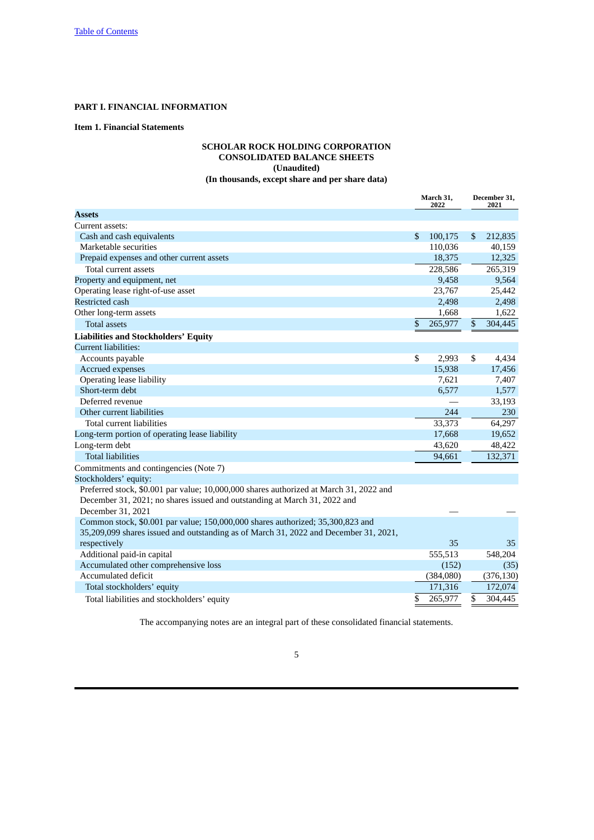# <span id="page-4-0"></span>**PART I. FINANCIAL INFORMATION**

# <span id="page-4-2"></span><span id="page-4-1"></span>**Item 1. Financial Statements**

# **SCHOLAR ROCK HOLDING CORPORATION CONSOLIDATED BALANCE SHEETS (Unaudited) (In thousands, except share and per share data)**

|                                                                                        | March 31,<br>2022 |           | December 31,<br>2021 |            |
|----------------------------------------------------------------------------------------|-------------------|-----------|----------------------|------------|
| <b>Assets</b>                                                                          |                   |           |                      |            |
| Current assets:                                                                        |                   |           |                      |            |
| Cash and cash equivalents                                                              | \$                | 100,175   | \$                   | 212,835    |
| Marketable securities                                                                  |                   | 110,036   |                      | 40,159     |
| Prepaid expenses and other current assets                                              |                   | 18,375    |                      | 12,325     |
| Total current assets                                                                   |                   | 228,586   |                      | 265,319    |
| Property and equipment, net                                                            |                   | 9,458     |                      | 9,564      |
| Operating lease right-of-use asset                                                     |                   | 23,767    |                      | 25,442     |
| Restricted cash                                                                        |                   | 2,498     |                      | 2,498      |
| Other long-term assets                                                                 |                   | 1,668     |                      | 1,622      |
| <b>Total assets</b>                                                                    | \$                | 265,977   | $\mathbb{S}$         | 304,445    |
| <b>Liabilities and Stockholders' Equity</b>                                            |                   |           |                      |            |
| <b>Current liabilities:</b>                                                            |                   |           |                      |            |
| Accounts payable                                                                       | \$                | 2,993     | \$                   | 4,434      |
| Accrued expenses                                                                       |                   | 15,938    |                      | 17,456     |
| Operating lease liability                                                              |                   | 7,621     |                      | 7,407      |
| Short-term debt                                                                        |                   | 6,577     |                      | 1,577      |
| Deferred revenue                                                                       |                   |           |                      | 33,193     |
| Other current liabilities                                                              |                   | 244       |                      | 230        |
| Total current liabilities                                                              |                   | 33,373    |                      | 64,297     |
| Long-term portion of operating lease liability                                         |                   | 17,668    |                      | 19,652     |
| Long-term debt                                                                         |                   | 43,620    |                      | 48,422     |
| <b>Total liabilities</b>                                                               |                   | 94,661    |                      | 132,371    |
| Commitments and contingencies (Note 7)                                                 |                   |           |                      |            |
| Stockholders' equity:                                                                  |                   |           |                      |            |
| Preferred stock, \$0.001 par value; 10,000,000 shares authorized at March 31, 2022 and |                   |           |                      |            |
| December 31, 2021; no shares issued and outstanding at March 31, 2022 and              |                   |           |                      |            |
| December 31, 2021                                                                      |                   |           |                      |            |
| Common stock, \$0.001 par value; 150,000,000 shares authorized; 35,300,823 and         |                   |           |                      |            |
| 35,209,099 shares issued and outstanding as of March 31, 2022 and December 31, 2021,   |                   |           |                      |            |
| respectively                                                                           |                   | 35        |                      | 35         |
| Additional paid-in capital                                                             |                   | 555,513   |                      | 548,204    |
| Accumulated other comprehensive loss                                                   |                   | (152)     |                      | (35)       |
| Accumulated deficit                                                                    |                   | (384,080) |                      | (376, 130) |
| Total stockholders' equity                                                             |                   | 171,316   |                      | 172,074    |
| Total liabilities and stockholders' equity                                             | \$                | 265,977   | \$                   | 304.445    |

The accompanying notes are an integral part of these consolidated financial statements.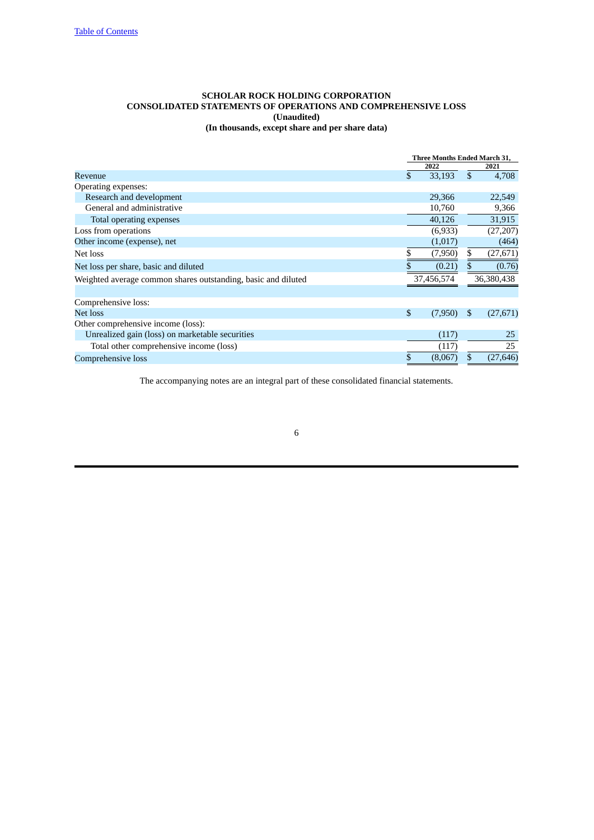## <span id="page-5-0"></span>**SCHOLAR ROCK HOLDING CORPORATION CONSOLIDATED STATEMENTS OF OPERATIONS AND COMPREHENSIVE LOSS (Unaudited) (In thousands, except share and per share data)**

|                                                               | <b>Three Months Ended March 31,</b> |              |            |  |
|---------------------------------------------------------------|-------------------------------------|--------------|------------|--|
|                                                               | 2022                                |              | 2021       |  |
| Revenue                                                       | \$<br>33,193                        | $\mathbb{S}$ | 4,708      |  |
| Operating expenses:                                           |                                     |              |            |  |
| Research and development                                      | 29,366                              |              | 22,549     |  |
| General and administrative                                    | 10,760                              |              | 9,366      |  |
| Total operating expenses                                      | 40,126                              |              | 31,915     |  |
| Loss from operations                                          | (6,933)                             |              | (27, 207)  |  |
| Other income (expense), net                                   | (1,017)                             |              | (464)      |  |
| Net loss                                                      | \$<br>(7,950)                       | \$           | (27, 671)  |  |
| Net loss per share, basic and diluted                         | (0.21)                              |              | (0.76)     |  |
| Weighted average common shares outstanding, basic and diluted | 37,456,574                          |              | 36,380,438 |  |
|                                                               |                                     |              |            |  |
| Comprehensive loss:                                           |                                     |              |            |  |
| <b>Net loss</b>                                               | \$<br>(7,950)                       | S            | (27, 671)  |  |
| Other comprehensive income (loss):                            |                                     |              |            |  |
| Unrealized gain (loss) on marketable securities               | (117)                               |              | 25         |  |
| Total other comprehensive income (loss)                       | (117)                               |              | 25         |  |
| Comprehensive loss                                            | \$<br>(8.067)                       | \$           | (27, 646)  |  |

The accompanying notes are an integral part of these consolidated financial statements.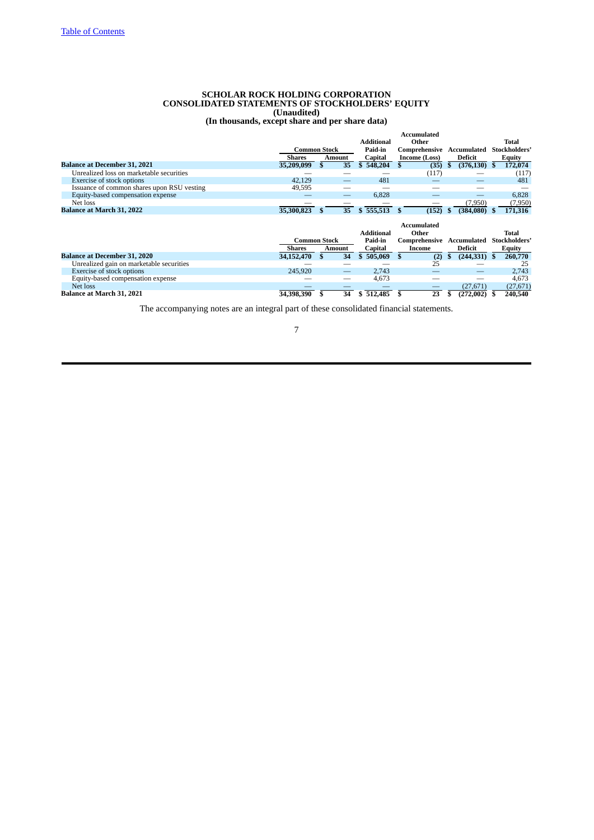#### **SCHOLAR ROCK HOLDING CORPORATION CONSOLIDATED STATEMENTS OF STOCKHOLDERS' EQUITY (Unaudited)**

**(In thousands, except share and per share data)**

<span id="page-6-0"></span>

|                                              |               |                     |    |                   |              | <b>Accumulated</b>       |                           |               |
|----------------------------------------------|---------------|---------------------|----|-------------------|--------------|--------------------------|---------------------------|---------------|
|                                              |               |                     |    | <b>Additional</b> |              | Other                    |                           | Total         |
|                                              |               | <b>Common Stock</b> |    | Paid-in           |              |                          | Comprehensive Accumulated | Stockholders' |
|                                              | Shares        | <b>Amount</b>       |    | Capital           |              | Income (Loss)            | Deficit                   | Equity        |
| <b>Balance at December 31, 2021</b>          | 35,209,099    |                     | 35 | 548,204<br>\$     | £.           | (35)                     | $(376, 130)$ \$           | 172,074       |
| Unrealized loss on marketable securities     |               |                     |    |                   |              | (117)                    |                           | (117)         |
| Exercise of stock options                    | 42,129        |                     |    | 481               |              |                          |                           | 481           |
| Issuance of common shares upon RSU vesting   | 49,595        |                     |    |                   |              |                          |                           |               |
| Equity-based compensation expense            |               |                     |    | 6,828             |              |                          |                           | 6,828         |
| Net loss                                     |               |                     |    |                   |              |                          | (7,950)                   | (7,950)       |
| <b>Balance at March 31, 2022</b>             | 35,300,823    | \$.                 | 35 | \$555,513         | - \$         | (152)                    | $(384,080)$ \$<br>- 5     | 171,316       |
|                                              |               |                     |    |                   |              |                          |                           |               |
|                                              |               |                     |    |                   |              |                          |                           |               |
|                                              |               |                     |    |                   |              | <b>Accumulated</b>       |                           |               |
|                                              |               |                     |    | <b>Additional</b> |              | Other                    |                           | Total         |
|                                              |               | <b>Common Stock</b> |    | Paid-in           |              |                          | Comprehensive Accumulated | Stockholders' |
|                                              | <b>Shares</b> | Amount              |    | Capital           |              | Income                   | Deficit                   | Equity        |
| <b>Balance at December 31, 2020</b>          | 34,152,470    | \$.                 | 34 | 505,069<br>\$     | $\mathbf{s}$ | (2)                      | $(244, 331)$ \$<br>S      | 260,770       |
| Unrealized gain on marketable securities     |               |                     |    |                   |              | 25                       |                           | 25            |
| Exercise of stock options                    | 245,920       |                     |    | 2,743             |              |                          | –                         | 2,743         |
| Equity-based compensation expense            |               |                     |    | 4,673             |              |                          |                           | 4,673         |
| Net loss<br><b>Balance at March 31, 2021</b> |               |                     |    |                   |              | $\overline{\phantom{0}}$ | (27, 671)                 | (27, 671)     |

The accompanying notes are an integral part of these consolidated financial statements.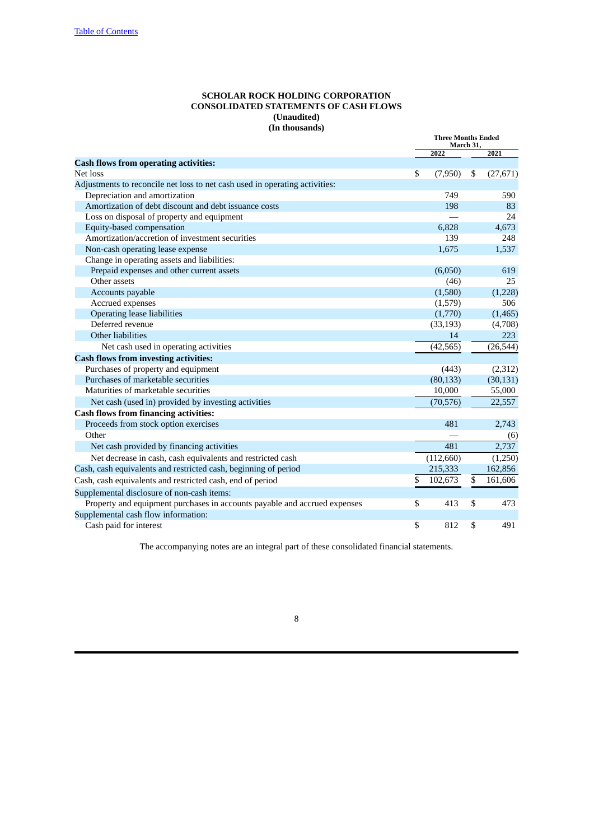# **SCHOLAR ROCK HOLDING CORPORATION CONSOLIDATED STATEMENTS OF CASH FLOWS (Unaudited) (In thousands)**

<span id="page-7-0"></span>

|                                                                             |    | <b>Three Months Ended</b><br>March 31, |    |           |
|-----------------------------------------------------------------------------|----|----------------------------------------|----|-----------|
|                                                                             |    | 2022                                   |    | 2021      |
| <b>Cash flows from operating activities:</b>                                |    |                                        |    |           |
| Net loss                                                                    | \$ | (7,950)                                | \$ | (27, 671) |
| Adjustments to reconcile net loss to net cash used in operating activities: |    |                                        |    |           |
| Depreciation and amortization                                               |    | 749                                    |    | 590       |
| Amortization of debt discount and debt issuance costs                       |    | 198                                    |    | 83        |
| Loss on disposal of property and equipment                                  |    |                                        |    | 24        |
| Equity-based compensation                                                   |    | 6,828                                  |    | 4,673     |
| Amortization/accretion of investment securities                             |    | 139                                    |    | 248       |
| Non-cash operating lease expense                                            |    | 1,675                                  |    | 1,537     |
| Change in operating assets and liabilities:                                 |    |                                        |    |           |
| Prepaid expenses and other current assets                                   |    | (6,050)                                |    | 619       |
| Other assets                                                                |    | (46)                                   |    | 25        |
| Accounts payable                                                            |    | (1,580)                                |    | (1,228)   |
| Accrued expenses                                                            |    | (1,579)                                |    | 506       |
| <b>Operating lease liabilities</b>                                          |    | (1,770)                                |    | (1,465)   |
| Deferred revenue                                                            |    | (33, 193)                              |    | (4,708)   |
| Other liabilities                                                           |    | 14                                     |    | 223       |
| Net cash used in operating activities                                       |    | (42, 565)                              |    | (26, 544) |
| <b>Cash flows from investing activities:</b>                                |    |                                        |    |           |
| Purchases of property and equipment                                         |    | (443)                                  |    | (2,312)   |
| Purchases of marketable securities                                          |    | (80, 133)                              |    | (30, 131) |
| Maturities of marketable securities                                         |    | 10,000                                 |    | 55,000    |
| Net cash (used in) provided by investing activities                         |    | (70, 576)                              |    | 22,557    |
| <b>Cash flows from financing activities:</b>                                |    |                                        |    |           |
| Proceeds from stock option exercises                                        |    | 481                                    |    | 2,743     |
| Other                                                                       |    |                                        |    | (6)       |
| Net cash provided by financing activities                                   |    | 481                                    |    | 2,737     |
| Net decrease in cash, cash equivalents and restricted cash                  |    | (112,660)                              |    | (1,250)   |
| Cash, cash equivalents and restricted cash, beginning of period             |    | 215,333                                |    | 162,856   |
| Cash, cash equivalents and restricted cash, end of period                   | \$ | 102,673                                | \$ | 161,606   |
| Supplemental disclosure of non-cash items:                                  |    |                                        |    |           |
| Property and equipment purchases in accounts payable and accrued expenses   | \$ | 413                                    | \$ | 473       |
| Supplemental cash flow information:                                         |    |                                        |    |           |
| Cash paid for interest                                                      | \$ | 812                                    | \$ | 491       |
|                                                                             |    |                                        |    |           |

The accompanying notes are an integral part of these consolidated financial statements.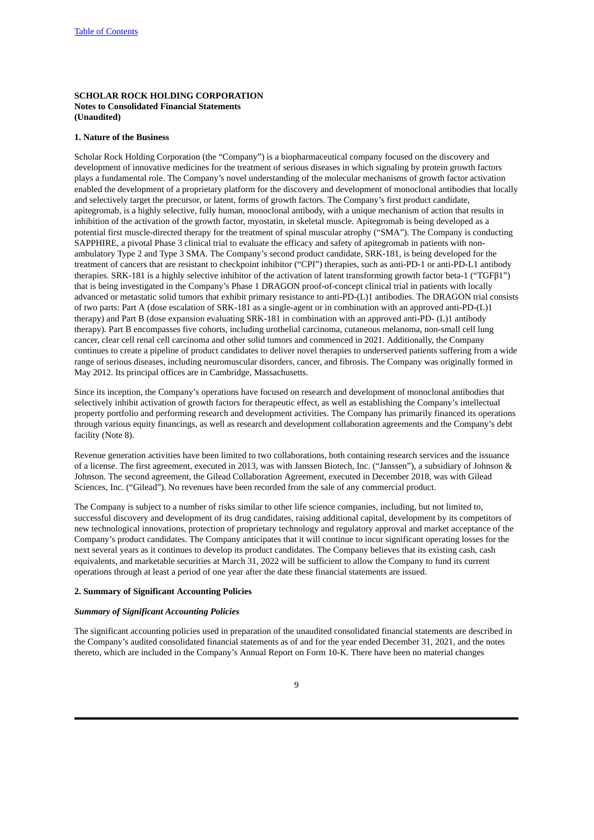# <span id="page-8-0"></span>**SCHOLAR ROCK HOLDING CORPORATION Notes to Consolidated Financial Statements (Unaudited)**

## **1. Nature of the Business**

Scholar Rock Holding Corporation (the "Company") is a biopharmaceutical company focused on the discovery and development of innovative medicines for the treatment of serious diseases in which signaling by protein growth factors plays a fundamental role. The Company's novel understanding of the molecular mechanisms of growth factor activation enabled the development of a proprietary platform for the discovery and development of monoclonal antibodies that locally and selectively target the precursor, or latent, forms of growth factors. The Company's first product candidate, apitegromab, is a highly selective, fully human, monoclonal antibody, with a unique mechanism of action that results in inhibition of the activation of the growth factor, myostatin, in skeletal muscle. Apitegromab is being developed as a potential first muscle-directed therapy for the treatment of spinal muscular atrophy ("SMA"). The Company is conducting SAPPHIRE, a pivotal Phase 3 clinical trial to evaluate the efficacy and safety of apitegromab in patients with nonambulatory Type 2 and Type 3 SMA. The Company's second product candidate, SRK-181, is being developed for the treatment of cancers that are resistant to checkpoint inhibitor ("CPI") therapies, such as anti-PD-1 or anti-PD-L1 antibody therapies. SRK-181 is a highly selective inhibitor of the activation of latent transforming growth factor beta-1 ("TGFβ1") that is being investigated in the Company's Phase 1 DRAGON proof-of-concept clinical trial in patients with locally advanced or metastatic solid tumors that exhibit primary resistance to anti-PD-(L)1 antibodies. The DRAGON trial consists of two parts: Part A (dose escalation of SRK-181 as a single-agent or in combination with an approved anti-PD-(L)1 therapy) and Part B (dose expansion evaluating SRK-181 in combination with an approved anti-PD- (L)1 antibody therapy). Part B encompasses five cohorts, including urothelial carcinoma, cutaneous melanoma, non-small cell lung cancer, clear cell renal cell carcinoma and other solid tumors and commenced in 2021. Additionally, the Company continues to create a pipeline of product candidates to deliver novel therapies to underserved patients suffering from a wide range of serious diseases, including neuromuscular disorders, cancer, and fibrosis. The Company was originally formed in May 2012. Its principal offices are in Cambridge, Massachusetts.

Since its inception, the Company's operations have focused on research and development of monoclonal antibodies that selectively inhibit activation of growth factors for therapeutic effect, as well as establishing the Company's intellectual property portfolio and performing research and development activities. The Company has primarily financed its operations through various equity financings, as well as research and development collaboration agreements and the Company's debt facility (Note 8).

Revenue generation activities have been limited to two collaborations, both containing research services and the issuance of a license. The first agreement, executed in 2013, was with Janssen Biotech, Inc. ("Janssen"), a subsidiary of Johnson & Johnson. The second agreement, the Gilead Collaboration Agreement, executed in December 2018, was with Gilead Sciences, Inc. ("Gilead"). No revenues have been recorded from the sale of any commercial product.

The Company is subject to a number of risks similar to other life science companies, including, but not limited to, successful discovery and development of its drug candidates, raising additional capital, development by its competitors of new technological innovations, protection of proprietary technology and regulatory approval and market acceptance of the Company's product candidates. The Company anticipates that it will continue to incur significant operating losses for the next several years as it continues to develop its product candidates. The Company believes that its existing cash, cash equivalents, and marketable securities at March 31, 2022 will be sufficient to allow the Company to fund its current operations through at least a period of one year after the date these financial statements are issued.

#### **2. Summary of Significant Accounting Policies**

# *Summary of Significant Accounting Policies*

The significant accounting policies used in preparation of the unaudited consolidated financial statements are described in the Company's audited consolidated financial statements as of and for the year ended December 31, 2021, and the notes thereto, which are included in the Company's Annual Report on Form 10-K. There have been no material changes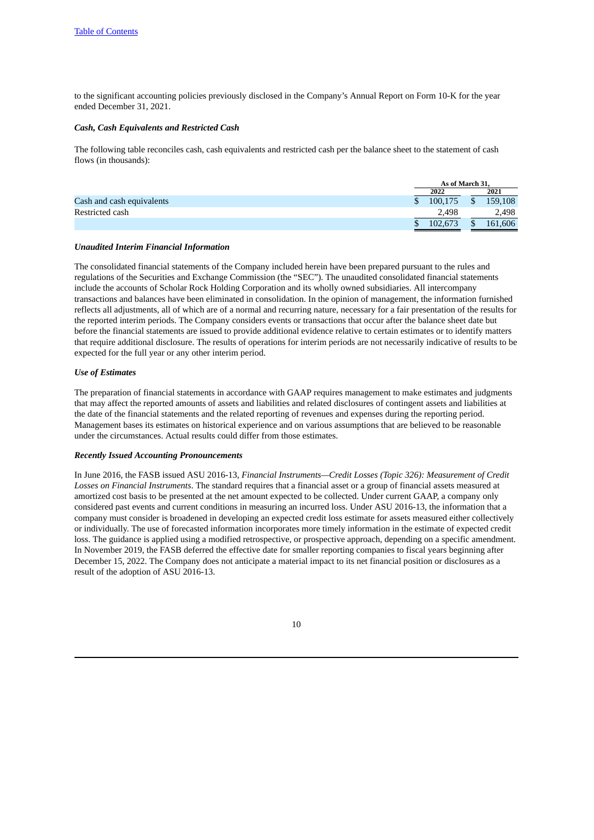to the significant accounting policies previously disclosed in the Company's Annual Report on Form 10-K for the year ended December 31, 2021.

#### *Cash, Cash Equivalents and Restricted Cash*

The following table reconciles cash, cash equivalents and restricted cash per the balance sheet to the statement of cash flows (in thousands):

|                           | As of March 31. |  |         |
|---------------------------|-----------------|--|---------|
|                           | 2022            |  | 2021    |
| Cash and cash equivalents | 100.175         |  | 159,108 |
| Restricted cash           | 2.498           |  | 2.498   |
|                           | 102.673         |  | 161,606 |

## *Unaudited Interim Financial Information*

The consolidated financial statements of the Company included herein have been prepared pursuant to the rules and regulations of the Securities and Exchange Commission (the "SEC"). The unaudited consolidated financial statements include the accounts of Scholar Rock Holding Corporation and its wholly owned subsidiaries. All intercompany transactions and balances have been eliminated in consolidation. In the opinion of management, the information furnished reflects all adjustments, all of which are of a normal and recurring nature, necessary for a fair presentation of the results for the reported interim periods. The Company considers events or transactions that occur after the balance sheet date but before the financial statements are issued to provide additional evidence relative to certain estimates or to identify matters that require additional disclosure. The results of operations for interim periods are not necessarily indicative of results to be expected for the full year or any other interim period.

#### *Use of Estimates*

The preparation of financial statements in accordance with GAAP requires management to make estimates and judgments that may affect the reported amounts of assets and liabilities and related disclosures of contingent assets and liabilities at the date of the financial statements and the related reporting of revenues and expenses during the reporting period. Management bases its estimates on historical experience and on various assumptions that are believed to be reasonable under the circumstances. Actual results could differ from those estimates.

#### *Recently Issued Accounting Pronouncements*

In June 2016, the FASB issued ASU 2016-13, *Financial Instruments—Credit Losses (Topic 326): Measurement of Credit Losses on Financial Instruments*. The standard requires that a financial asset or a group of financial assets measured at amortized cost basis to be presented at the net amount expected to be collected. Under current GAAP, a company only considered past events and current conditions in measuring an incurred loss. Under ASU 2016-13, the information that a company must consider is broadened in developing an expected credit loss estimate for assets measured either collectively or individually. The use of forecasted information incorporates more timely information in the estimate of expected credit loss. The guidance is applied using a modified retrospective, or prospective approach, depending on a specific amendment. In November 2019, the FASB deferred the effective date for smaller reporting companies to fiscal years beginning after December 15, 2022. The Company does not anticipate a material impact to its net financial position or disclosures as a result of the adoption of ASU 2016-13.

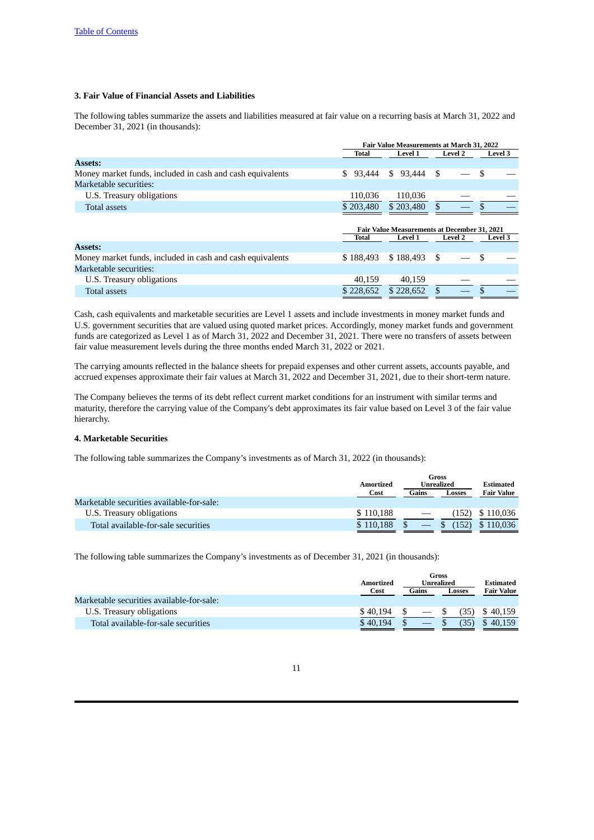# **3. Fair Value of Financial Assets and Liabilities**

The following tables summarize the assets and liabilities measured at fair value on a recurring basis at March 31, 2022 and December 31, 2021 (in thousands):

|                                                           | Fair Value Measurements at March 31, 2022<br><b>Level 2</b> |                                                     |                |                |  |  |
|-----------------------------------------------------------|-------------------------------------------------------------|-----------------------------------------------------|----------------|----------------|--|--|
|                                                           | Total                                                       | <b>Level 1</b>                                      |                | <b>Level 3</b> |  |  |
| <b>Assets:</b>                                            |                                                             |                                                     |                |                |  |  |
| Money market funds, included in cash and cash equivalents | \$.<br>93.444                                               | \$93,444                                            | -S             | S              |  |  |
| Marketable securities:                                    |                                                             |                                                     |                |                |  |  |
| U.S. Treasury obligations                                 | 110.036                                                     | 110.036                                             |                |                |  |  |
| Total assets                                              | \$203,480                                                   | \$203,480                                           |                |                |  |  |
|                                                           |                                                             |                                                     |                |                |  |  |
|                                                           |                                                             |                                                     |                |                |  |  |
|                                                           |                                                             | <b>Fair Value Measurements at December 31, 2021</b> |                |                |  |  |
|                                                           | Total                                                       | <b>Level 1</b>                                      | <b>Level 2</b> | <b>Level 3</b> |  |  |
| <b>Assets:</b>                                            |                                                             |                                                     |                |                |  |  |
| Money market funds, included in cash and cash equivalents | \$188,493                                                   | \$188,493                                           | -S             | \$.            |  |  |
| Marketable securities:                                    |                                                             |                                                     |                |                |  |  |
| U.S. Treasury obligations                                 | 40.159                                                      | 40.159                                              |                |                |  |  |

Cash, cash equivalents and marketable securities are Level 1 assets and include investments in money market funds and U.S. government securities that are valued using quoted market prices. Accordingly, money market funds and government funds are categorized as Level 1 as of March 31, 2022 and December 31, 2021. There were no transfers of assets between fair value measurement levels during the three months ended March 31, 2022 or 2021.

The carrying amounts reflected in the balance sheets for prepaid expenses and other current assets, accounts payable, and accrued expenses approximate their fair values at March 31, 2022 and December 31, 2021, due to their short-term nature.

The Company believes the terms of its debt reflect current market conditions for an instrument with similar terms and maturity, therefore the carrying value of the Company's debt approximates its fair value based on Level 3 of the fair value hierarchy.

#### **4. Marketable Securities**

The following table summarizes the Company's investments as of March 31, 2022 (in thousands):

|                                           | Amortized |       | Unrealized |                   |  | Estimated |
|-------------------------------------------|-----------|-------|------------|-------------------|--|-----------|
|                                           | Cost      | Gains | Losses     | <b>Fair Value</b> |  |           |
| Marketable securities available-for-sale: |           |       |            |                   |  |           |
| U.S. Treasury obligations                 | \$110,188 |       | (152)      | \$110,036         |  |           |
| Total available-for-sale securities       | \$110.188 |       | (152)      | \$110,036         |  |           |

The following table summarizes the Company's investments as of December 31, 2021 (in thousands):

|                                           | Amortized<br>Cost | Gains | Gross<br>Unrealized<br>Losses | Estimated<br><b>Fair Value</b> |
|-------------------------------------------|-------------------|-------|-------------------------------|--------------------------------|
| Marketable securities available-for-sale: |                   |       |                               |                                |
| U.S. Treasury obligations                 | \$40.194          |       | (35)                          | \$40,159                       |
| Total available-for-sale securities       | \$40.194          |       | (35)                          | \$40.159                       |
|                                           |                   |       |                               |                                |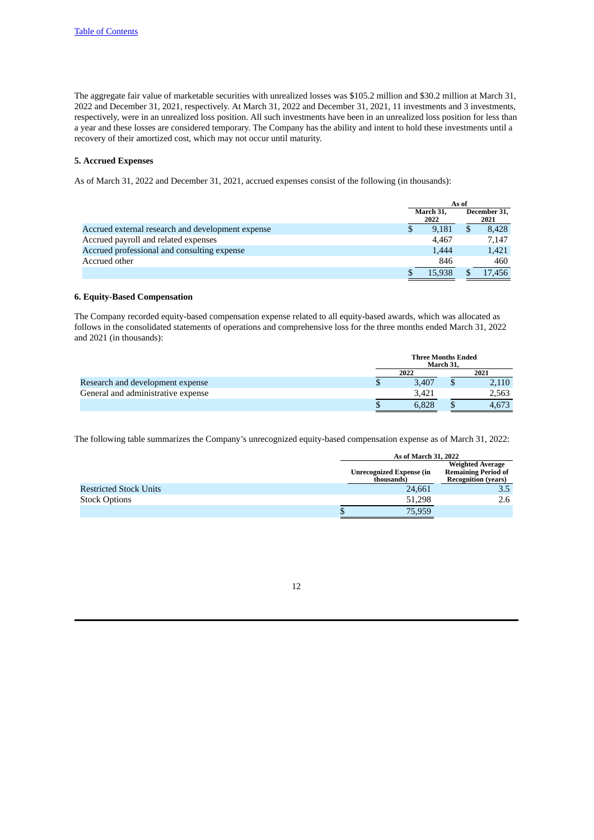The aggregate fair value of marketable securities with unrealized losses was \$105.2 million and \$30.2 million at March 31, 2022 and December 31, 2021, respectively. At March 31, 2022 and December 31, 2021, 11 investments and 3 investments, respectively, were in an unrealized loss position. All such investments have been in an unrealized loss position for less than a year and these losses are considered temporary. The Company has the ability and intent to hold these investments until a recovery of their amortized cost, which may not occur until maturity.

# **5. Accrued Expenses**

As of March 31, 2022 and December 31, 2021, accrued expenses consist of the following (in thousands):

|                                                   | As of |                   |  |                      |
|---------------------------------------------------|-------|-------------------|--|----------------------|
|                                                   |       | March 31,<br>2022 |  | December 31,<br>2021 |
| Accrued external research and development expense |       | 9.181             |  | 8.428                |
| Accrued payroll and related expenses              |       | 4.467             |  | 7.147                |
| Accrued professional and consulting expense       |       | 1,444             |  | 1,421                |
| Accrued other                                     |       | 846               |  | 460                  |
|                                                   |       | 15.938            |  | 17,456               |

### **6. Equity-Based Compensation**

The Company recorded equity-based compensation expense related to all equity-based awards, which was allocated as follows in the consolidated statements of operations and comprehensive loss for the three months ended March 31, 2022 and 2021 (in thousands):

|                                    | <b>Three Months Ended</b> | March 31, |       |
|------------------------------------|---------------------------|-----------|-------|
|                                    | 2022                      |           | 2021  |
| Research and development expense   | 3.407                     |           | 2.110 |
| General and administrative expense | 3.421                     |           | 2,563 |
|                                    | 6.828                     |           | 4.673 |

The following table summarizes the Company's unrecognized equity-based compensation expense as of March 31, 2022:

|                               | As of March 31, 2022                          |                                                                                     |  |  |  |
|-------------------------------|-----------------------------------------------|-------------------------------------------------------------------------------------|--|--|--|
|                               | <b>Unrecognized Expense (in</b><br>thousands) | <b>Weighted Average</b><br><b>Remaining Period of</b><br><b>Recognition (years)</b> |  |  |  |
| <b>Restricted Stock Units</b> | 24.661                                        | 3.5                                                                                 |  |  |  |
| <b>Stock Options</b>          | 51.298                                        | 2.6                                                                                 |  |  |  |
|                               | 75,959                                        |                                                                                     |  |  |  |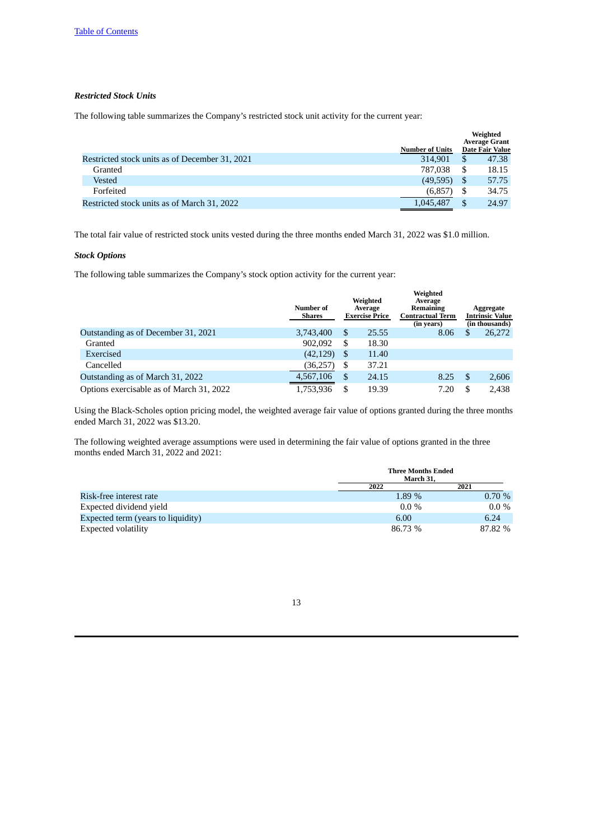# *Restricted Stock Units*

The following table summarizes the Company's restricted stock unit activity for the current year:

|                                                | <b>Number of Units</b> |    | Weighted<br><b>Average Grant</b><br><b>Date Fair Value</b> |
|------------------------------------------------|------------------------|----|------------------------------------------------------------|
| Restricted stock units as of December 31, 2021 | 314.901                | S  | 47.38                                                      |
| Granted                                        | 787,038                |    | 18.15                                                      |
| Vested                                         | (49, 595)              | S  | 57.75                                                      |
| Forfeited                                      | (6,857)                | \$ | 34.75                                                      |
| Restricted stock units as of March 31, 2022    | 1,045,487              |    | 24.97                                                      |

The total fair value of restricted stock units vested during the three months ended March 31, 2022 was \$1.0 million.

## *Stock Options*

The following table summarizes the Company's stock option activity for the current year:

|                                          | Number of<br>Shares | Weighted<br>Average<br><b>Exercise Price</b> | Weighted<br>Average<br>Remaining<br><b>Contractual Term</b><br>(in years) |   | Aggregate<br><b>Intrinsic Value</b><br>(in thousands) |
|------------------------------------------|---------------------|----------------------------------------------|---------------------------------------------------------------------------|---|-------------------------------------------------------|
| Outstanding as of December 31, 2021      | 3,743,400           | \$<br>25.55                                  | 8.06                                                                      | S | 26,272                                                |
| Granted                                  | 902,092             | \$<br>18.30                                  |                                                                           |   |                                                       |
| Exercised                                | (42, 129)           | \$<br>11.40                                  |                                                                           |   |                                                       |
| Cancelled                                | (36, 257)           | \$<br>37.21                                  |                                                                           |   |                                                       |
| Outstanding as of March 31, 2022         | 4,567,106           | \$<br>24.15                                  | 8.25                                                                      | S | 2,606                                                 |
| Options exercisable as of March 31, 2022 | 1,753,936           | \$<br>19.39                                  | 7.20                                                                      |   | 2.438                                                 |

Using the Black-Scholes option pricing model, the weighted average fair value of options granted during the three months ended March 31, 2022 was \$13.20.

The following weighted average assumptions were used in determining the fair value of options granted in the three months ended March 31, 2022 and 2021:

|                                    | <b>Three Months Ended</b><br>March 31, |         |
|------------------------------------|----------------------------------------|---------|
|                                    | 2022                                   | 2021    |
| Risk-free interest rate            | 1.89 %                                 | 0.70%   |
| Expected dividend vield            | $0.0\%$                                | $0.0\%$ |
| Expected term (years to liquidity) | 6.00                                   | 6.24    |
| Expected volatility                | 86.73 %                                | 87.82 % |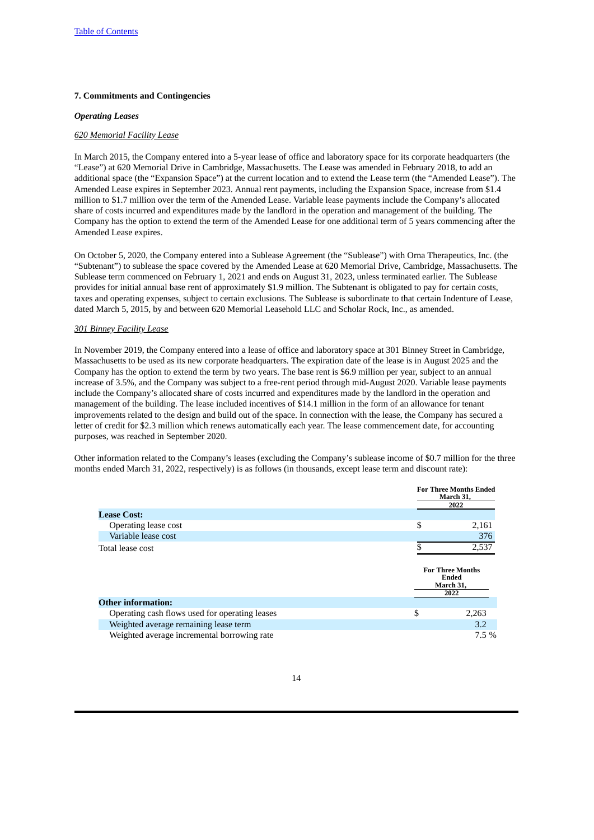## **7. Commitments and Contingencies**

#### *Operating Leases*

## *620 Memorial Facility Lease*

In March 2015, the Company entered into a 5-year lease of office and laboratory space for its corporate headquarters (the "Lease") at 620 Memorial Drive in Cambridge, Massachusetts. The Lease was amended in February 2018, to add an additional space (the "Expansion Space") at the current location and to extend the Lease term (the "Amended Lease"). The Amended Lease expires in September 2023. Annual rent payments, including the Expansion Space, increase from \$1.4 million to \$1.7 million over the term of the Amended Lease. Variable lease payments include the Company's allocated share of costs incurred and expenditures made by the landlord in the operation and management of the building. The Company has the option to extend the term of the Amended Lease for one additional term of 5 years commencing after the Amended Lease expires.

On October 5, 2020, the Company entered into a Sublease Agreement (the "Sublease") with Orna Therapeutics, Inc. (the "Subtenant") to sublease the space covered by the Amended Lease at 620 Memorial Drive, Cambridge, Massachusetts. The Sublease term commenced on February 1, 2021 and ends on August 31, 2023, unless terminated earlier. The Sublease provides for initial annual base rent of approximately \$1.9 million. The Subtenant is obligated to pay for certain costs, taxes and operating expenses, subject to certain exclusions. The Sublease is subordinate to that certain Indenture of Lease, dated March 5, 2015, by and between 620 Memorial Leasehold LLC and Scholar Rock, Inc., as amended.

## *301 Binney Facility Lease*

In November 2019, the Company entered into a lease of office and laboratory space at 301 Binney Street in Cambridge, Massachusetts to be used as its new corporate headquarters. The expiration date of the lease is in August 2025 and the Company has the option to extend the term by two years. The base rent is \$6.9 million per year, subject to an annual increase of 3.5%, and the Company was subject to a free-rent period through mid-August 2020. Variable lease payments include the Company's allocated share of costs incurred and expenditures made by the landlord in the operation and management of the building. The lease included incentives of \$14.1 million in the form of an allowance for tenant improvements related to the design and build out of the space. In connection with the lease, the Company has secured a letter of credit for \$2.3 million which renews automatically each year. The lease commencement date, for accounting purposes, was reached in September 2020.

Other information related to the Company's leases (excluding the Company's sublease income of \$0.7 million for the three months ended March 31, 2022, respectively) is as follows (in thousands, except lease term and discount rate):

|                                                | <b>For Three Months Ended</b><br>March 31,<br>2022           |
|------------------------------------------------|--------------------------------------------------------------|
| <b>Lease Cost:</b>                             |                                                              |
| Operating lease cost                           | \$<br>2,161                                                  |
| Variable lease cost                            | 376                                                          |
| Total lease cost                               | 2,537                                                        |
|                                                |                                                              |
|                                                | <b>For Three Months</b><br><b>Ended</b><br>March 31,<br>2022 |
| <b>Other information:</b>                      |                                                              |
| Operating cash flows used for operating leases | \$<br>2,263                                                  |
| Weighted average remaining lease term          | 3.2                                                          |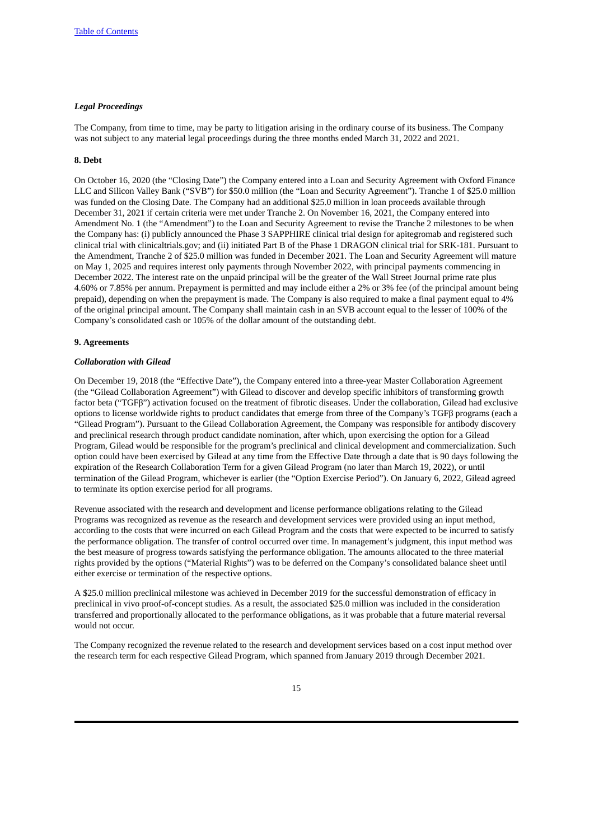# *Legal Proceedings*

The Company, from time to time, may be party to litigation arising in the ordinary course of its business. The Company was not subject to any material legal proceedings during the three months ended March 31, 2022 and 2021.

## **8. Debt**

On October 16, 2020 (the "Closing Date") the Company entered into a Loan and Security Agreement with Oxford Finance LLC and Silicon Valley Bank ("SVB") for \$50.0 million (the "Loan and Security Agreement"). Tranche 1 of \$25.0 million was funded on the Closing Date. The Company had an additional \$25.0 million in loan proceeds available through December 31, 2021 if certain criteria were met under Tranche 2. On November 16, 2021, the Company entered into Amendment No. 1 (the "Amendment") to the Loan and Security Agreement to revise the Tranche 2 milestones to be when the Company has: (i) publicly announced the Phase 3 SAPPHIRE clinical trial design for apitegromab and registered such clinical trial with clinicaltrials.gov; and (ii) initiated Part B of the Phase 1 DRAGON clinical trial for SRK-181. Pursuant to the Amendment, Tranche 2 of \$25.0 million was funded in December 2021. The Loan and Security Agreement will mature on May 1, 2025 and requires interest only payments through November 2022, with principal payments commencing in December 2022. The interest rate on the unpaid principal will be the greater of the Wall Street Journal prime rate plus 4.60% or 7.85% per annum. Prepayment is permitted and may include either a 2% or 3% fee (of the principal amount being prepaid), depending on when the prepayment is made. The Company is also required to make a final payment equal to 4% of the original principal amount. The Company shall maintain cash in an SVB account equal to the lesser of 100% of the Company's consolidated cash or 105% of the dollar amount of the outstanding debt.

#### **9. Agreements**

#### *Collaboration with Gilead*

On December 19, 2018 (the "Effective Date"), the Company entered into a three-year Master Collaboration Agreement (the "Gilead Collaboration Agreement") with Gilead to discover and develop specific inhibitors of transforming growth factor beta ("TGFβ") activation focused on the treatment of fibrotic diseases. Under the collaboration, Gilead had exclusive options to license worldwide rights to product candidates that emerge from three of the Company's TGFβ programs (each a "Gilead Program"). Pursuant to the Gilead Collaboration Agreement, the Company was responsible for antibody discovery and preclinical research through product candidate nomination, after which, upon exercising the option for a Gilead Program, Gilead would be responsible for the program's preclinical and clinical development and commercialization. Such option could have been exercised by Gilead at any time from the Effective Date through a date that is 90 days following the expiration of the Research Collaboration Term for a given Gilead Program (no later than March 19, 2022), or until termination of the Gilead Program, whichever is earlier (the "Option Exercise Period"). On January 6, 2022, Gilead agreed to terminate its option exercise period for all programs.

Revenue associated with the research and development and license performance obligations relating to the Gilead Programs was recognized as revenue as the research and development services were provided using an input method, according to the costs that were incurred on each Gilead Program and the costs that were expected to be incurred to satisfy the performance obligation. The transfer of control occurred over time. In management's judgment, this input method was the best measure of progress towards satisfying the performance obligation. The amounts allocated to the three material rights provided by the options ("Material Rights") was to be deferred on the Company's consolidated balance sheet until either exercise or termination of the respective options.

A \$25.0 million preclinical milestone was achieved in December 2019 for the successful demonstration of efficacy in preclinical in vivo proof-of-concept studies. As a result, the associated \$25.0 million was included in the consideration transferred and proportionally allocated to the performance obligations, as it was probable that a future material reversal would not occur.

The Company recognized the revenue related to the research and development services based on a cost input method over the research term for each respective Gilead Program, which spanned from January 2019 through December 2021.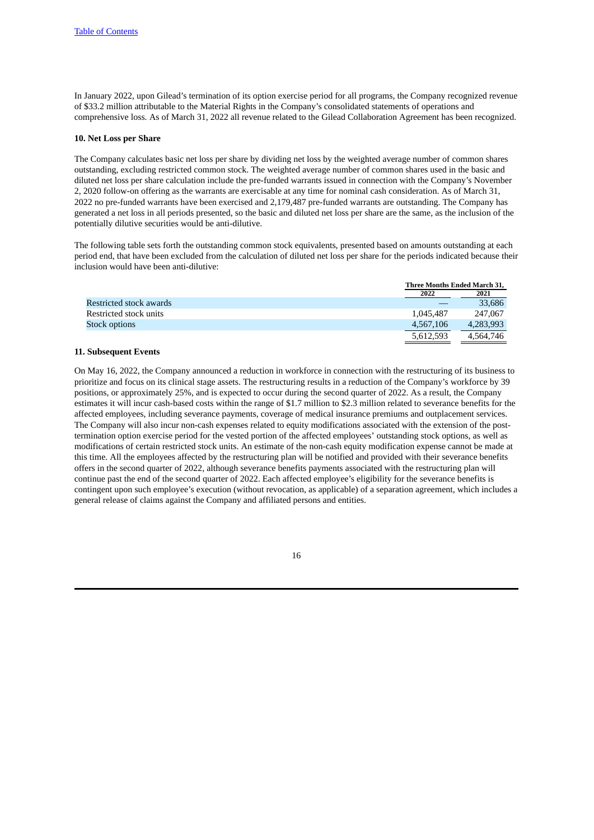In January 2022, upon Gilead's termination of its option exercise period for all programs, the Company recognized revenue of \$33.2 million attributable to the Material Rights in the Company's consolidated statements of operations and comprehensive loss. As of March 31, 2022 all revenue related to the Gilead Collaboration Agreement has been recognized.

#### **10. Net Loss per Share**

The Company calculates basic net loss per share by dividing net loss by the weighted average number of common shares outstanding, excluding restricted common stock. The weighted average number of common shares used in the basic and diluted net loss per share calculation include the pre-funded warrants issued in connection with the Company's November 2, 2020 follow-on offering as the warrants are exercisable at any time for nominal cash consideration. As of March 31, 2022 no pre-funded warrants have been exercised and 2,179,487 pre-funded warrants are outstanding. The Company has generated a net loss in all periods presented, so the basic and diluted net loss per share are the same, as the inclusion of the potentially dilutive securities would be anti-dilutive.

The following table sets forth the outstanding common stock equivalents, presented based on amounts outstanding at each period end, that have been excluded from the calculation of diluted net loss per share for the periods indicated because their inclusion would have been anti-dilutive:

|                         | <b>Three Months Ended March 31.</b> |           |
|-------------------------|-------------------------------------|-----------|
|                         | 2022                                | 2021      |
| Restricted stock awards |                                     | 33.686    |
| Restricted stock units  | 1,045,487                           | 247,067   |
| Stock options           | 4.567.106                           | 4,283,993 |
|                         | 5,612,593                           | 4.564.746 |

### **11. Subsequent Events**

On May 16, 2022, the Company announced a reduction in workforce in connection with the restructuring of its business to prioritize and focus on its clinical stage assets. The restructuring results in a reduction of the Company's workforce by 39 positions, or approximately 25%, and is expected to occur during the second quarter of 2022. As a result, the Company estimates it will incur cash-based costs within the range of \$1.7 million to \$2.3 million related to severance benefits for the affected employees, including severance payments, coverage of medical insurance premiums and outplacement services. The Company will also incur non-cash expenses related to equity modifications associated with the extension of the posttermination option exercise period for the vested portion of the affected employees' outstanding stock options, as well as modifications of certain restricted stock units. An estimate of the non-cash equity modification expense cannot be made at this time. All the employees affected by the restructuring plan will be notified and provided with their severance benefits offers in the second quarter of 2022, although severance benefits payments associated with the restructuring plan will continue past the end of the second quarter of 2022. Each affected employee's eligibility for the severance benefits is contingent upon such employee's execution (without revocation, as applicable) of a separation agreement, which includes a general release of claims against the Company and affiliated persons and entities.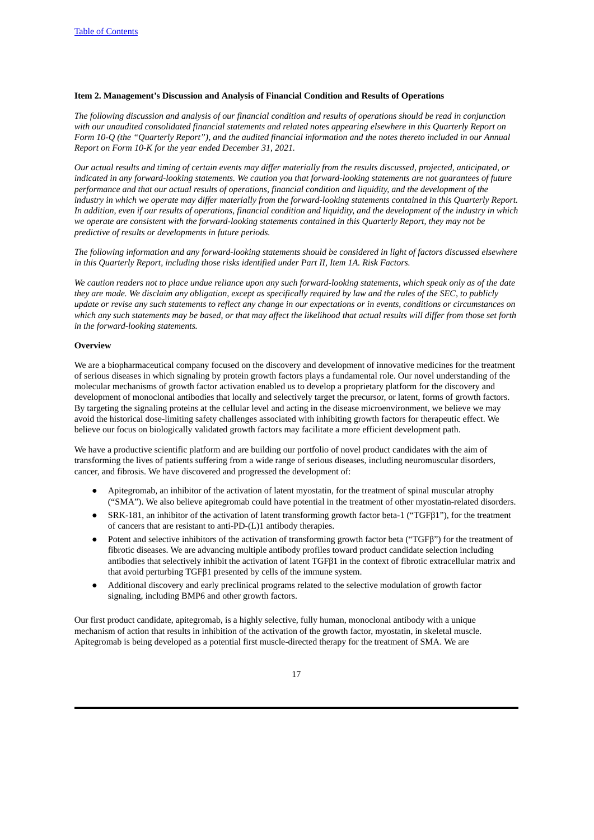## <span id="page-16-0"></span>**Item 2. Management's Discussion and Analysis of Financial Condition and Results of Operations**

The following discussion and analysis of our financial condition and results of operations should be read in conjunction with our unaudited consolidated financial statements and related notes appearing elsewhere in this Quarterly Report on Form 10-Q (the "Quarterly Report"), and the audited financial information and the notes thereto included in our Annual *Report on Form 10-K for the year ended December 31, 2021.*

Our actual results and timing of certain events may differ materially from the results discussed, projected, anticipated, or indicated in any forward-looking statements. We caution you that forward-looking statements are not guarantees of future performance and that our actual results of operations, financial condition and liquidity, and the development of the industry in which we operate may differ materially from the forward-looking statements contained in this Quarterly Report. In addition, even if our results of operations, financial condition and liquidity, and the development of the industry in which we operate are consistent with the forward-looking statements contained in this Quarterly Report, they may not be *predictive of results or developments in future periods.*

The following information and any forward-looking statements should be considered in light of factors discussed elsewhere *in this Quarterly Report, including those risks identified under Part II, Item 1A. Risk Factors.*

We caution readers not to place undue reliance upon any such forward-looking statements, which speak only as of the date they are made. We disclaim any obligation, except as specifically required by law and the rules of the SEC, to publicly update or revise any such statements to reflect any change in our expectations or in events, conditions or circumstances on which any such statements may be based, or that may affect the likelihood that actual results will differ from those set forth *in the forward-looking statements.*

# **Overview**

We are a biopharmaceutical company focused on the discovery and development of innovative medicines for the treatment of serious diseases in which signaling by protein growth factors plays a fundamental role. Our novel understanding of the molecular mechanisms of growth factor activation enabled us to develop a proprietary platform for the discovery and development of monoclonal antibodies that locally and selectively target the precursor, or latent, forms of growth factors. By targeting the signaling proteins at the cellular level and acting in the disease microenvironment, we believe we may avoid the historical dose-limiting safety challenges associated with inhibiting growth factors for therapeutic effect. We believe our focus on biologically validated growth factors may facilitate a more efficient development path.

We have a productive scientific platform and are building our portfolio of novel product candidates with the aim of transforming the lives of patients suffering from a wide range of serious diseases, including neuromuscular disorders, cancer, and fibrosis. We have discovered and progressed the development of:

- Apitegromab, an inhibitor of the activation of latent myostatin, for the treatment of spinal muscular atrophy ("SMA"). We also believe apitegromab could have potential in the treatment of other myostatin-related disorders.
- SRK-181, an inhibitor of the activation of latent transforming growth factor beta-1 ("TGFβ1"), for the treatment of cancers that are resistant to anti-PD-(L)1 antibody therapies.
- Potent and selective inhibitors of the activation of transforming growth factor beta ("TGFβ") for the treatment of fibrotic diseases. We are advancing multiple antibody profiles toward product candidate selection including antibodies that selectively inhibit the activation of latent TGFβ1 in the context of fibrotic extracellular matrix and that avoid perturbing TGFβ1 presented by cells of the immune system.
- Additional discovery and early preclinical programs related to the selective modulation of growth factor signaling, including BMP6 and other growth factors.

Our first product candidate, apitegromab, is a highly selective, fully human, monoclonal antibody with a unique mechanism of action that results in inhibition of the activation of the growth factor, myostatin, in skeletal muscle. Apitegromab is being developed as a potential first muscle-directed therapy for the treatment of SMA. We are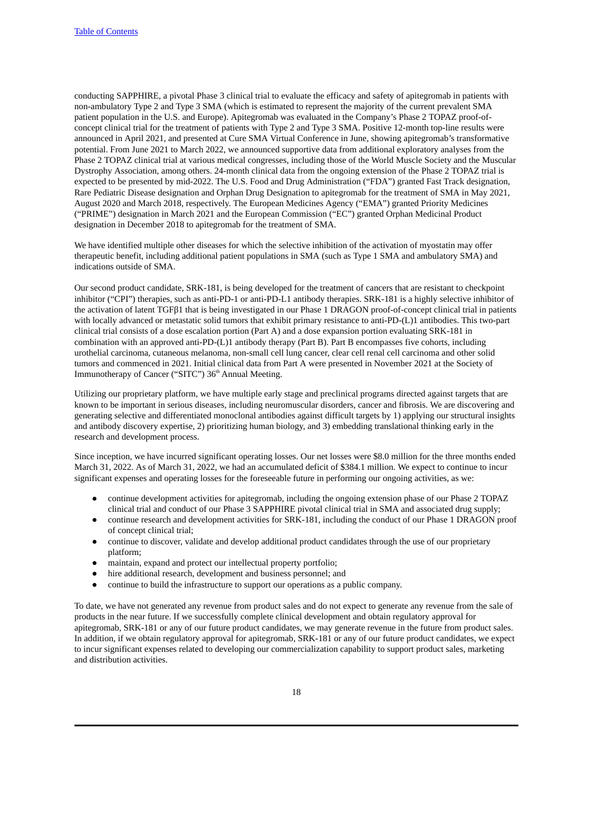conducting SAPPHIRE, a pivotal Phase 3 clinical trial to evaluate the efficacy and safety of apitegromab in patients with non-ambulatory Type 2 and Type 3 SMA (which is estimated to represent the majority of the current prevalent SMA patient population in the U.S. and Europe). Apitegromab was evaluated in the Company's Phase 2 TOPAZ proof-ofconcept clinical trial for the treatment of patients with Type 2 and Type 3 SMA. Positive 12-month top-line results were announced in April 2021, and presented at Cure SMA Virtual Conference in June, showing apitegromab's transformative potential. From June 2021 to March 2022, we announced supportive data from additional exploratory analyses from the Phase 2 TOPAZ clinical trial at various medical congresses, including those of the World Muscle Society and the Muscular Dystrophy Association, among others. 24-month clinical data from the ongoing extension of the Phase 2 TOPAZ trial is expected to be presented by mid-2022. The U.S. Food and Drug Administration ("FDA") granted Fast Track designation, Rare Pediatric Disease designation and Orphan Drug Designation to apitegromab for the treatment of SMA in May 2021, August 2020 and March 2018, respectively. The European Medicines Agency ("EMA") granted Priority Medicines ("PRIME") designation in March 2021 and the European Commission ("EC") granted Orphan Medicinal Product designation in December 2018 to apitegromab for the treatment of SMA.

We have identified multiple other diseases for which the selective inhibition of the activation of myostatin may offer therapeutic benefit, including additional patient populations in SMA (such as Type 1 SMA and ambulatory SMA) and indications outside of SMA.

Our second product candidate, SRK-181, is being developed for the treatment of cancers that are resistant to checkpoint inhibitor ("CPI") therapies, such as anti-PD-1 or anti-PD-L1 antibody therapies. SRK-181 is a highly selective inhibitor of the activation of latent TGFβ1 that is being investigated in our Phase 1 DRAGON proof-of-concept clinical trial in patients with locally advanced or metastatic solid tumors that exhibit primary resistance to anti-PD-(L)1 antibodies. This two-part clinical trial consists of a dose escalation portion (Part A) and a dose expansion portion evaluating SRK-181 in combination with an approved anti-PD-(L)1 antibody therapy (Part B). Part B encompasses five cohorts, including urothelial carcinoma, cutaneous melanoma, non-small cell lung cancer, clear cell renal cell carcinoma and other solid tumors and commenced in 2021. Initial clinical data from Part A were presented in November 2021 at the Society of Immunotherapy of Cancer ("SITC") 36<sup>th</sup> Annual Meeting.

Utilizing our proprietary platform, we have multiple early stage and preclinical programs directed against targets that are known to be important in serious diseases, including neuromuscular disorders, cancer and fibrosis. We are discovering and generating selective and differentiated monoclonal antibodies against difficult targets by 1) applying our structural insights and antibody discovery expertise, 2) prioritizing human biology, and 3) embedding translational thinking early in the research and development process.

Since inception, we have incurred significant operating losses. Our net losses were \$8.0 million for the three months ended March 31, 2022. As of March 31, 2022, we had an accumulated deficit of \$384.1 million. We expect to continue to incur significant expenses and operating losses for the foreseeable future in performing our ongoing activities, as we:

- continue development activities for apitegromab, including the ongoing extension phase of our Phase 2 TOPAZ clinical trial and conduct of our Phase 3 SAPPHIRE pivotal clinical trial in SMA and associated drug supply;
- continue research and development activities for SRK-181, including the conduct of our Phase 1 DRAGON proof of concept clinical trial;
- continue to discover, validate and develop additional product candidates through the use of our proprietary platform;
- maintain, expand and protect our intellectual property portfolio;
- hire additional research, development and business personnel; and
- continue to build the infrastructure to support our operations as a public company.

To date, we have not generated any revenue from product sales and do not expect to generate any revenue from the sale of products in the near future. If we successfully complete clinical development and obtain regulatory approval for apitegromab, SRK-181 or any of our future product candidates, we may generate revenue in the future from product sales. In addition, if we obtain regulatory approval for apitegromab, SRK-181 or any of our future product candidates, we expect to incur significant expenses related to developing our commercialization capability to support product sales, marketing and distribution activities.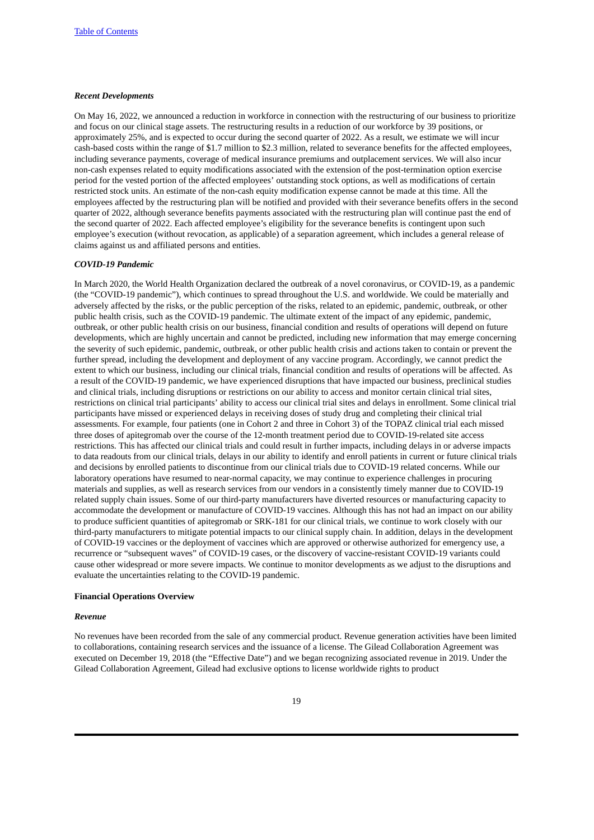#### *Recent Developments*

On May 16, 2022, we announced a reduction in workforce in connection with the restructuring of our business to prioritize and focus on our clinical stage assets. The restructuring results in a reduction of our workforce by 39 positions, or approximately 25%, and is expected to occur during the second quarter of 2022. As a result, we estimate we will incur cash-based costs within the range of \$1.7 million to \$2.3 million, related to severance benefits for the affected employees, including severance payments, coverage of medical insurance premiums and outplacement services. We will also incur non-cash expenses related to equity modifications associated with the extension of the post-termination option exercise period for the vested portion of the affected employees' outstanding stock options, as well as modifications of certain restricted stock units. An estimate of the non-cash equity modification expense cannot be made at this time. All the employees affected by the restructuring plan will be notified and provided with their severance benefits offers in the second quarter of 2022, although severance benefits payments associated with the restructuring plan will continue past the end of the second quarter of 2022. Each affected employee's eligibility for the severance benefits is contingent upon such employee's execution (without revocation, as applicable) of a separation agreement, which includes a general release of claims against us and affiliated persons and entities.

#### *COVID-19 Pandemic*

In March 2020, the World Health Organization declared the outbreak of a novel coronavirus, or COVID-19, as a pandemic (the "COVID-19 pandemic"), which continues to spread throughout the U.S. and worldwide. We could be materially and adversely affected by the risks, or the public perception of the risks, related to an epidemic, pandemic, outbreak, or other public health crisis, such as the COVID-19 pandemic. The ultimate extent of the impact of any epidemic, pandemic, outbreak, or other public health crisis on our business, financial condition and results of operations will depend on future developments, which are highly uncertain and cannot be predicted, including new information that may emerge concerning the severity of such epidemic, pandemic, outbreak, or other public health crisis and actions taken to contain or prevent the further spread, including the development and deployment of any vaccine program. Accordingly, we cannot predict the extent to which our business, including our clinical trials, financial condition and results of operations will be affected. As a result of the COVID-19 pandemic, we have experienced disruptions that have impacted our business, preclinical studies and clinical trials, including disruptions or restrictions on our ability to access and monitor certain clinical trial sites, restrictions on clinical trial participants' ability to access our clinical trial sites and delays in enrollment. Some clinical trial participants have missed or experienced delays in receiving doses of study drug and completing their clinical trial assessments. For example, four patients (one in Cohort 2 and three in Cohort 3) of the TOPAZ clinical trial each missed three doses of apitegromab over the course of the 12-month treatment period due to COVID-19-related site access restrictions. This has affected our clinical trials and could result in further impacts, including delays in or adverse impacts to data readouts from our clinical trials, delays in our ability to identify and enroll patients in current or future clinical trials and decisions by enrolled patients to discontinue from our clinical trials due to COVID-19 related concerns. While our laboratory operations have resumed to near-normal capacity, we may continue to experience challenges in procuring materials and supplies, as well as research services from our vendors in a consistently timely manner due to COVID-19 related supply chain issues. Some of our third-party manufacturers have diverted resources or manufacturing capacity to accommodate the development or manufacture of COVID-19 vaccines. Although this has not had an impact on our ability to produce sufficient quantities of apitegromab or SRK-181 for our clinical trials, we continue to work closely with our third-party manufacturers to mitigate potential impacts to our clinical supply chain. In addition, delays in the development of COVID-19 vaccines or the deployment of vaccines which are approved or otherwise authorized for emergency use, a recurrence or "subsequent waves" of COVID-19 cases, or the discovery of vaccine-resistant COVID-19 variants could cause other widespread or more severe impacts. We continue to monitor developments as we adjust to the disruptions and evaluate the uncertainties relating to the COVID-19 pandemic.

#### **Financial Operations Overview**

#### *Revenue*

No revenues have been recorded from the sale of any commercial product. Revenue generation activities have been limited to collaborations, containing research services and the issuance of a license. The Gilead Collaboration Agreement was executed on December 19, 2018 (the "Effective Date") and we began recognizing associated revenue in 2019. Under the Gilead Collaboration Agreement, Gilead had exclusive options to license worldwide rights to product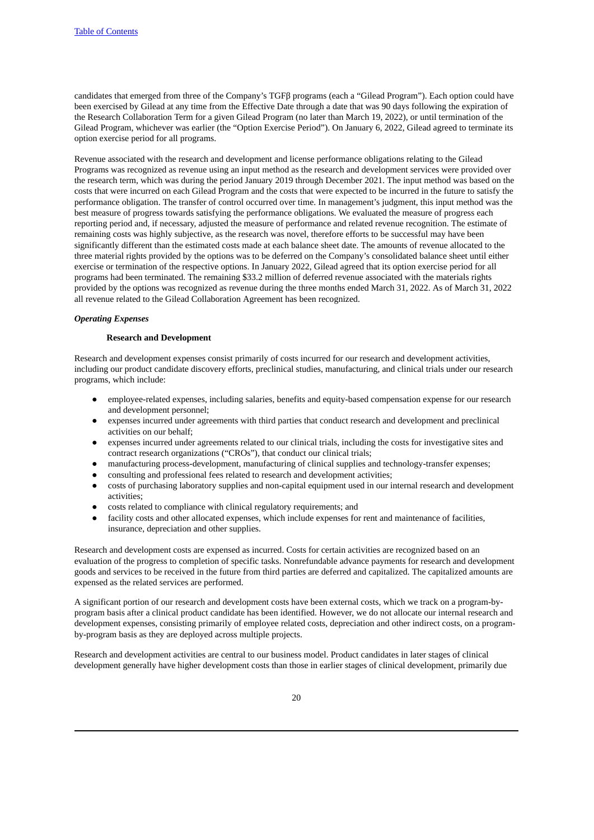candidates that emerged from three of the Company's TGFβ programs (each a "Gilead Program"). Each option could have been exercised by Gilead at any time from the Effective Date through a date that was 90 days following the expiration of the Research Collaboration Term for a given Gilead Program (no later than March 19, 2022), or until termination of the Gilead Program, whichever was earlier (the "Option Exercise Period"). On January 6, 2022, Gilead agreed to terminate its option exercise period for all programs.

Revenue associated with the research and development and license performance obligations relating to the Gilead Programs was recognized as revenue using an input method as the research and development services were provided over the research term, which was during the period January 2019 through December 2021. The input method was based on the costs that were incurred on each Gilead Program and the costs that were expected to be incurred in the future to satisfy the performance obligation. The transfer of control occurred over time. In management's judgment, this input method was the best measure of progress towards satisfying the performance obligations. We evaluated the measure of progress each reporting period and, if necessary, adjusted the measure of performance and related revenue recognition. The estimate of remaining costs was highly subjective, as the research was novel, therefore efforts to be successful may have been significantly different than the estimated costs made at each balance sheet date. The amounts of revenue allocated to the three material rights provided by the options was to be deferred on the Company's consolidated balance sheet until either exercise or termination of the respective options. In January 2022, Gilead agreed that its option exercise period for all programs had been terminated. The remaining \$33.2 million of deferred revenue associated with the materials rights provided by the options was recognized as revenue during the three months ended March 31, 2022. As of March 31, 2022 all revenue related to the Gilead Collaboration Agreement has been recognized.

#### *Operating Expenses*

#### **Research and Development**

Research and development expenses consist primarily of costs incurred for our research and development activities, including our product candidate discovery efforts, preclinical studies, manufacturing, and clinical trials under our research programs, which include:

- employee-related expenses, including salaries, benefits and equity-based compensation expense for our research and development personnel;
- expenses incurred under agreements with third parties that conduct research and development and preclinical activities on our behalf;
- expenses incurred under agreements related to our clinical trials, including the costs for investigative sites and contract research organizations ("CROs"), that conduct our clinical trials;
- manufacturing process-development, manufacturing of clinical supplies and technology-transfer expenses;
- consulting and professional fees related to research and development activities;
- costs of purchasing laboratory supplies and non-capital equipment used in our internal research and development activities;
- costs related to compliance with clinical regulatory requirements; and
- facility costs and other allocated expenses, which include expenses for rent and maintenance of facilities, insurance, depreciation and other supplies.

Research and development costs are expensed as incurred. Costs for certain activities are recognized based on an evaluation of the progress to completion of specific tasks. Nonrefundable advance payments for research and development goods and services to be received in the future from third parties are deferred and capitalized. The capitalized amounts are expensed as the related services are performed.

A significant portion of our research and development costs have been external costs, which we track on a program-byprogram basis after a clinical product candidate has been identified. However, we do not allocate our internal research and development expenses, consisting primarily of employee related costs, depreciation and other indirect costs, on a programby-program basis as they are deployed across multiple projects.

Research and development activities are central to our business model. Product candidates in later stages of clinical development generally have higher development costs than those in earlier stages of clinical development, primarily due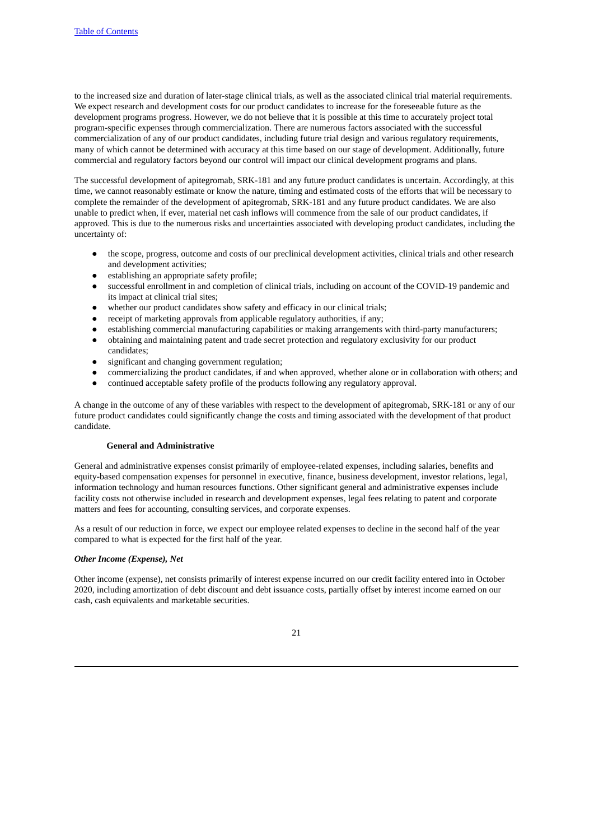to the increased size and duration of later-stage clinical trials, as well as the associated clinical trial material requirements. We expect research and development costs for our product candidates to increase for the foreseeable future as the development programs progress. However, we do not believe that it is possible at this time to accurately project total program-specific expenses through commercialization. There are numerous factors associated with the successful commercialization of any of our product candidates, including future trial design and various regulatory requirements, many of which cannot be determined with accuracy at this time based on our stage of development. Additionally, future commercial and regulatory factors beyond our control will impact our clinical development programs and plans.

The successful development of apitegromab, SRK-181 and any future product candidates is uncertain. Accordingly, at this time, we cannot reasonably estimate or know the nature, timing and estimated costs of the efforts that will be necessary to complete the remainder of the development of apitegromab, SRK-181 and any future product candidates. We are also unable to predict when, if ever, material net cash inflows will commence from the sale of our product candidates, if approved. This is due to the numerous risks and uncertainties associated with developing product candidates, including the uncertainty of:

- the scope, progress, outcome and costs of our preclinical development activities, clinical trials and other research and development activities;
- establishing an appropriate safety profile;
- successful enrollment in and completion of clinical trials, including on account of the COVID-19 pandemic and its impact at clinical trial sites;
- whether our product candidates show safety and efficacy in our clinical trials;
- receipt of marketing approvals from applicable regulatory authorities, if any;
- establishing commercial manufacturing capabilities or making arrangements with third-party manufacturers;
- obtaining and maintaining patent and trade secret protection and regulatory exclusivity for our product candidates;
- significant and changing government regulation;
- commercializing the product candidates, if and when approved, whether alone or in collaboration with others; and
- continued acceptable safety profile of the products following any regulatory approval.

A change in the outcome of any of these variables with respect to the development of apitegromab, SRK-181 or any of our future product candidates could significantly change the costs and timing associated with the development of that product candidate.

## **General and Administrative**

General and administrative expenses consist primarily of employee-related expenses, including salaries, benefits and equity-based compensation expenses for personnel in executive, finance, business development, investor relations, legal, information technology and human resources functions. Other significant general and administrative expenses include facility costs not otherwise included in research and development expenses, legal fees relating to patent and corporate matters and fees for accounting, consulting services, and corporate expenses.

As a result of our reduction in force, we expect our employee related expenses to decline in the second half of the year compared to what is expected for the first half of the year.

#### *Other Income (Expense), Net*

Other income (expense), net consists primarily of interest expense incurred on our credit facility entered into in October 2020, including amortization of debt discount and debt issuance costs, partially offset by interest income earned on our cash, cash equivalents and marketable securities.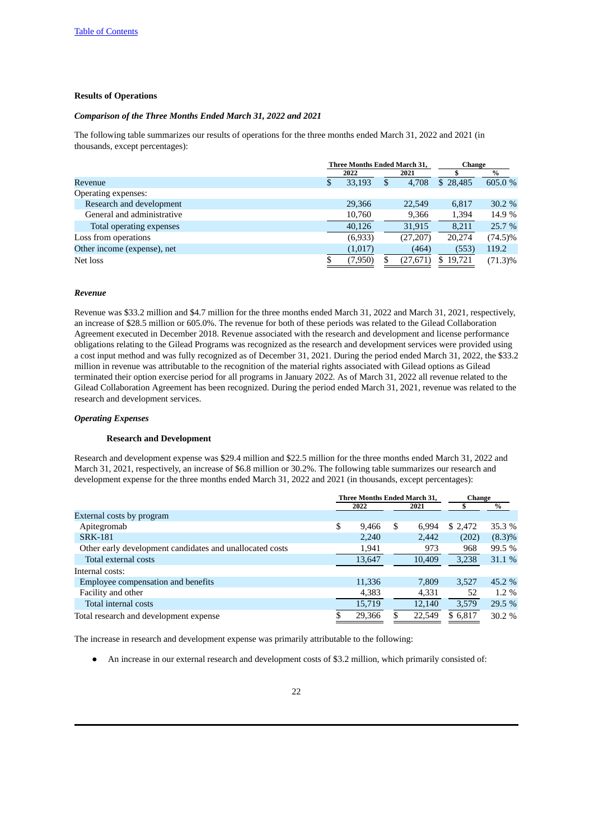## **Results of Operations**

# *Comparison of the Three Months Ended March 31, 2022 and 2021*

The following table summarizes our results of operations for the three months ended March 31, 2022 and 2021 (in thousands, except percentages):

|                             | Three Months Ended March 31, |    |           | Change      |            |
|-----------------------------|------------------------------|----|-----------|-------------|------------|
|                             | 2022                         |    | 2021      |             | $\%$       |
| Revenue                     | 33,193                       | \$ | 4.708     | \$28,485    | 605.0 %    |
| Operating expenses:         |                              |    |           |             |            |
| Research and development    | 29,366                       |    | 22,549    | 6,817       | 30.2 %     |
| General and administrative  | 10,760                       |    | 9,366     | 1,394       | 14.9 %     |
| Total operating expenses    | 40,126                       |    | 31,915    | 8,211       | 25.7 %     |
| Loss from operations        | (6,933)                      |    | (27, 207) | 20,274      | (74.5)%    |
| Other income (expense), net | (1,017)                      |    | (464)     | (553)       | 119.2      |
| Net loss                    | (7,950)                      | S  | (27, 671) | 19,721<br>S | $(71.3)\%$ |

#### *Revenue*

Revenue was \$33.2 million and \$4.7 million for the three months ended March 31, 2022 and March 31, 2021, respectively, an increase of \$28.5 million or 605.0%. The revenue for both of these periods was related to the Gilead Collaboration Agreement executed in December 2018. Revenue associated with the research and development and license performance obligations relating to the Gilead Programs was recognized as the research and development services were provided using a cost input method and was fully recognized as of December 31, 2021. During the period ended March 31, 2022, the \$33.2 million in revenue was attributable to the recognition of the material rights associated with Gilead options as Gilead terminated their option exercise period for all programs in January 2022*.* As of March 31, 2022 all revenue related to the Gilead Collaboration Agreement has been recognized. During the period ended March 31, 2021, revenue was related to the research and development services.

#### *Operating Expenses*

#### **Research and Development**

Research and development expense was \$29.4 million and \$22.5 million for the three months ended March 31, 2022 and March 31, 2021, respectively, an increase of \$6.8 million or 30.2%. The following table summarizes our research and development expense for the three months ended March 31, 2022 and 2021 (in thousands, except percentages):

|                                                          | <b>Three Months Ended March 31.</b> |        |    | <b>Change</b> |         |           |
|----------------------------------------------------------|-------------------------------------|--------|----|---------------|---------|-----------|
|                                                          |                                     | 2022   |    | 2021          |         | $\%$      |
| External costs by program                                |                                     |        |    |               |         |           |
| Apitegromab                                              | \$                                  | 9.466  | S  | 6.994         | \$2,472 | 35.3 %    |
| <b>SRK-181</b>                                           |                                     | 2,240  |    | 2,442         | (202)   | $(8.3)\%$ |
| Other early development candidates and unallocated costs |                                     | 1,941  |    | 973           | 968     | 99.5 %    |
| Total external costs                                     |                                     | 13,647 |    | 10,409        | 3,238   | 31.1 %    |
| Internal costs:                                          |                                     |        |    |               |         |           |
| Employee compensation and benefits                       |                                     | 11,336 |    | 7.809         | 3,527   | 45.2 %    |
| Facility and other                                       |                                     | 4,383  |    | 4,331         | 52      | $1.2\%$   |
| Total internal costs                                     |                                     | 15,719 |    | 12.140        | 3.579   | 29.5 %    |
| Total research and development expense                   | S                                   | 29.366 | \$ | 22.549        | \$6.817 | 30.2 %    |

The increase in research and development expense was primarily attributable to the following:

● An increase in our external research and development costs of \$3.2 million, which primarily consisted of: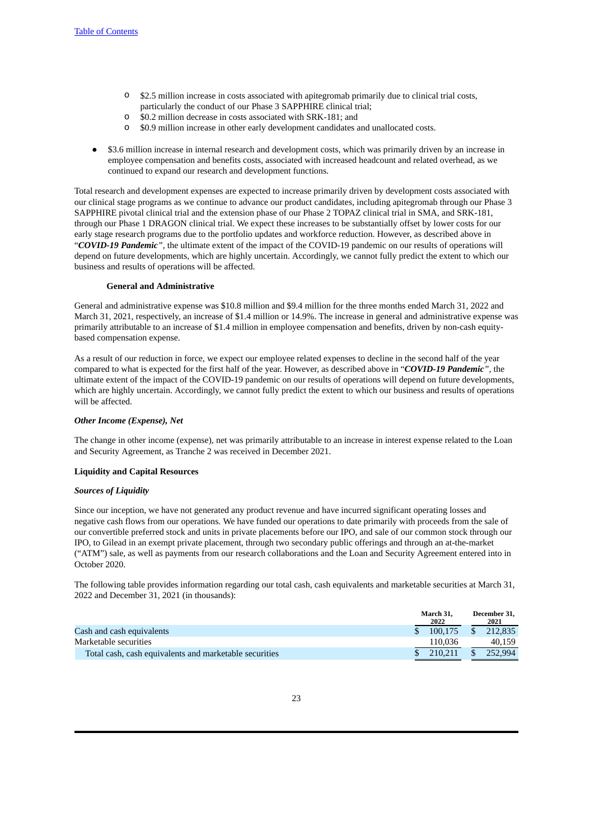- o \$2.5 million increase in costs associated with apitegromab primarily due to clinical trial costs, particularly the conduct of our Phase 3 SAPPHIRE clinical trial;
- o \$0.2 million decrease in costs associated with SRK-181; and
- o \$0.9 million increase in other early development candidates and unallocated costs.
- \$3.6 million increase in internal research and development costs, which was primarily driven by an increase in employee compensation and benefits costs, associated with increased headcount and related overhead, as we continued to expand our research and development functions.

Total research and development expenses are expected to increase primarily driven by development costs associated with our clinical stage programs as we continue to advance our product candidates, including apitegromab through our Phase 3 SAPPHIRE pivotal clinical trial and the extension phase of our Phase 2 TOPAZ clinical trial in SMA, and SRK-181, through our Phase 1 DRAGON clinical trial. We expect these increases to be substantially offset by lower costs for our early stage research programs due to the portfolio updates and workforce reduction. However, as described above in "*COVID-19 Pandemic"*, the ultimate extent of the impact of the COVID-19 pandemic on our results of operations will depend on future developments, which are highly uncertain. Accordingly, we cannot fully predict the extent to which our business and results of operations will be affected.

## **General and Administrative**

General and administrative expense was \$10.8 million and \$9.4 million for the three months ended March 31, 2022 and March 31, 2021, respectively, an increase of \$1.4 million or 14.9%. The increase in general and administrative expense was primarily attributable to an increase of \$1.4 million in employee compensation and benefits, driven by non-cash equitybased compensation expense.

As a result of our reduction in force, we expect our employee related expenses to decline in the second half of the year compared to what is expected for the first half of the year. However, as described above in "*COVID-19 Pandemic"*, the ultimate extent of the impact of the COVID-19 pandemic on our results of operations will depend on future developments, which are highly uncertain. Accordingly, we cannot fully predict the extent to which our business and results of operations will be affected.

# *Other Income (Expense), Net*

The change in other income (expense), net was primarily attributable to an increase in interest expense related to the Loan and Security Agreement, as Tranche 2 was received in December 2021.

#### **Liquidity and Capital Resources**

#### *Sources of Liquidity*

Since our inception, we have not generated any product revenue and have incurred significant operating losses and negative cash flows from our operations. We have funded our operations to date primarily with proceeds from the sale of our convertible preferred stock and units in private placements before our IPO, and sale of our common stock through our IPO, to Gilead in an exempt private placement, through two secondary public offerings and through an at-the-market ("ATM") sale, as well as payments from our research collaborations and the Loan and Security Agreement entered into in October 2020.

The following table provides information regarding our total cash, cash equivalents and marketable securities at March 31, 2022 and December 31, 2021 (in thousands):

|                                                        | March 31.<br>2022 |               | December 31.<br>2021 |
|--------------------------------------------------------|-------------------|---------------|----------------------|
| Cash and cash equivalents                              | 100.175           | <sup>\$</sup> | 212.835              |
| Marketable securities                                  | 110.036           |               | 40.159               |
| Total cash, cash equivalents and marketable securities | 210.211           |               | 252.994              |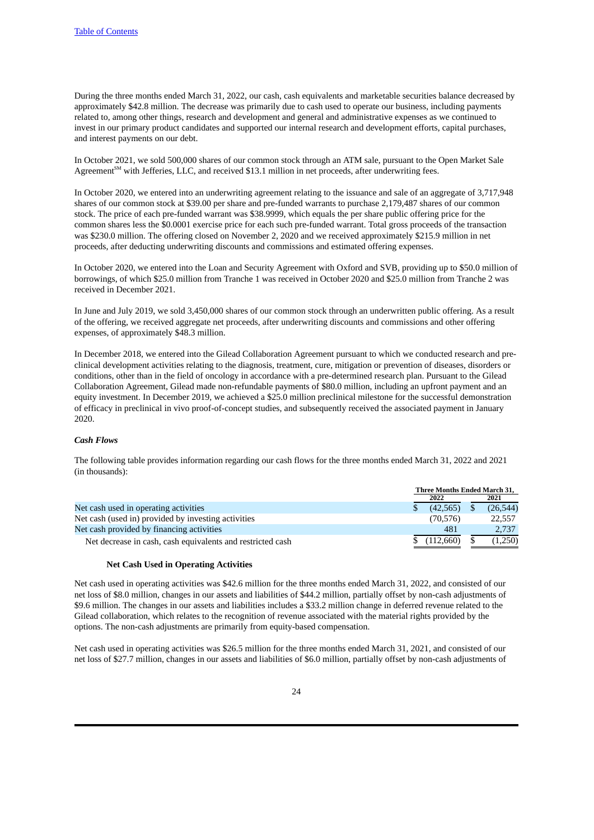During the three months ended March 31, 2022, our cash, cash equivalents and marketable securities balance decreased by approximately \$42.8 million. The decrease was primarily due to cash used to operate our business, including payments related to, among other things, research and development and general and administrative expenses as we continued to invest in our primary product candidates and supported our internal research and development efforts, capital purchases, and interest payments on our debt.

In October 2021, we sold 500,000 shares of our common stock through an ATM sale, pursuant to the Open Market Sale Agreement<sup>SM</sup> with Jefferies, LLC, and received \$13.1 million in net proceeds, after underwriting fees.

In October 2020, we entered into an underwriting agreement relating to the issuance and sale of an aggregate of 3,717,948 shares of our common stock at \$39.00 per share and pre-funded warrants to purchase 2,179,487 shares of our common stock. The price of each pre-funded warrant was \$38.9999, which equals the per share public offering price for the common shares less the \$0.0001 exercise price for each such pre-funded warrant. Total gross proceeds of the transaction was \$230.0 million. The offering closed on November 2, 2020 and we received approximately \$215.9 million in net proceeds, after deducting underwriting discounts and commissions and estimated offering expenses.

In October 2020, we entered into the Loan and Security Agreement with Oxford and SVB, providing up to \$50.0 million of borrowings, of which \$25.0 million from Tranche 1 was received in October 2020 and \$25.0 million from Tranche 2 was received in December 2021.

In June and July 2019, we sold 3,450,000 shares of our common stock through an underwritten public offering. As a result of the offering, we received aggregate net proceeds, after underwriting discounts and commissions and other offering expenses, of approximately \$48.3 million.

In December 2018, we entered into the Gilead Collaboration Agreement pursuant to which we conducted research and preclinical development activities relating to the diagnosis, treatment, cure, mitigation or prevention of diseases, disorders or conditions, other than in the field of oncology in accordance with a pre-determined research plan. Pursuant to the Gilead Collaboration Agreement, Gilead made non-refundable payments of \$80.0 million, including an upfront payment and an equity investment. In December 2019, we achieved a \$25.0 million preclinical milestone for the successful demonstration of efficacy in preclinical in vivo proof-of-concept studies, and subsequently received the associated payment in January 2020.

#### *Cash Flows*

The following table provides information regarding our cash flows for the three months ended March 31, 2022 and 2021 (in thousands):

|                                                            | Three Months Ended March 31, |           |  |          |
|------------------------------------------------------------|------------------------------|-----------|--|----------|
|                                                            |                              | 2022      |  | 2021     |
| Net cash used in operating activities                      |                              | (42.565)  |  | (26,544) |
| Net cash (used in) provided by investing activities        |                              | (70, 576) |  | 22,557   |
| Net cash provided by financing activities                  |                              | 481       |  | 2,737    |
| Net decrease in cash, cash equivalents and restricted cash |                              | (112.660) |  | (1.250)  |

#### **Net Cash Used in Operating Activities**

Net cash used in operating activities was \$42.6 million for the three months ended March 31, 2022, and consisted of our net loss of \$8.0 million, changes in our assets and liabilities of \$44.2 million, partially offset by non-cash adjustments of \$9.6 million. The changes in our assets and liabilities includes a \$33.2 million change in deferred revenue related to the Gilead collaboration, which relates to the recognition of revenue associated with the material rights provided by the options. The non-cash adjustments are primarily from equity-based compensation.

Net cash used in operating activities was \$26.5 million for the three months ended March 31, 2021, and consisted of our net loss of \$27.7 million, changes in our assets and liabilities of \$6.0 million, partially offset by non-cash adjustments of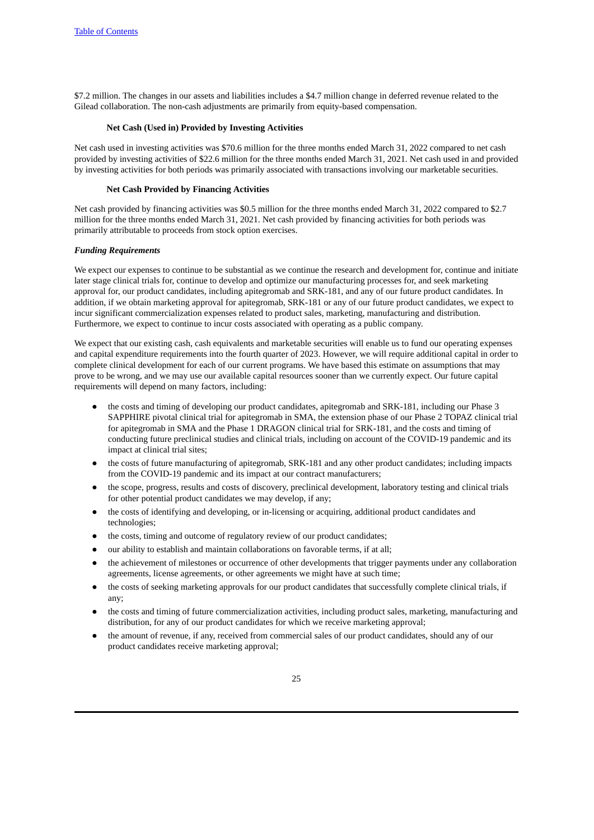\$7.2 million. The changes in our assets and liabilities includes a \$4.7 million change in deferred revenue related to the Gilead collaboration. The non-cash adjustments are primarily from equity-based compensation.

#### **Net Cash (Used in) Provided by Investing Activities**

Net cash used in investing activities was \$70.6 million for the three months ended March 31, 2022 compared to net cash provided by investing activities of \$22.6 million for the three months ended March 31, 2021. Net cash used in and provided by investing activities for both periods was primarily associated with transactions involving our marketable securities.

## **Net Cash Provided by Financing Activities**

Net cash provided by financing activities was \$0.5 million for the three months ended March 31, 2022 compared to \$2.7 million for the three months ended March 31, 2021. Net cash provided by financing activities for both periods was primarily attributable to proceeds from stock option exercises.

#### *Funding Requirements*

We expect our expenses to continue to be substantial as we continue the research and development for, continue and initiate later stage clinical trials for, continue to develop and optimize our manufacturing processes for, and seek marketing approval for, our product candidates, including apitegromab and SRK-181, and any of our future product candidates. In addition, if we obtain marketing approval for apitegromab, SRK-181 or any of our future product candidates, we expect to incur significant commercialization expenses related to product sales, marketing, manufacturing and distribution. Furthermore, we expect to continue to incur costs associated with operating as a public company.

We expect that our existing cash, cash equivalents and marketable securities will enable us to fund our operating expenses and capital expenditure requirements into the fourth quarter of 2023. However, we will require additional capital in order to complete clinical development for each of our current programs. We have based this estimate on assumptions that may prove to be wrong, and we may use our available capital resources sooner than we currently expect. Our future capital requirements will depend on many factors, including:

- the costs and timing of developing our product candidates, apitegromab and SRK-181, including our Phase 3 SAPPHIRE pivotal clinical trial for apitegromab in SMA, the extension phase of our Phase 2 TOPAZ clinical trial for apitegromab in SMA and the Phase 1 DRAGON clinical trial for SRK-181, and the costs and timing of conducting future preclinical studies and clinical trials, including on account of the COVID-19 pandemic and its impact at clinical trial sites;
- the costs of future manufacturing of apitegromab, SRK-181 and any other product candidates; including impacts from the COVID-19 pandemic and its impact at our contract manufacturers;
- the scope, progress, results and costs of discovery, preclinical development, laboratory testing and clinical trials for other potential product candidates we may develop, if any;
- the costs of identifying and developing, or in-licensing or acquiring, additional product candidates and technologies;
- the costs, timing and outcome of regulatory review of our product candidates;
- our ability to establish and maintain collaborations on favorable terms, if at all;
- the achievement of milestones or occurrence of other developments that trigger payments under any collaboration agreements, license agreements, or other agreements we might have at such time;
- the costs of seeking marketing approvals for our product candidates that successfully complete clinical trials, if any;
- the costs and timing of future commercialization activities, including product sales, marketing, manufacturing and distribution, for any of our product candidates for which we receive marketing approval;
- the amount of revenue, if any, received from commercial sales of our product candidates, should any of our product candidates receive marketing approval;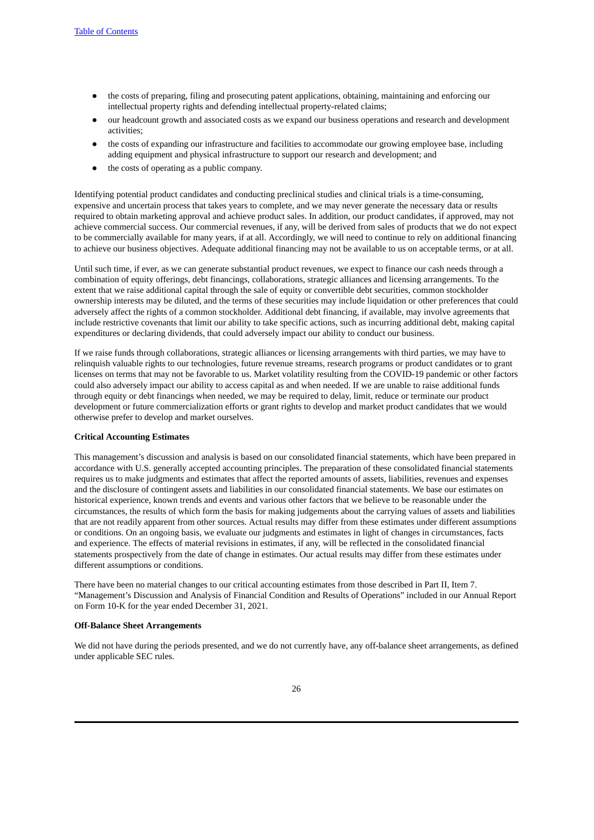- the costs of preparing, filing and prosecuting patent applications, obtaining, maintaining and enforcing our intellectual property rights and defending intellectual property-related claims;
- our headcount growth and associated costs as we expand our business operations and research and development activities;
- the costs of expanding our infrastructure and facilities to accommodate our growing employee base, including adding equipment and physical infrastructure to support our research and development; and
- the costs of operating as a public company.

Identifying potential product candidates and conducting preclinical studies and clinical trials is a time-consuming, expensive and uncertain process that takes years to complete, and we may never generate the necessary data or results required to obtain marketing approval and achieve product sales. In addition, our product candidates, if approved, may not achieve commercial success. Our commercial revenues, if any, will be derived from sales of products that we do not expect to be commercially available for many years, if at all. Accordingly, we will need to continue to rely on additional financing to achieve our business objectives. Adequate additional financing may not be available to us on acceptable terms, or at all.

Until such time, if ever, as we can generate substantial product revenues, we expect to finance our cash needs through a combination of equity offerings, debt financings, collaborations, strategic alliances and licensing arrangements. To the extent that we raise additional capital through the sale of equity or convertible debt securities, common stockholder ownership interests may be diluted, and the terms of these securities may include liquidation or other preferences that could adversely affect the rights of a common stockholder. Additional debt financing, if available, may involve agreements that include restrictive covenants that limit our ability to take specific actions, such as incurring additional debt, making capital expenditures or declaring dividends, that could adversely impact our ability to conduct our business.

If we raise funds through collaborations, strategic alliances or licensing arrangements with third parties, we may have to relinquish valuable rights to our technologies, future revenue streams, research programs or product candidates or to grant licenses on terms that may not be favorable to us. Market volatility resulting from the COVID-19 pandemic or other factors could also adversely impact our ability to access capital as and when needed. If we are unable to raise additional funds through equity or debt financings when needed, we may be required to delay, limit, reduce or terminate our product development or future commercialization efforts or grant rights to develop and market product candidates that we would otherwise prefer to develop and market ourselves.

#### **Critical Accounting Estimates**

This management's discussion and analysis is based on our consolidated financial statements, which have been prepared in accordance with U.S. generally accepted accounting principles. The preparation of these consolidated financial statements requires us to make judgments and estimates that affect the reported amounts of assets, liabilities, revenues and expenses and the disclosure of contingent assets and liabilities in our consolidated financial statements. We base our estimates on historical experience, known trends and events and various other factors that we believe to be reasonable under the circumstances, the results of which form the basis for making judgements about the carrying values of assets and liabilities that are not readily apparent from other sources. Actual results may differ from these estimates under different assumptions or conditions. On an ongoing basis, we evaluate our judgments and estimates in light of changes in circumstances, facts and experience. The effects of material revisions in estimates, if any, will be reflected in the consolidated financial statements prospectively from the date of change in estimates. Our actual results may differ from these estimates under different assumptions or conditions.

There have been no material changes to our critical accounting estimates from those described in Part II, Item 7. "Management's Discussion and Analysis of Financial Condition and Results of Operations" included in our Annual Report on Form 10-K for the year ended December 31, 2021.

#### **Off-Balance Sheet Arrangements**

We did not have during the periods presented, and we do not currently have, any off-balance sheet arrangements, as defined under applicable SEC rules.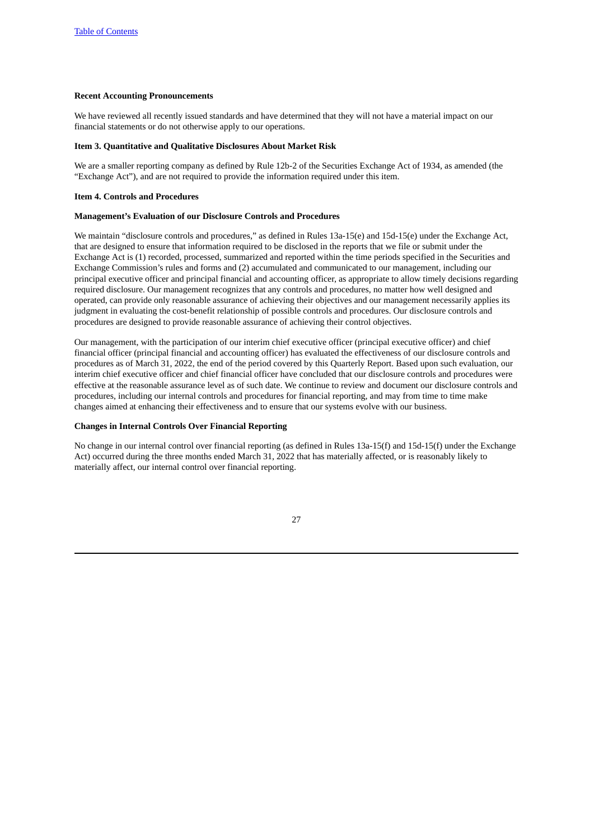#### **Recent Accounting Pronouncements**

We have reviewed all recently issued standards and have determined that they will not have a material impact on our financial statements or do not otherwise apply to our operations.

#### <span id="page-26-0"></span>**Item 3. Quantitative and Qualitative Disclosures About Market Risk**

We are a smaller reporting company as defined by Rule 12b-2 of the Securities Exchange Act of 1934, as amended (the "Exchange Act"), and are not required to provide the information required under this item.

## <span id="page-26-1"></span>**Item 4. Controls and Procedures**

#### **Management's Evaluation of our Disclosure Controls and Procedures**

We maintain "disclosure controls and procedures," as defined in Rules 13a-15(e) and 15d-15(e) under the Exchange Act, that are designed to ensure that information required to be disclosed in the reports that we file or submit under the Exchange Act is (1) recorded, processed, summarized and reported within the time periods specified in the Securities and Exchange Commission's rules and forms and (2) accumulated and communicated to our management, including our principal executive officer and principal financial and accounting officer, as appropriate to allow timely decisions regarding required disclosure. Our management recognizes that any controls and procedures, no matter how well designed and operated, can provide only reasonable assurance of achieving their objectives and our management necessarily applies its judgment in evaluating the cost-benefit relationship of possible controls and procedures. Our disclosure controls and procedures are designed to provide reasonable assurance of achieving their control objectives.

Our management, with the participation of our interim chief executive officer (principal executive officer) and chief financial officer (principal financial and accounting officer) has evaluated the effectiveness of our disclosure controls and procedures as of March 31, 2022, the end of the period covered by this Quarterly Report. Based upon such evaluation, our interim chief executive officer and chief financial officer have concluded that our disclosure controls and procedures were effective at the reasonable assurance level as of such date. We continue to review and document our disclosure controls and procedures, including our internal controls and procedures for financial reporting, and may from time to time make changes aimed at enhancing their effectiveness and to ensure that our systems evolve with our business.

#### **Changes in Internal Controls Over Financial Reporting**

No change in our internal control over financial reporting (as defined in Rules 13a-15(f) and 15d-15(f) under the Exchange Act) occurred during the three months ended March 31, 2022 that has materially affected, or is reasonably likely to materially affect, our internal control over financial reporting.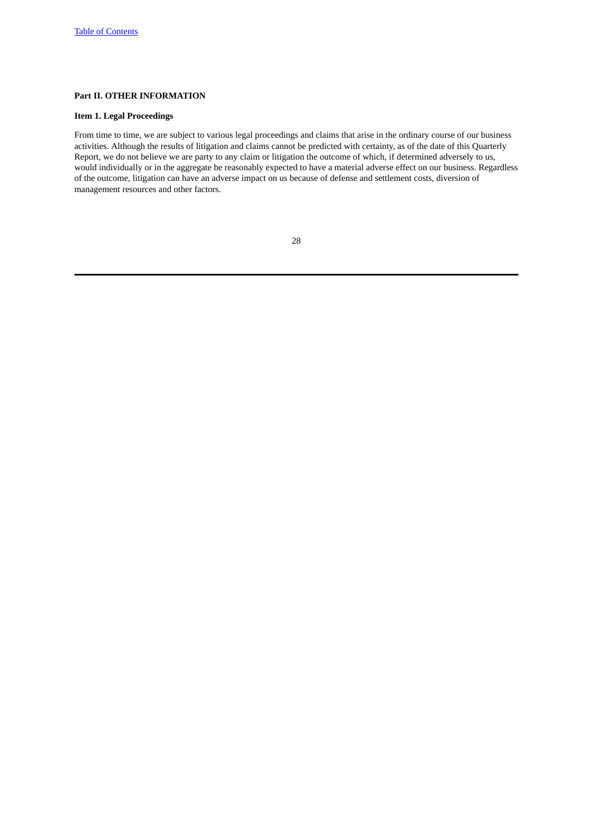# <span id="page-27-0"></span>**Part II. OTHER INFORMATION**

# <span id="page-27-1"></span>**Item 1. Legal Proceedings**

From time to time, we are subject to various legal proceedings and claims that arise in the ordinary course of our business activities. Although the results of litigation and claims cannot be predicted with certainty, as of the date of this Quarterly Report, we do not believe we are party to any claim or litigation the outcome of which, if determined adversely to us, would individually or in the aggregate be reasonably expected to have a material adverse effect on our business. Regardless of the outcome, litigation can have an adverse impact on us because of defense and settlement costs, diversion of management resources and other factors.

| ٦<br>v |
|--------|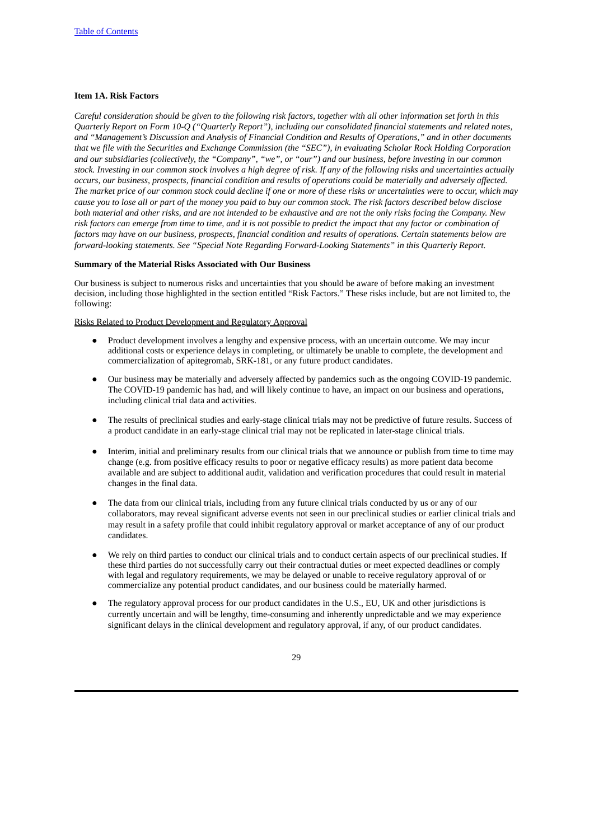## <span id="page-28-0"></span>**Item 1A. Risk Factors**

Careful consideration should be given to the following risk factors, together with all other information set forth in this *Quarterly Report on Form 10-Q ("Quarterly Report"), including our consolidated financial statements and related notes,* and "Management's Discussion and Analysis of Financial Condition and Results of Operations," and in other documents that we file with the Securities and Exchange Commission (the "SEC"), in evaluating Scholar Rock Holding Corporation and our subsidiaries (collectively, the "Company", "we", or "our") and our business, before investing in our common stock. Investing in our common stock involves a high degree of risk. If any of the following risks and uncertainties actually occurs, our business, prospects, financial condition and results of operations could be materially and adversely affected. The market price of our common stock could decline if one or more of these risks or uncertainties were to occur, which may cause you to lose all or part of the money you paid to buy our common stock. The risk factors described below disclose both material and other risks, and are not intended to be exhaustive and are not the only risks facing the Company. New risk factors can emerge from time to time, and it is not possible to predict the impact that any factor or combination of factors may have on our business, prospects, financial condition and results of operations. Certain statements below are *forward-looking statements. See "Special Note Regarding Forward-Looking Statements" in this Quarterly Report.*

## **Summary of the Material Risks Associated with Our Business**

Our business is subject to numerous risks and uncertainties that you should be aware of before making an investment decision, including those highlighted in the section entitled "Risk Factors." These risks include, but are not limited to, the following:

Risks Related to Product Development and Regulatory Approval

- Product development involves a lengthy and expensive process, with an uncertain outcome. We may incur additional costs or experience delays in completing, or ultimately be unable to complete, the development and commercialization of apitegromab, SRK-181, or any future product candidates.
- Our business may be materially and adversely affected by pandemics such as the ongoing COVID-19 pandemic. The COVID-19 pandemic has had, and will likely continue to have, an impact on our business and operations, including clinical trial data and activities.
- The results of preclinical studies and early-stage clinical trials may not be predictive of future results. Success of a product candidate in an early-stage clinical trial may not be replicated in later-stage clinical trials.
- Interim, initial and preliminary results from our clinical trials that we announce or publish from time to time may change (e.g. from positive efficacy results to poor or negative efficacy results) as more patient data become available and are subject to additional audit, validation and verification procedures that could result in material changes in the final data.
- The data from our clinical trials, including from any future clinical trials conducted by us or any of our collaborators, may reveal significant adverse events not seen in our preclinical studies or earlier clinical trials and may result in a safety profile that could inhibit regulatory approval or market acceptance of any of our product candidates.
- We rely on third parties to conduct our clinical trials and to conduct certain aspects of our preclinical studies. If these third parties do not successfully carry out their contractual duties or meet expected deadlines or comply with legal and regulatory requirements, we may be delayed or unable to receive regulatory approval of or commercialize any potential product candidates, and our business could be materially harmed.
- The regulatory approval process for our product candidates in the U.S., EU, UK and other jurisdictions is currently uncertain and will be lengthy, time-consuming and inherently unpredictable and we may experience significant delays in the clinical development and regulatory approval, if any, of our product candidates.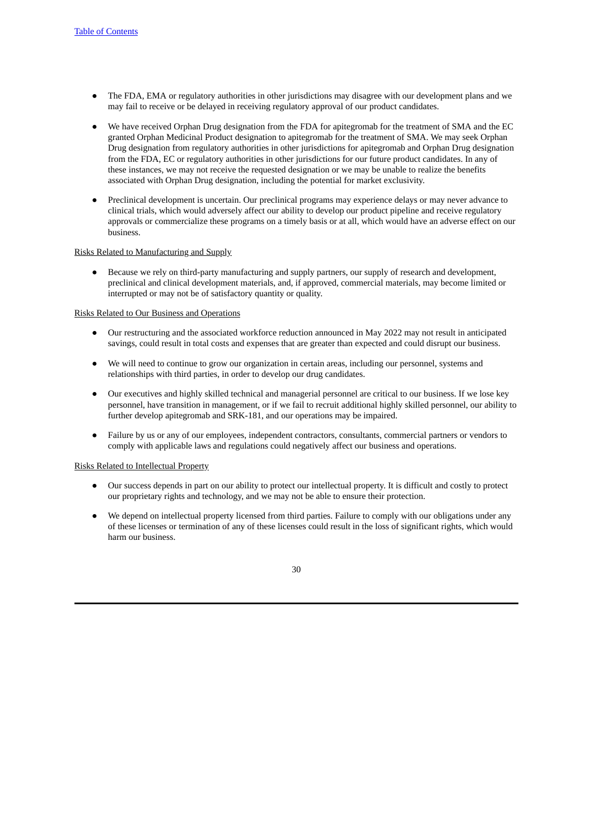- The FDA, EMA or regulatory authorities in other jurisdictions may disagree with our development plans and we may fail to receive or be delayed in receiving regulatory approval of our product candidates.
- We have received Orphan Drug designation from the FDA for apitegromab for the treatment of SMA and the EC granted Orphan Medicinal Product designation to apitegromab for the treatment of SMA. We may seek Orphan Drug designation from regulatory authorities in other jurisdictions for apitegromab and Orphan Drug designation from the FDA, EC or regulatory authorities in other jurisdictions for our future product candidates. In any of these instances, we may not receive the requested designation or we may be unable to realize the benefits associated with Orphan Drug designation, including the potential for market exclusivity.
- Preclinical development is uncertain. Our preclinical programs may experience delays or may never advance to clinical trials, which would adversely affect our ability to develop our product pipeline and receive regulatory approvals or commercialize these programs on a timely basis or at all, which would have an adverse effect on our business.

## Risks Related to Manufacturing and Supply

● Because we rely on third-party manufacturing and supply partners, our supply of research and development, preclinical and clinical development materials, and, if approved, commercial materials, may become limited or interrupted or may not be of satisfactory quantity or quality.

## Risks Related to Our Business and Operations

- Our restructuring and the associated workforce reduction announced in May 2022 may not result in anticipated savings, could result in total costs and expenses that are greater than expected and could disrupt our business.
- We will need to continue to grow our organization in certain areas, including our personnel, systems and relationships with third parties, in order to develop our drug candidates.
- Our executives and highly skilled technical and managerial personnel are critical to our business. If we lose key personnel, have transition in management, or if we fail to recruit additional highly skilled personnel, our ability to further develop apitegromab and SRK-181, and our operations may be impaired.
- Failure by us or any of our employees, independent contractors, consultants, commercial partners or vendors to comply with applicable laws and regulations could negatively affect our business and operations.

#### Risks Related to Intellectual Property

- Our success depends in part on our ability to protect our intellectual property. It is difficult and costly to protect our proprietary rights and technology, and we may not be able to ensure their protection.
- We depend on intellectual property licensed from third parties. Failure to comply with our obligations under any of these licenses or termination of any of these licenses could result in the loss of significant rights, which would harm our business.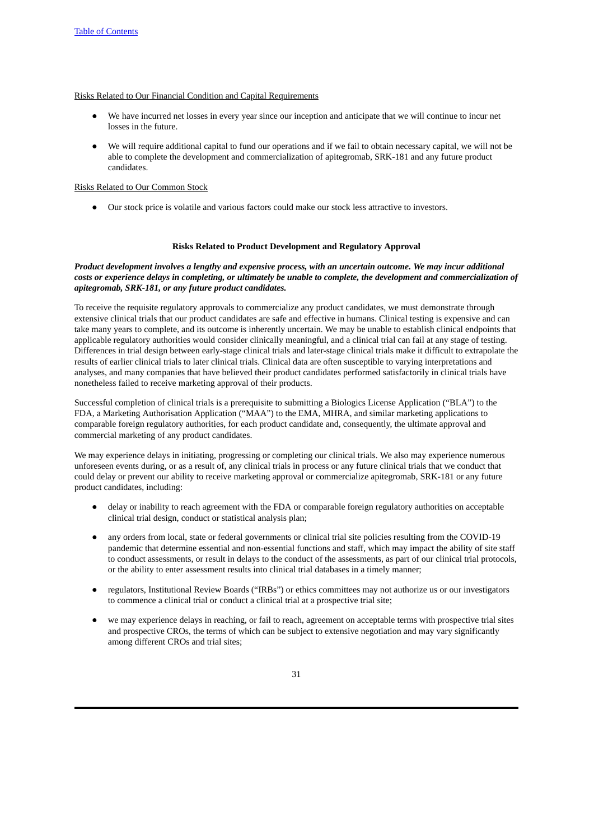## Risks Related to Our Financial Condition and Capital Requirements

- We have incurred net losses in every year since our inception and anticipate that we will continue to incur net losses in the future.
- We will require additional capital to fund our operations and if we fail to obtain necessary capital, we will not be able to complete the development and commercialization of apitegromab, SRK-181 and any future product candidates.

## Risks Related to Our Common Stock

● Our stock price is volatile and various factors could make our stock less attractive to investors.

## **Risks Related to Product Development and Regulatory Approval**

# *Product development involves a lengthy and expensive process, with an uncertain outcome. We may incur additional* costs or experience delays in completing, or ultimately be unable to complete, the development and commercialization of *apitegromab, SRK-181, or any future product candidates.*

To receive the requisite regulatory approvals to commercialize any product candidates, we must demonstrate through extensive clinical trials that our product candidates are safe and effective in humans. Clinical testing is expensive and can take many years to complete, and its outcome is inherently uncertain. We may be unable to establish clinical endpoints that applicable regulatory authorities would consider clinically meaningful, and a clinical trial can fail at any stage of testing. Differences in trial design between early-stage clinical trials and later-stage clinical trials make it difficult to extrapolate the results of earlier clinical trials to later clinical trials. Clinical data are often susceptible to varying interpretations and analyses, and many companies that have believed their product candidates performed satisfactorily in clinical trials have nonetheless failed to receive marketing approval of their products.

Successful completion of clinical trials is a prerequisite to submitting a Biologics License Application ("BLA") to the FDA, a Marketing Authorisation Application ("MAA") to the EMA, MHRA, and similar marketing applications to comparable foreign regulatory authorities, for each product candidate and, consequently, the ultimate approval and commercial marketing of any product candidates.

We may experience delays in initiating, progressing or completing our clinical trials. We also may experience numerous unforeseen events during, or as a result of, any clinical trials in process or any future clinical trials that we conduct that could delay or prevent our ability to receive marketing approval or commercialize apitegromab, SRK-181 or any future product candidates, including:

- delay or inability to reach agreement with the FDA or comparable foreign regulatory authorities on acceptable clinical trial design, conduct or statistical analysis plan;
- any orders from local, state or federal governments or clinical trial site policies resulting from the COVID-19 pandemic that determine essential and non-essential functions and staff, which may impact the ability of site staff to conduct assessments, or result in delays to the conduct of the assessments, as part of our clinical trial protocols, or the ability to enter assessment results into clinical trial databases in a timely manner;
- regulators, Institutional Review Boards ("IRBs") or ethics committees may not authorize us or our investigators to commence a clinical trial or conduct a clinical trial at a prospective trial site;
- we may experience delays in reaching, or fail to reach, agreement on acceptable terms with prospective trial sites and prospective CROs, the terms of which can be subject to extensive negotiation and may vary significantly among different CROs and trial sites;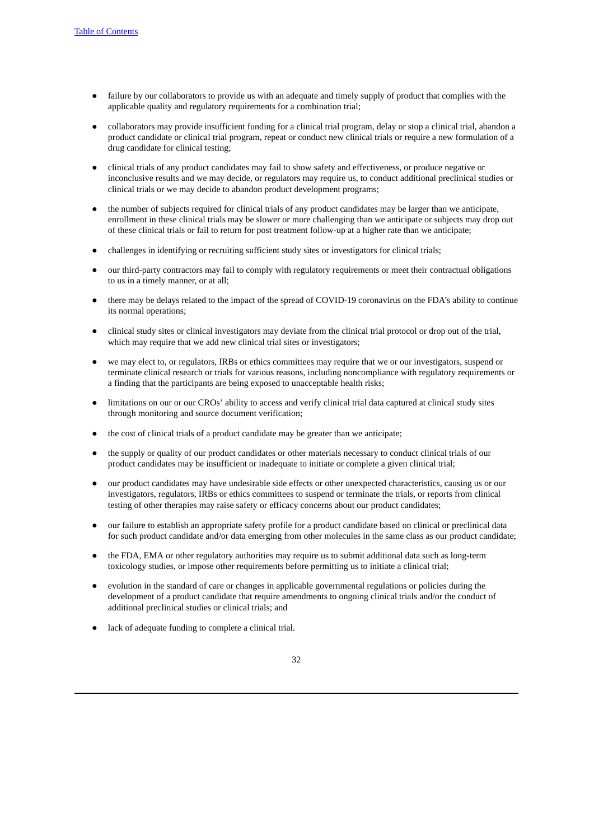- failure by our collaborators to provide us with an adequate and timely supply of product that complies with the applicable quality and regulatory requirements for a combination trial;
- collaborators may provide insufficient funding for a clinical trial program, delay or stop a clinical trial, abandon a product candidate or clinical trial program, repeat or conduct new clinical trials or require a new formulation of a drug candidate for clinical testing;
- clinical trials of any product candidates may fail to show safety and effectiveness, or produce negative or inconclusive results and we may decide, or regulators may require us, to conduct additional preclinical studies or clinical trials or we may decide to abandon product development programs;
- the number of subjects required for clinical trials of any product candidates may be larger than we anticipate, enrollment in these clinical trials may be slower or more challenging than we anticipate or subjects may drop out of these clinical trials or fail to return for post treatment follow-up at a higher rate than we anticipate;
- challenges in identifying or recruiting sufficient study sites or investigators for clinical trials;
- our third-party contractors may fail to comply with regulatory requirements or meet their contractual obligations to us in a timely manner, or at all;
- there may be delays related to the impact of the spread of COVID-19 coronavirus on the FDA's ability to continue its normal operations;
- clinical study sites or clinical investigators may deviate from the clinical trial protocol or drop out of the trial, which may require that we add new clinical trial sites or investigators:
- we may elect to, or regulators, IRBs or ethics committees may require that we or our investigators, suspend or terminate clinical research or trials for various reasons, including noncompliance with regulatory requirements or a finding that the participants are being exposed to unacceptable health risks;
- limitations on our or our CROs' ability to access and verify clinical trial data captured at clinical study sites through monitoring and source document verification;
- the cost of clinical trials of a product candidate may be greater than we anticipate;
- the supply or quality of our product candidates or other materials necessary to conduct clinical trials of our product candidates may be insufficient or inadequate to initiate or complete a given clinical trial;
- our product candidates may have undesirable side effects or other unexpected characteristics, causing us or our investigators, regulators, IRBs or ethics committees to suspend or terminate the trials, or reports from clinical testing of other therapies may raise safety or efficacy concerns about our product candidates;
- our failure to establish an appropriate safety profile for a product candidate based on clinical or preclinical data for such product candidate and/or data emerging from other molecules in the same class as our product candidate;
- the FDA, EMA or other regulatory authorities may require us to submit additional data such as long-term toxicology studies, or impose other requirements before permitting us to initiate a clinical trial;
- evolution in the standard of care or changes in applicable governmental regulations or policies during the development of a product candidate that require amendments to ongoing clinical trials and/or the conduct of additional preclinical studies or clinical trials; and
- lack of adequate funding to complete a clinical trial.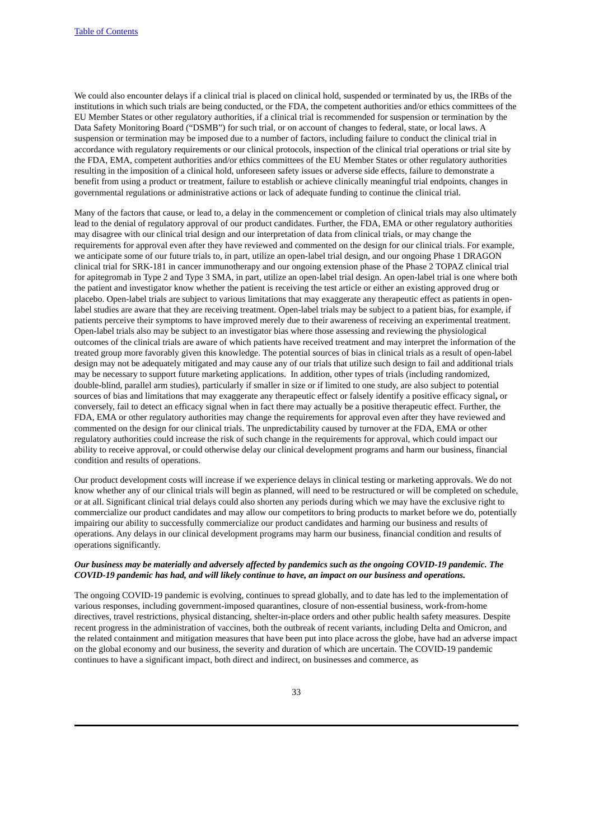We could also encounter delays if a clinical trial is placed on clinical hold, suspended or terminated by us, the IRBs of the institutions in which such trials are being conducted, or the FDA, the competent authorities and/or ethics committees of the EU Member States or other regulatory authorities, if a clinical trial is recommended for suspension or termination by the Data Safety Monitoring Board ("DSMB") for such trial, or on account of changes to federal, state, or local laws. A suspension or termination may be imposed due to a number of factors, including failure to conduct the clinical trial in accordance with regulatory requirements or our clinical protocols, inspection of the clinical trial operations or trial site by the FDA, EMA, competent authorities and/or ethics committees of the EU Member States or other regulatory authorities resulting in the imposition of a clinical hold, unforeseen safety issues or adverse side effects, failure to demonstrate a benefit from using a product or treatment, failure to establish or achieve clinically meaningful trial endpoints, changes in governmental regulations or administrative actions or lack of adequate funding to continue the clinical trial.

Many of the factors that cause, or lead to, a delay in the commencement or completion of clinical trials may also ultimately lead to the denial of regulatory approval of our product candidates. Further, the FDA, EMA or other regulatory authorities may disagree with our clinical trial design and our interpretation of data from clinical trials, or may change the requirements for approval even after they have reviewed and commented on the design for our clinical trials. For example, we anticipate some of our future trials to, in part, utilize an open-label trial design, and our ongoing Phase 1 DRAGON clinical trial for SRK-181 in cancer immunotherapy and our ongoing extension phase of the Phase 2 TOPAZ clinical trial for apitegromab in Type 2 and Type 3 SMA, in part, utilize an open-label trial design. An open-label trial is one where both the patient and investigator know whether the patient is receiving the test article or either an existing approved drug or placebo. Open-label trials are subject to various limitations that may exaggerate any therapeutic effect as patients in openlabel studies are aware that they are receiving treatment. Open-label trials may be subject to a patient bias, for example, if patients perceive their symptoms to have improved merely due to their awareness of receiving an experimental treatment. Open-label trials also may be subject to an investigator bias where those assessing and reviewing the physiological outcomes of the clinical trials are aware of which patients have received treatment and may interpret the information of the treated group more favorably given this knowledge. The potential sources of bias in clinical trials as a result of open-label design may not be adequately mitigated and may cause any of our trials that utilize such design to fail and additional trials may be necessary to support future marketing applications. In addition, other types of trials (including randomized, double-blind, parallel arm studies), particularly if smaller in size or if limited to one study, are also subject to potential sources of bias and limitations that may exaggerate any therapeutic effect or falsely identify a positive efficacy signal**,** or conversely, fail to detect an efficacy signal when in fact there may actually be a positive therapeutic effect. Further, the FDA, EMA or other regulatory authorities may change the requirements for approval even after they have reviewed and commented on the design for our clinical trials. The unpredictability caused by turnover at the FDA, EMA or other regulatory authorities could increase the risk of such change in the requirements for approval, which could impact our ability to receive approval, or could otherwise delay our clinical development programs and harm our business, financial condition and results of operations.

Our product development costs will increase if we experience delays in clinical testing or marketing approvals. We do not know whether any of our clinical trials will begin as planned, will need to be restructured or will be completed on schedule, or at all. Significant clinical trial delays could also shorten any periods during which we may have the exclusive right to commercialize our product candidates and may allow our competitors to bring products to market before we do, potentially impairing our ability to successfully commercialize our product candidates and harming our business and results of operations. Any delays in our clinical development programs may harm our business, financial condition and results of operations significantly.

# Our business may be materially and adversely affected by pandemics such as the ongoing COVID-19 pandemic. The *COVID-19 pandemic has had, and will likely continue to have, an impact on our business and operations.*

The ongoing COVID-19 pandemic is evolving, continues to spread globally, and to date has led to the implementation of various responses, including government-imposed quarantines, closure of non-essential business, work-from-home directives, travel restrictions, physical distancing, shelter-in-place orders and other public health safety measures. Despite recent progress in the administration of vaccines, both the outbreak of recent variants, including Delta and Omicron, and the related containment and mitigation measures that have been put into place across the globe, have had an adverse impact on the global economy and our business, the severity and duration of which are uncertain. The COVID-19 pandemic continues to have a significant impact, both direct and indirect, on businesses and commerce, as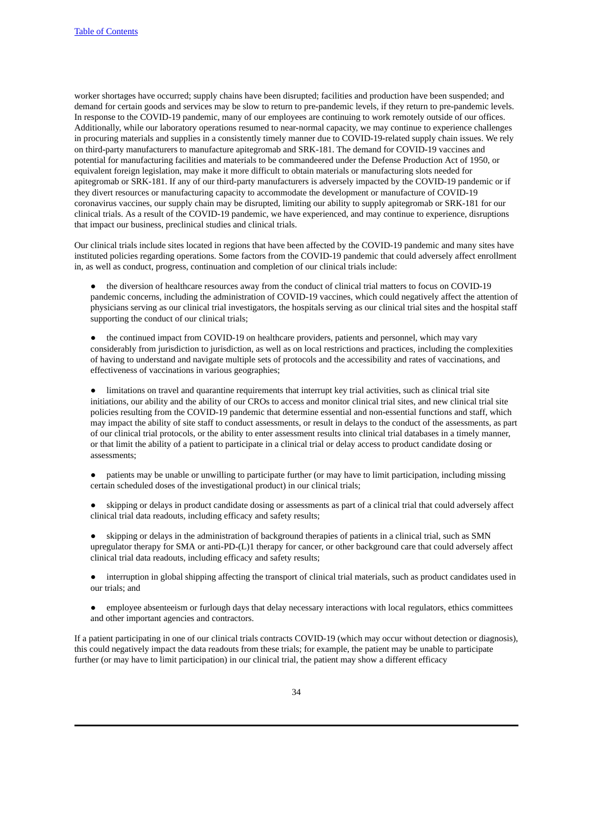worker shortages have occurred; supply chains have been disrupted; facilities and production have been suspended; and demand for certain goods and services may be slow to return to pre-pandemic levels, if they return to pre-pandemic levels. In response to the COVID-19 pandemic, many of our employees are continuing to work remotely outside of our offices. Additionally, while our laboratory operations resumed to near-normal capacity, we may continue to experience challenges in procuring materials and supplies in a consistently timely manner due to COVID-19-related supply chain issues. We rely on third-party manufacturers to manufacture apitegromab and SRK-181. The demand for COVID-19 vaccines and potential for manufacturing facilities and materials to be commandeered under the Defense Production Act of 1950, or equivalent foreign legislation, may make it more difficult to obtain materials or manufacturing slots needed for apitegromab or SRK-181. If any of our third-party manufacturers is adversely impacted by the COVID-19 pandemic or if they divert resources or manufacturing capacity to accommodate the development or manufacture of COVID-19 coronavirus vaccines, our supply chain may be disrupted, limiting our ability to supply apitegromab or SRK-181 for our clinical trials. As a result of the COVID-19 pandemic, we have experienced, and may continue to experience, disruptions that impact our business, preclinical studies and clinical trials.

Our clinical trials include sites located in regions that have been affected by the COVID-19 pandemic and many sites have instituted policies regarding operations. Some factors from the COVID-19 pandemic that could adversely affect enrollment in, as well as conduct, progress, continuation and completion of our clinical trials include:

the diversion of healthcare resources away from the conduct of clinical trial matters to focus on COVID-19 pandemic concerns, including the administration of COVID-19 vaccines, which could negatively affect the attention of physicians serving as our clinical trial investigators, the hospitals serving as our clinical trial sites and the hospital staff supporting the conduct of our clinical trials;

● the continued impact from COVID-19 on healthcare providers, patients and personnel, which may vary considerably from jurisdiction to jurisdiction, as well as on local restrictions and practices, including the complexities of having to understand and navigate multiple sets of protocols and the accessibility and rates of vaccinations, and effectiveness of vaccinations in various geographies;

limitations on travel and quarantine requirements that interrupt key trial activities, such as clinical trial site initiations, our ability and the ability of our CROs to access and monitor clinical trial sites, and new clinical trial site policies resulting from the COVID-19 pandemic that determine essential and non-essential functions and staff, which may impact the ability of site staff to conduct assessments, or result in delays to the conduct of the assessments, as part of our clinical trial protocols, or the ability to enter assessment results into clinical trial databases in a timely manner, or that limit the ability of a patient to participate in a clinical trial or delay access to product candidate dosing or assessments;

● patients may be unable or unwilling to participate further (or may have to limit participation, including missing certain scheduled doses of the investigational product) in our clinical trials;

skipping or delays in product candidate dosing or assessments as part of a clinical trial that could adversely affect clinical trial data readouts, including efficacy and safety results;

skipping or delays in the administration of background therapies of patients in a clinical trial, such as SMN upregulator therapy for SMA or anti-PD-(L)1 therapy for cancer, or other background care that could adversely affect clinical trial data readouts, including efficacy and safety results;

● interruption in global shipping affecting the transport of clinical trial materials, such as product candidates used in our trials; and

employee absenteeism or furlough days that delay necessary interactions with local regulators, ethics committees and other important agencies and contractors.

If a patient participating in one of our clinical trials contracts COVID-19 (which may occur without detection or diagnosis), this could negatively impact the data readouts from these trials; for example, the patient may be unable to participate further (or may have to limit participation) in our clinical trial, the patient may show a different efficacy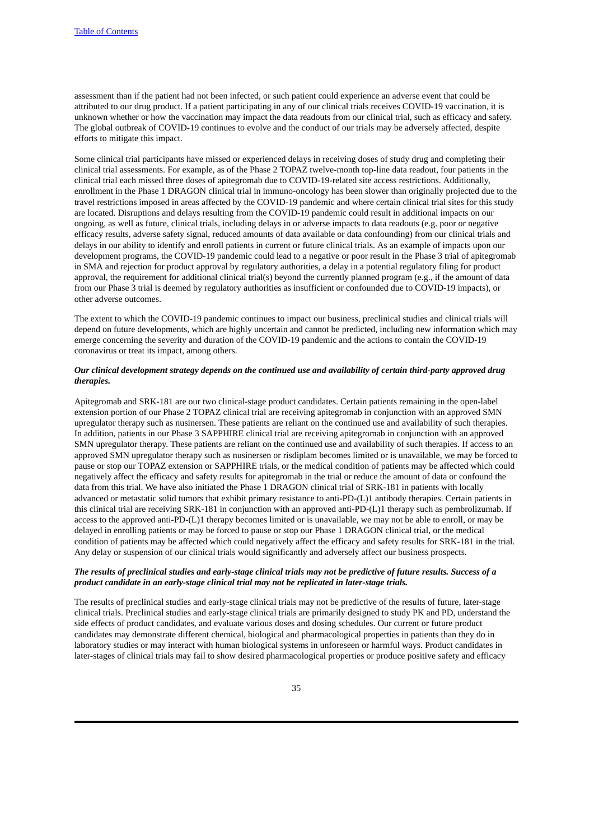assessment than if the patient had not been infected, or such patient could experience an adverse event that could be attributed to our drug product. If a patient participating in any of our clinical trials receives COVID-19 vaccination, it is unknown whether or how the vaccination may impact the data readouts from our clinical trial, such as efficacy and safety. The global outbreak of COVID-19 continues to evolve and the conduct of our trials may be adversely affected, despite efforts to mitigate this impact.

Some clinical trial participants have missed or experienced delays in receiving doses of study drug and completing their clinical trial assessments. For example, as of the Phase 2 TOPAZ twelve-month top-line data readout, four patients in the clinical trial each missed three doses of apitegromab due to COVID-19-related site access restrictions. Additionally, enrollment in the Phase 1 DRAGON clinical trial in immuno-oncology has been slower than originally projected due to the travel restrictions imposed in areas affected by the COVID-19 pandemic and where certain clinical trial sites for this study are located. Disruptions and delays resulting from the COVID-19 pandemic could result in additional impacts on our ongoing, as well as future, clinical trials, including delays in or adverse impacts to data readouts (e.g. poor or negative efficacy results, adverse safety signal, reduced amounts of data available or data confounding) from our clinical trials and delays in our ability to identify and enroll patients in current or future clinical trials. As an example of impacts upon our development programs, the COVID-19 pandemic could lead to a negative or poor result in the Phase 3 trial of apitegromab in SMA and rejection for product approval by regulatory authorities, a delay in a potential regulatory filing for product approval, the requirement for additional clinical trial(s) beyond the currently planned program (e.g., if the amount of data from our Phase 3 trial is deemed by regulatory authorities as insufficient or confounded due to COVID-19 impacts), or other adverse outcomes.

The extent to which the COVID-19 pandemic continues to impact our business, preclinical studies and clinical trials will depend on future developments, which are highly uncertain and cannot be predicted, including new information which may emerge concerning the severity and duration of the COVID-19 pandemic and the actions to contain the COVID-19 coronavirus or treat its impact, among others.

# Our clinical development strategy depends on the continued use and availability of certain third-party approved drug *therapies.*

Apitegromab and SRK-181 are our two clinical-stage product candidates. Certain patients remaining in the open-label extension portion of our Phase 2 TOPAZ clinical trial are receiving apitegromab in conjunction with an approved SMN upregulator therapy such as nusinersen. These patients are reliant on the continued use and availability of such therapies. In addition, patients in our Phase 3 SAPPHIRE clinical trial are receiving apitegromab in conjunction with an approved SMN upregulator therapy. These patients are reliant on the continued use and availability of such therapies. If access to an approved SMN upregulator therapy such as nusinersen or risdiplam becomes limited or is unavailable, we may be forced to pause or stop our TOPAZ extension or SAPPHIRE trials, or the medical condition of patients may be affected which could negatively affect the efficacy and safety results for apitegromab in the trial or reduce the amount of data or confound the data from this trial. We have also initiated the Phase 1 DRAGON clinical trial of SRK-181 in patients with locally advanced or metastatic solid tumors that exhibit primary resistance to anti-PD-(L)1 antibody therapies. Certain patients in this clinical trial are receiving SRK-181 in conjunction with an approved anti-PD-(L)1 therapy such as pembrolizumab. If access to the approved anti-PD-(L)1 therapy becomes limited or is unavailable, we may not be able to enroll, or may be delayed in enrolling patients or may be forced to pause or stop our Phase 1 DRAGON clinical trial, or the medical condition of patients may be affected which could negatively affect the efficacy and safety results for SRK-181 in the trial. Any delay or suspension of our clinical trials would significantly and adversely affect our business prospects.

## The results of preclinical studies and early-stage clinical trials may not be predictive of future results. Success of a *product candidate in an early-stage clinical trial may not be replicated in later-stage trials.*

The results of preclinical studies and early-stage clinical trials may not be predictive of the results of future, later-stage clinical trials. Preclinical studies and early-stage clinical trials are primarily designed to study PK and PD, understand the side effects of product candidates, and evaluate various doses and dosing schedules. Our current or future product candidates may demonstrate different chemical, biological and pharmacological properties in patients than they do in laboratory studies or may interact with human biological systems in unforeseen or harmful ways. Product candidates in later-stages of clinical trials may fail to show desired pharmacological properties or produce positive safety and efficacy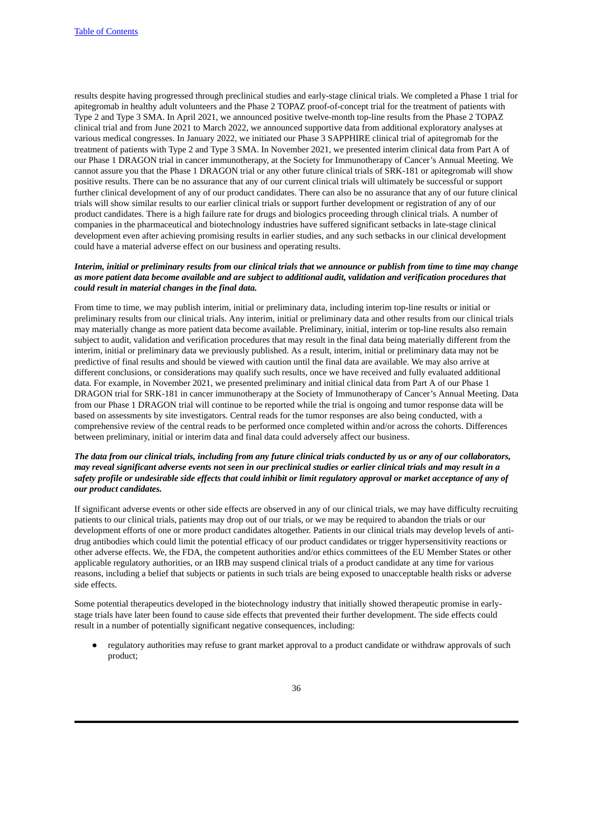results despite having progressed through preclinical studies and early-stage clinical trials. We completed a Phase 1 trial for apitegromab in healthy adult volunteers and the Phase 2 TOPAZ proof-of-concept trial for the treatment of patients with Type 2 and Type 3 SMA. In April 2021, we announced positive twelve-month top-line results from the Phase 2 TOPAZ clinical trial and from June 2021 to March 2022, we announced supportive data from additional exploratory analyses at various medical congresses. In January 2022, we initiated our Phase 3 SAPPHIRE clinical trial of apitegromab for the treatment of patients with Type 2 and Type 3 SMA. In November 2021, we presented interim clinical data from Part A of our Phase 1 DRAGON trial in cancer immunotherapy, at the Society for Immunotherapy of Cancer's Annual Meeting. We cannot assure you that the Phase 1 DRAGON trial or any other future clinical trials of SRK-181 or apitegromab will show positive results. There can be no assurance that any of our current clinical trials will ultimately be successful or support further clinical development of any of our product candidates. There can also be no assurance that any of our future clinical trials will show similar results to our earlier clinical trials or support further development or registration of any of our product candidates. There is a high failure rate for drugs and biologics proceeding through clinical trials. A number of companies in the pharmaceutical and biotechnology industries have suffered significant setbacks in late-stage clinical development even after achieving promising results in earlier studies, and any such setbacks in our clinical development could have a material adverse effect on our business and operating results.

# Interim, initial or preliminary results from our clinical trials that we announce or publish from time to time may change as more patient data become available and are subject to additional audit, validation and verification procedures that *could result in material changes in the final data.*

From time to time, we may publish interim, initial or preliminary data, including interim top-line results or initial or preliminary results from our clinical trials. Any interim, initial or preliminary data and other results from our clinical trials may materially change as more patient data become available. Preliminary, initial, interim or top-line results also remain subject to audit, validation and verification procedures that may result in the final data being materially different from the interim, initial or preliminary data we previously published. As a result, interim, initial or preliminary data may not be predictive of final results and should be viewed with caution until the final data are available. We may also arrive at different conclusions, or considerations may qualify such results, once we have received and fully evaluated additional data. For example, in November 2021, we presented preliminary and initial clinical data from Part A of our Phase 1 DRAGON trial for SRK-181 in cancer immunotherapy at the Society of Immunotherapy of Cancer's Annual Meeting. Data from our Phase 1 DRAGON trial will continue to be reported while the trial is ongoing and tumor response data will be based on assessments by site investigators. Central reads for the tumor responses are also being conducted, with a comprehensive review of the central reads to be performed once completed within and/or across the cohorts. Differences between preliminary, initial or interim data and final data could adversely affect our business.

## The data from our clinical trials, including from any future clinical trials conducted by us or any of our collaborators, may reveal significant adverse events not seen in our preclinical studies or earlier clinical trials and may result in a safety profile or undesirable side effects that could inhibit or limit regulatory approval or market acceptance of any of *our product candidates.*

If significant adverse events or other side effects are observed in any of our clinical trials, we may have difficulty recruiting patients to our clinical trials, patients may drop out of our trials, or we may be required to abandon the trials or our development efforts of one or more product candidates altogether. Patients in our clinical trials may develop levels of antidrug antibodies which could limit the potential efficacy of our product candidates or trigger hypersensitivity reactions or other adverse effects. We, the FDA, the competent authorities and/or ethics committees of the EU Member States or other applicable regulatory authorities, or an IRB may suspend clinical trials of a product candidate at any time for various reasons, including a belief that subjects or patients in such trials are being exposed to unacceptable health risks or adverse side effects.

Some potential therapeutics developed in the biotechnology industry that initially showed therapeutic promise in earlystage trials have later been found to cause side effects that prevented their further development. The side effects could result in a number of potentially significant negative consequences, including:

regulatory authorities may refuse to grant market approval to a product candidate or withdraw approvals of such product;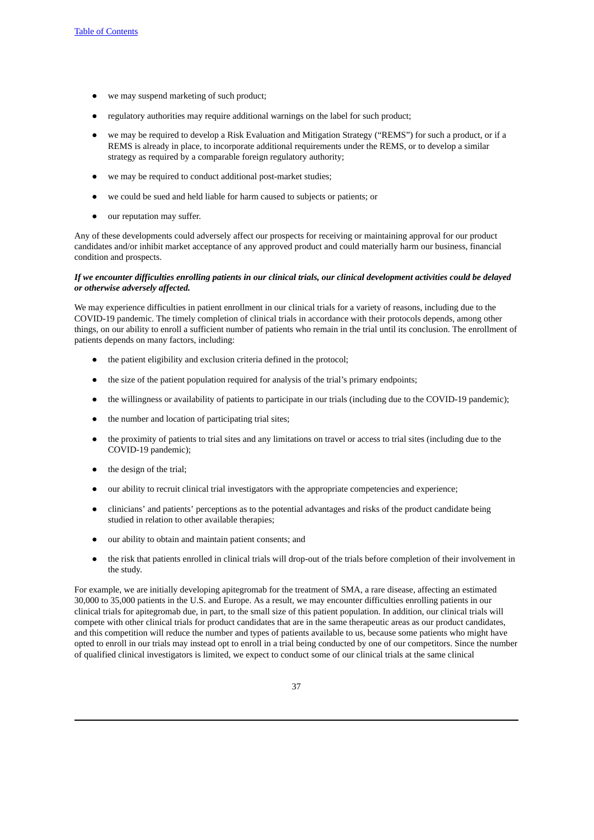- we may suspend marketing of such product;
- regulatory authorities may require additional warnings on the label for such product;
- we may be required to develop a Risk Evaluation and Mitigation Strategy ("REMS") for such a product, or if a REMS is already in place, to incorporate additional requirements under the REMS, or to develop a similar strategy as required by a comparable foreign regulatory authority;
- we may be required to conduct additional post-market studies;
- we could be sued and held liable for harm caused to subjects or patients; or
- our reputation may suffer.

Any of these developments could adversely affect our prospects for receiving or maintaining approval for our product candidates and/or inhibit market acceptance of any approved product and could materially harm our business, financial condition and prospects.

## If we encounter difficulties enrolling patients in our clinical trials, our clinical development activities could be delayed *or otherwise adversely affected.*

We may experience difficulties in patient enrollment in our clinical trials for a variety of reasons, including due to the COVID-19 pandemic. The timely completion of clinical trials in accordance with their protocols depends, among other things, on our ability to enroll a sufficient number of patients who remain in the trial until its conclusion. The enrollment of patients depends on many factors, including:

- the patient eligibility and exclusion criteria defined in the protocol;
- the size of the patient population required for analysis of the trial's primary endpoints;
- the willingness or availability of patients to participate in our trials (including due to the COVID-19 pandemic);
- the number and location of participating trial sites;
- the proximity of patients to trial sites and any limitations on travel or access to trial sites (including due to the COVID-19 pandemic);
- the design of the trial;
- our ability to recruit clinical trial investigators with the appropriate competencies and experience;
- clinicians' and patients' perceptions as to the potential advantages and risks of the product candidate being studied in relation to other available therapies;
- our ability to obtain and maintain patient consents; and
- the risk that patients enrolled in clinical trials will drop-out of the trials before completion of their involvement in the study.

For example, we are initially developing apitegromab for the treatment of SMA, a rare disease, affecting an estimated 30,000 to 35,000 patients in the U.S. and Europe. As a result, we may encounter difficulties enrolling patients in our clinical trials for apitegromab due, in part, to the small size of this patient population. In addition, our clinical trials will compete with other clinical trials for product candidates that are in the same therapeutic areas as our product candidates, and this competition will reduce the number and types of patients available to us, because some patients who might have opted to enroll in our trials may instead opt to enroll in a trial being conducted by one of our competitors. Since the number of qualified clinical investigators is limited, we expect to conduct some of our clinical trials at the same clinical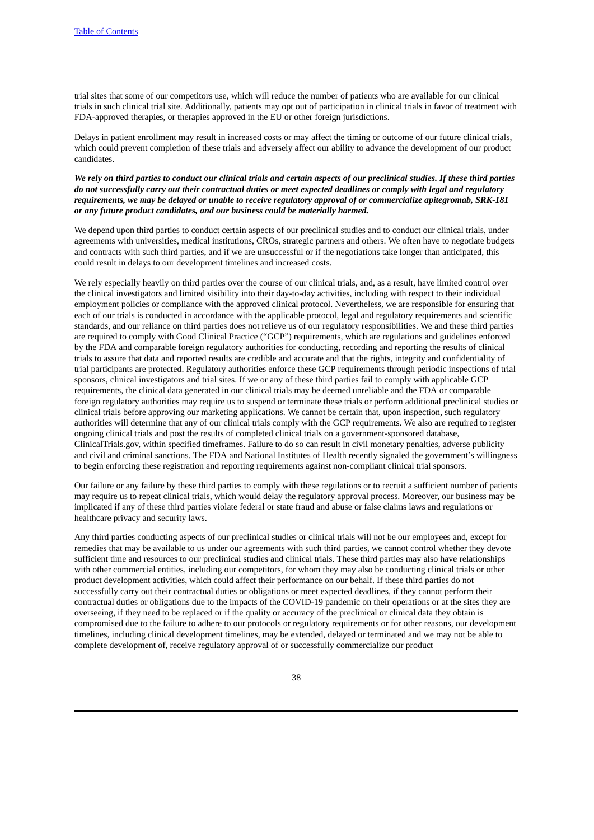trial sites that some of our competitors use, which will reduce the number of patients who are available for our clinical trials in such clinical trial site. Additionally, patients may opt out of participation in clinical trials in favor of treatment with FDA-approved therapies, or therapies approved in the EU or other foreign jurisdictions.

Delays in patient enrollment may result in increased costs or may affect the timing or outcome of our future clinical trials, which could prevent completion of these trials and adversely affect our ability to advance the development of our product candidates.

We rely on third parties to conduct our clinical trials and certain aspects of our preclinical studies. If these third parties do not successfully carry out their contractual duties or meet expected deadlines or comply with legal and regulatory requirements, we may be delayed or unable to receive regulatory approval of or commercialize apitegromab, SRK-181 *or any future product candidates, and our business could be materially harmed.*

We depend upon third parties to conduct certain aspects of our preclinical studies and to conduct our clinical trials, under agreements with universities, medical institutions, CROs, strategic partners and others. We often have to negotiate budgets and contracts with such third parties, and if we are unsuccessful or if the negotiations take longer than anticipated, this could result in delays to our development timelines and increased costs.

We rely especially heavily on third parties over the course of our clinical trials, and, as a result, have limited control over the clinical investigators and limited visibility into their day-to-day activities, including with respect to their individual employment policies or compliance with the approved clinical protocol. Nevertheless, we are responsible for ensuring that each of our trials is conducted in accordance with the applicable protocol, legal and regulatory requirements and scientific standards, and our reliance on third parties does not relieve us of our regulatory responsibilities. We and these third parties are required to comply with Good Clinical Practice ("GCP") requirements, which are regulations and guidelines enforced by the FDA and comparable foreign regulatory authorities for conducting, recording and reporting the results of clinical trials to assure that data and reported results are credible and accurate and that the rights, integrity and confidentiality of trial participants are protected. Regulatory authorities enforce these GCP requirements through periodic inspections of trial sponsors, clinical investigators and trial sites. If we or any of these third parties fail to comply with applicable GCP requirements, the clinical data generated in our clinical trials may be deemed unreliable and the FDA or comparable foreign regulatory authorities may require us to suspend or terminate these trials or perform additional preclinical studies or clinical trials before approving our marketing applications. We cannot be certain that, upon inspection, such regulatory authorities will determine that any of our clinical trials comply with the GCP requirements. We also are required to register ongoing clinical trials and post the results of completed clinical trials on a government-sponsored database, ClinicalTrials.gov, within specified timeframes. Failure to do so can result in civil monetary penalties, adverse publicity and civil and criminal sanctions. The FDA and National Institutes of Health recently signaled the government's willingness to begin enforcing these registration and reporting requirements against non-compliant clinical trial sponsors.

Our failure or any failure by these third parties to comply with these regulations or to recruit a sufficient number of patients may require us to repeat clinical trials, which would delay the regulatory approval process. Moreover, our business may be implicated if any of these third parties violate federal or state fraud and abuse or false claims laws and regulations or healthcare privacy and security laws.

Any third parties conducting aspects of our preclinical studies or clinical trials will not be our employees and, except for remedies that may be available to us under our agreements with such third parties, we cannot control whether they devote sufficient time and resources to our preclinical studies and clinical trials. These third parties may also have relationships with other commercial entities, including our competitors, for whom they may also be conducting clinical trials or other product development activities, which could affect their performance on our behalf. If these third parties do not successfully carry out their contractual duties or obligations or meet expected deadlines, if they cannot perform their contractual duties or obligations due to the impacts of the COVID-19 pandemic on their operations or at the sites they are overseeing, if they need to be replaced or if the quality or accuracy of the preclinical or clinical data they obtain is compromised due to the failure to adhere to our protocols or regulatory requirements or for other reasons, our development timelines, including clinical development timelines, may be extended, delayed or terminated and we may not be able to complete development of, receive regulatory approval of or successfully commercialize our product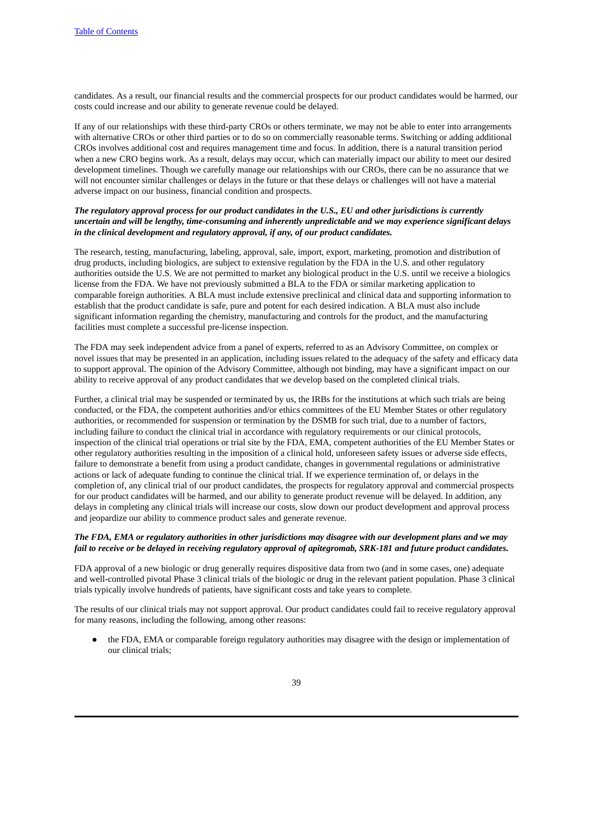candidates. As a result, our financial results and the commercial prospects for our product candidates would be harmed, our costs could increase and our ability to generate revenue could be delayed.

If any of our relationships with these third-party CROs or others terminate, we may not be able to enter into arrangements with alternative CROs or other third parties or to do so on commercially reasonable terms. Switching or adding additional CROs involves additional cost and requires management time and focus. In addition, there is a natural transition period when a new CRO begins work. As a result, delays may occur, which can materially impact our ability to meet our desired development timelines. Though we carefully manage our relationships with our CROs, there can be no assurance that we will not encounter similar challenges or delays in the future or that these delays or challenges will not have a material adverse impact on our business, financial condition and prospects.

# The regulatory approval process for our product candidates in the U.S., EU and other jurisdictions is currently *uncertain and will be lengthy, time-consuming and inherently unpredictable and we may experience significant delays in the clinical development and regulatory approval, if any, of our product candidates.*

The research, testing, manufacturing, labeling, approval, sale, import, export, marketing, promotion and distribution of drug products, including biologics, are subject to extensive regulation by the FDA in the U.S. and other regulatory authorities outside the U.S. We are not permitted to market any biological product in the U.S. until we receive a biologics license from the FDA. We have not previously submitted a BLA to the FDA or similar marketing application to comparable foreign authorities. A BLA must include extensive preclinical and clinical data and supporting information to establish that the product candidate is safe, pure and potent for each desired indication. A BLA must also include significant information regarding the chemistry, manufacturing and controls for the product, and the manufacturing facilities must complete a successful pre-license inspection.

The FDA may seek independent advice from a panel of experts, referred to as an Advisory Committee, on complex or novel issues that may be presented in an application, including issues related to the adequacy of the safety and efficacy data to support approval. The opinion of the Advisory Committee, although not binding, may have a significant impact on our ability to receive approval of any product candidates that we develop based on the completed clinical trials.

Further, a clinical trial may be suspended or terminated by us, the IRBs for the institutions at which such trials are being conducted, or the FDA, the competent authorities and/or ethics committees of the EU Member States or other regulatory authorities, or recommended for suspension or termination by the DSMB for such trial, due to a number of factors, including failure to conduct the clinical trial in accordance with regulatory requirements or our clinical protocols, inspection of the clinical trial operations or trial site by the FDA, EMA, competent authorities of the EU Member States or other regulatory authorities resulting in the imposition of a clinical hold, unforeseen safety issues or adverse side effects, failure to demonstrate a benefit from using a product candidate, changes in governmental regulations or administrative actions or lack of adequate funding to continue the clinical trial. If we experience termination of, or delays in the completion of, any clinical trial of our product candidates, the prospects for regulatory approval and commercial prospects for our product candidates will be harmed, and our ability to generate product revenue will be delayed. In addition, any delays in completing any clinical trials will increase our costs, slow down our product development and approval process and jeopardize our ability to commence product sales and generate revenue.

## The FDA, EMA or requlatory authorities in other jurisdictions may disagree with our development plans and we may fail to receive or be delayed in receiving regulatory approval of apitegromab, SRK-181 and future product candidates.

FDA approval of a new biologic or drug generally requires dispositive data from two (and in some cases, one) adequate and well-controlled pivotal Phase 3 clinical trials of the biologic or drug in the relevant patient population. Phase 3 clinical trials typically involve hundreds of patients, have significant costs and take years to complete.

The results of our clinical trials may not support approval. Our product candidates could fail to receive regulatory approval for many reasons, including the following, among other reasons:

the FDA, EMA or comparable foreign regulatory authorities may disagree with the design or implementation of our clinical trials;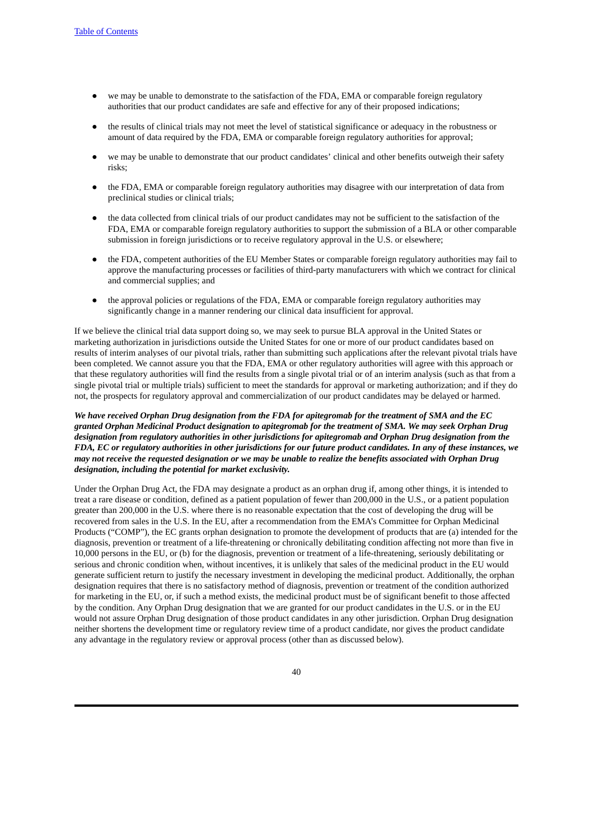- we may be unable to demonstrate to the satisfaction of the FDA, EMA or comparable foreign regulatory authorities that our product candidates are safe and effective for any of their proposed indications;
- the results of clinical trials may not meet the level of statistical significance or adequacy in the robustness or amount of data required by the FDA, EMA or comparable foreign regulatory authorities for approval;
- we may be unable to demonstrate that our product candidates' clinical and other benefits outweigh their safety risks;
- the FDA, EMA or comparable foreign regulatory authorities may disagree with our interpretation of data from preclinical studies or clinical trials;
- the data collected from clinical trials of our product candidates may not be sufficient to the satisfaction of the FDA, EMA or comparable foreign regulatory authorities to support the submission of a BLA or other comparable submission in foreign jurisdictions or to receive regulatory approval in the U.S. or elsewhere;
- the FDA, competent authorities of the EU Member States or comparable foreign regulatory authorities may fail to approve the manufacturing processes or facilities of third-party manufacturers with which we contract for clinical and commercial supplies; and
- the approval policies or regulations of the FDA, EMA or comparable foreign regulatory authorities may significantly change in a manner rendering our clinical data insufficient for approval.

If we believe the clinical trial data support doing so, we may seek to pursue BLA approval in the United States or marketing authorization in jurisdictions outside the United States for one or more of our product candidates based on results of interim analyses of our pivotal trials, rather than submitting such applications after the relevant pivotal trials have been completed. We cannot assure you that the FDA, EMA or other regulatory authorities will agree with this approach or that these regulatory authorities will find the results from a single pivotal trial or of an interim analysis (such as that from a single pivotal trial or multiple trials) sufficient to meet the standards for approval or marketing authorization; and if they do not, the prospects for regulatory approval and commercialization of our product candidates may be delayed or harmed.

# We have received Orphan Drug designation from the FDA for apitegromab for the treatment of SMA and the EC granted Orphan Medicinal Product designation to apitegromab for the treatment of SMA. We may seek Orphan Drug *designation from regulatory authorities in other jurisdictions for apitegromab and Orphan Drug designation from the* FDA, EC or regulatory authorities in other jurisdictions for our future product candidates. In any of these instances, we may not receive the requested designation or we may be unable to realize the benefits associated with Orphan Drug *designation, including the potential for market exclusivity.*

Under the Orphan Drug Act, the FDA may designate a product as an orphan drug if, among other things, it is intended to treat a rare disease or condition, defined as a patient population of fewer than 200,000 in the U.S., or a patient population greater than 200,000 in the U.S. where there is no reasonable expectation that the cost of developing the drug will be recovered from sales in the U.S. In the EU, after a recommendation from the EMA's Committee for Orphan Medicinal Products ("COMP"), the EC grants orphan designation to promote the development of products that are (a) intended for the diagnosis, prevention or treatment of a life-threatening or chronically debilitating condition affecting not more than five in 10,000 persons in the EU, or (b) for the diagnosis, prevention or treatment of a life-threatening, seriously debilitating or serious and chronic condition when, without incentives, it is unlikely that sales of the medicinal product in the EU would generate sufficient return to justify the necessary investment in developing the medicinal product. Additionally, the orphan designation requires that there is no satisfactory method of diagnosis, prevention or treatment of the condition authorized for marketing in the EU, or, if such a method exists, the medicinal product must be of significant benefit to those affected by the condition. Any Orphan Drug designation that we are granted for our product candidates in the U.S. or in the EU would not assure Orphan Drug designation of those product candidates in any other jurisdiction. Orphan Drug designation neither shortens the development time or regulatory review time of a product candidate, nor gives the product candidate any advantage in the regulatory review or approval process (other than as discussed below).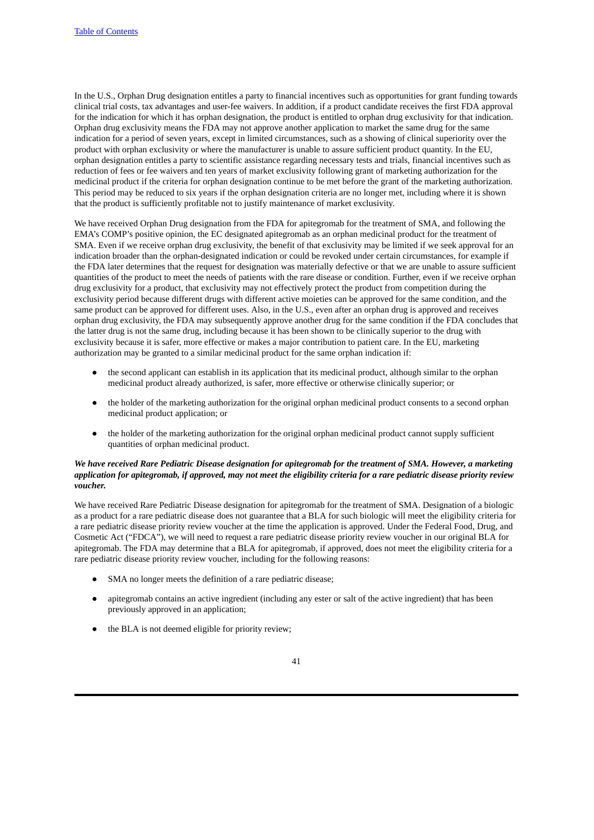In the U.S., Orphan Drug designation entitles a party to financial incentives such as opportunities for grant funding towards clinical trial costs, tax advantages and user-fee waivers. In addition, if a product candidate receives the first FDA approval for the indication for which it has orphan designation, the product is entitled to orphan drug exclusivity for that indication. Orphan drug exclusivity means the FDA may not approve another application to market the same drug for the same indication for a period of seven years, except in limited circumstances, such as a showing of clinical superiority over the product with orphan exclusivity or where the manufacturer is unable to assure sufficient product quantity. In the EU, orphan designation entitles a party to scientific assistance regarding necessary tests and trials, financial incentives such as reduction of fees or fee waivers and ten years of market exclusivity following grant of marketing authorization for the medicinal product if the criteria for orphan designation continue to be met before the grant of the marketing authorization. This period may be reduced to six years if the orphan designation criteria are no longer met, including where it is shown that the product is sufficiently profitable not to justify maintenance of market exclusivity.

We have received Orphan Drug designation from the FDA for apitegromab for the treatment of SMA, and following the EMA's COMP's positive opinion, the EC designated apitegromab as an orphan medicinal product for the treatment of SMA. Even if we receive orphan drug exclusivity, the benefit of that exclusivity may be limited if we seek approval for an indication broader than the orphan-designated indication or could be revoked under certain circumstances, for example if the FDA later determines that the request for designation was materially defective or that we are unable to assure sufficient quantities of the product to meet the needs of patients with the rare disease or condition. Further, even if we receive orphan drug exclusivity for a product, that exclusivity may not effectively protect the product from competition during the exclusivity period because different drugs with different active moieties can be approved for the same condition, and the same product can be approved for different uses. Also, in the U.S., even after an orphan drug is approved and receives orphan drug exclusivity, the FDA may subsequently approve another drug for the same condition if the FDA concludes that the latter drug is not the same drug, including because it has been shown to be clinically superior to the drug with exclusivity because it is safer, more effective or makes a major contribution to patient care. In the EU, marketing authorization may be granted to a similar medicinal product for the same orphan indication if:

- the second applicant can establish in its application that its medicinal product, although similar to the orphan medicinal product already authorized, is safer, more effective or otherwise clinically superior; or
- the holder of the marketing authorization for the original orphan medicinal product consents to a second orphan medicinal product application; or
- the holder of the marketing authorization for the original orphan medicinal product cannot supply sufficient quantities of orphan medicinal product.

# We have received Rare Pediatric Disease designation for apitegromab for the treatment of SMA. However, a marketing application for apitegromab, if approved, may not meet the eligibility criteria for a rare pediatric disease priority review *voucher.*

We have received Rare Pediatric Disease designation for apitegromab for the treatment of SMA. Designation of a biologic as a product for a rare pediatric disease does not guarantee that a BLA for such biologic will meet the eligibility criteria for a rare pediatric disease priority review voucher at the time the application is approved. Under the Federal Food, Drug, and Cosmetic Act ("FDCA"), we will need to request a rare pediatric disease priority review voucher in our original BLA for apitegromab. The FDA may determine that a BLA for apitegromab, if approved, does not meet the eligibility criteria for a rare pediatric disease priority review voucher, including for the following reasons:

- SMA no longer meets the definition of a rare pediatric disease;
- apitegromab contains an active ingredient (including any ester or salt of the active ingredient) that has been previously approved in an application;
- the BLA is not deemed eligible for priority review;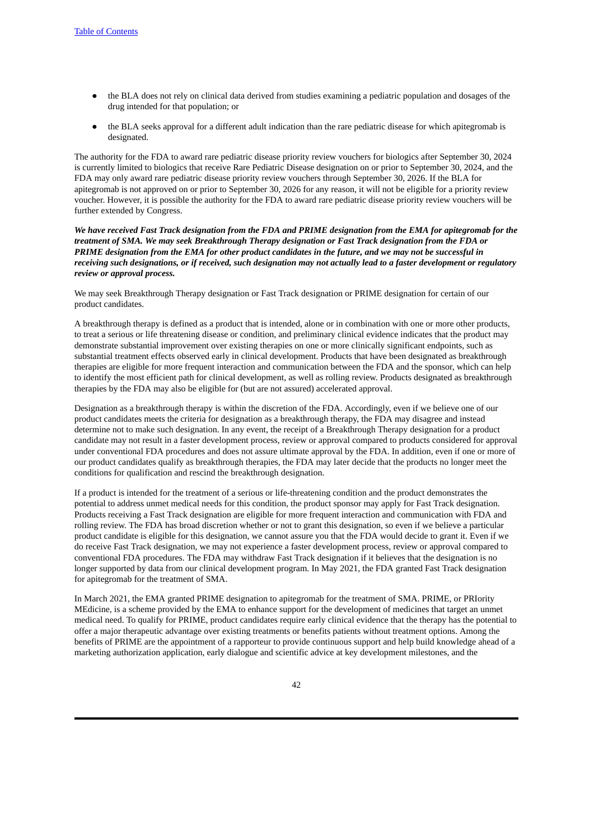- the BLA does not rely on clinical data derived from studies examining a pediatric population and dosages of the drug intended for that population; or
- the BLA seeks approval for a different adult indication than the rare pediatric disease for which apitegromab is designated.

The authority for the FDA to award rare pediatric disease priority review vouchers for biologics after September 30, 2024 is currently limited to biologics that receive Rare Pediatric Disease designation on or prior to September 30, 2024, and the FDA may only award rare pediatric disease priority review vouchers through September 30, 2026. If the BLA for apitegromab is not approved on or prior to September 30, 2026 for any reason, it will not be eligible for a priority review voucher. However, it is possible the authority for the FDA to award rare pediatric disease priority review vouchers will be further extended by Congress.

We have received Fast Track designation from the FDA and PRIME designation from the EMA for apitegromab for the *treatment of SMA. We may seek Breakthrough Therapy designation or Fast Track designation from the FDA or* PRIME designation from the EMA for other product candidates in the future, and we may not be successful in receiving such designations, or if received, such designation may not actually lead to a faster development or regulatory *review or approval process.*

We may seek Breakthrough Therapy designation or Fast Track designation or PRIME designation for certain of our product candidates.

A breakthrough therapy is defined as a product that is intended, alone or in combination with one or more other products, to treat a serious or life threatening disease or condition, and preliminary clinical evidence indicates that the product may demonstrate substantial improvement over existing therapies on one or more clinically significant endpoints, such as substantial treatment effects observed early in clinical development. Products that have been designated as breakthrough therapies are eligible for more frequent interaction and communication between the FDA and the sponsor, which can help to identify the most efficient path for clinical development, as well as rolling review. Products designated as breakthrough therapies by the FDA may also be eligible for (but are not assured) accelerated approval.

Designation as a breakthrough therapy is within the discretion of the FDA. Accordingly, even if we believe one of our product candidates meets the criteria for designation as a breakthrough therapy, the FDA may disagree and instead determine not to make such designation. In any event, the receipt of a Breakthrough Therapy designation for a product candidate may not result in a faster development process, review or approval compared to products considered for approval under conventional FDA procedures and does not assure ultimate approval by the FDA. In addition, even if one or more of our product candidates qualify as breakthrough therapies, the FDA may later decide that the products no longer meet the conditions for qualification and rescind the breakthrough designation.

If a product is intended for the treatment of a serious or life-threatening condition and the product demonstrates the potential to address unmet medical needs for this condition, the product sponsor may apply for Fast Track designation. Products receiving a Fast Track designation are eligible for more frequent interaction and communication with FDA and rolling review. The FDA has broad discretion whether or not to grant this designation, so even if we believe a particular product candidate is eligible for this designation, we cannot assure you that the FDA would decide to grant it. Even if we do receive Fast Track designation, we may not experience a faster development process, review or approval compared to conventional FDA procedures. The FDA may withdraw Fast Track designation if it believes that the designation is no longer supported by data from our clinical development program. In May 2021, the FDA granted Fast Track designation for apitegromab for the treatment of SMA.

In March 2021, the EMA granted PRIME designation to apitegromab for the treatment of SMA. PRIME, or PRIority MEdicine, is a scheme provided by the EMA to enhance support for the development of medicines that target an unmet medical need. To qualify for PRIME, product candidates require early clinical evidence that the therapy has the potential to offer a major therapeutic advantage over existing treatments or benefits patients without treatment options. Among the benefits of PRIME are the appointment of a rapporteur to provide continuous support and help build knowledge ahead of a marketing authorization application, early dialogue and scientific advice at key development milestones, and the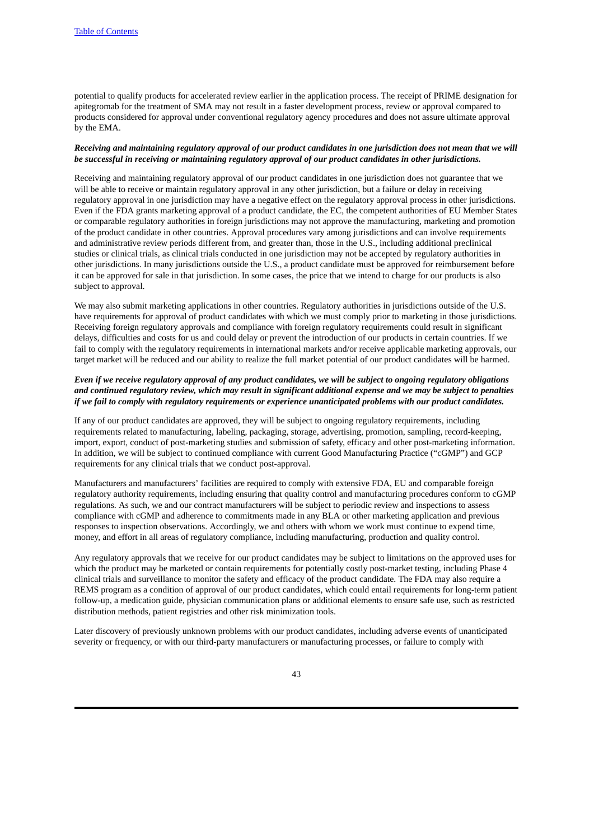potential to qualify products for accelerated review earlier in the application process. The receipt of PRIME designation for apitegromab for the treatment of SMA may not result in a faster development process, review or approval compared to products considered for approval under conventional regulatory agency procedures and does not assure ultimate approval by the EMA.

## Receiving and maintaining regulatory approval of our product candidates in one jurisdiction does not mean that we will *be successful in receiving or maintaining regulatory approval of our product candidates in other jurisdictions.*

Receiving and maintaining regulatory approval of our product candidates in one jurisdiction does not guarantee that we will be able to receive or maintain regulatory approval in any other jurisdiction, but a failure or delay in receiving regulatory approval in one jurisdiction may have a negative effect on the regulatory approval process in other jurisdictions. Even if the FDA grants marketing approval of a product candidate, the EC, the competent authorities of EU Member States or comparable regulatory authorities in foreign jurisdictions may not approve the manufacturing, marketing and promotion of the product candidate in other countries. Approval procedures vary among jurisdictions and can involve requirements and administrative review periods different from, and greater than, those in the U.S., including additional preclinical studies or clinical trials, as clinical trials conducted in one jurisdiction may not be accepted by regulatory authorities in other jurisdictions. In many jurisdictions outside the U.S., a product candidate must be approved for reimbursement before it can be approved for sale in that jurisdiction. In some cases, the price that we intend to charge for our products is also subject to approval.

We may also submit marketing applications in other countries. Regulatory authorities in jurisdictions outside of the U.S. have requirements for approval of product candidates with which we must comply prior to marketing in those jurisdictions. Receiving foreign regulatory approvals and compliance with foreign regulatory requirements could result in significant delays, difficulties and costs for us and could delay or prevent the introduction of our products in certain countries. If we fail to comply with the regulatory requirements in international markets and/or receive applicable marketing approvals, our target market will be reduced and our ability to realize the full market potential of our product candidates will be harmed.

## Even if we receive regulatory approval of any product candidates, we will be subject to ongoing regulatory obligations and continued regulatory review, which may result in significant additional expense and we may be subject to penalties if we fail to comply with regulatory requirements or experience unanticipated problems with our product candidates.

If any of our product candidates are approved, they will be subject to ongoing regulatory requirements, including requirements related to manufacturing, labeling, packaging, storage, advertising, promotion, sampling, record-keeping, import, export, conduct of post-marketing studies and submission of safety, efficacy and other post-marketing information. In addition, we will be subject to continued compliance with current Good Manufacturing Practice ("cGMP") and GCP requirements for any clinical trials that we conduct post-approval.

Manufacturers and manufacturers' facilities are required to comply with extensive FDA, EU and comparable foreign regulatory authority requirements, including ensuring that quality control and manufacturing procedures conform to cGMP regulations. As such, we and our contract manufacturers will be subject to periodic review and inspections to assess compliance with cGMP and adherence to commitments made in any BLA or other marketing application and previous responses to inspection observations. Accordingly, we and others with whom we work must continue to expend time, money, and effort in all areas of regulatory compliance, including manufacturing, production and quality control.

Any regulatory approvals that we receive for our product candidates may be subject to limitations on the approved uses for which the product may be marketed or contain requirements for potentially costly post-market testing, including Phase 4 clinical trials and surveillance to monitor the safety and efficacy of the product candidate. The FDA may also require a REMS program as a condition of approval of our product candidates, which could entail requirements for long-term patient follow-up, a medication guide, physician communication plans or additional elements to ensure safe use, such as restricted distribution methods, patient registries and other risk minimization tools.

Later discovery of previously unknown problems with our product candidates, including adverse events of unanticipated severity or frequency, or with our third-party manufacturers or manufacturing processes, or failure to comply with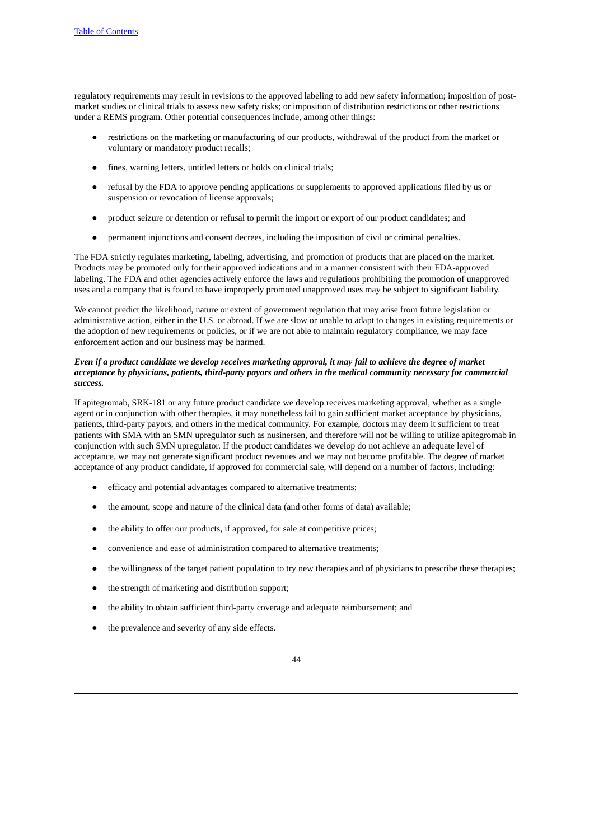regulatory requirements may result in revisions to the approved labeling to add new safety information; imposition of postmarket studies or clinical trials to assess new safety risks; or imposition of distribution restrictions or other restrictions under a REMS program. Other potential consequences include, among other things:

- restrictions on the marketing or manufacturing of our products, withdrawal of the product from the market or voluntary or mandatory product recalls;
- fines, warning letters, untitled letters or holds on clinical trials;
- refusal by the FDA to approve pending applications or supplements to approved applications filed by us or suspension or revocation of license approvals;
- product seizure or detention or refusal to permit the import or export of our product candidates; and
- permanent injunctions and consent decrees, including the imposition of civil or criminal penalties.

The FDA strictly regulates marketing, labeling, advertising, and promotion of products that are placed on the market. Products may be promoted only for their approved indications and in a manner consistent with their FDA-approved labeling. The FDA and other agencies actively enforce the laws and regulations prohibiting the promotion of unapproved uses and a company that is found to have improperly promoted unapproved uses may be subject to significant liability.

We cannot predict the likelihood, nature or extent of government regulation that may arise from future legislation or administrative action, either in the U.S. or abroad. If we are slow or unable to adapt to changes in existing requirements or the adoption of new requirements or policies, or if we are not able to maintain regulatory compliance, we may face enforcement action and our business may be harmed.

# Even if a product candidate we develop receives marketing approval, it may fail to achieve the degree of market *acceptance by physicians, patients, third-party payors and others in the medical community necessary for commercial success.*

If apitegromab, SRK-181 or any future product candidate we develop receives marketing approval, whether as a single agent or in conjunction with other therapies, it may nonetheless fail to gain sufficient market acceptance by physicians, patients, third-party payors, and others in the medical community. For example, doctors may deem it sufficient to treat patients with SMA with an SMN upregulator such as nusinersen, and therefore will not be willing to utilize apitegromab in conjunction with such SMN upregulator. If the product candidates we develop do not achieve an adequate level of acceptance, we may not generate significant product revenues and we may not become profitable. The degree of market acceptance of any product candidate, if approved for commercial sale, will depend on a number of factors, including:

- efficacy and potential advantages compared to alternative treatments;
- the amount, scope and nature of the clinical data (and other forms of data) available;
- the ability to offer our products, if approved, for sale at competitive prices;
- convenience and ease of administration compared to alternative treatments;
- the willingness of the target patient population to try new therapies and of physicians to prescribe these therapies;
- the strength of marketing and distribution support;
- the ability to obtain sufficient third-party coverage and adequate reimbursement; and
- the prevalence and severity of any side effects.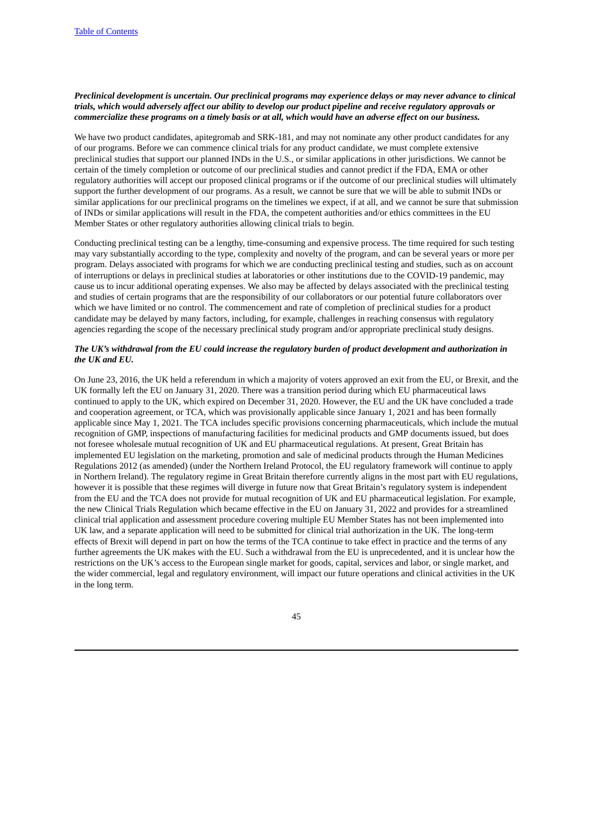# Preclinical development is uncertain. Our preclinical programs may experience delays or may never advance to clinical trials, which would adversely affect our ability to develop our product pipeline and receive regulatory approvals or commercialize these programs on a timely basis or at all, which would have an adverse effect on our business.

We have two product candidates, apitegromab and SRK-181, and may not nominate any other product candidates for any of our programs. Before we can commence clinical trials for any product candidate, we must complete extensive preclinical studies that support our planned INDs in the U.S., or similar applications in other jurisdictions. We cannot be certain of the timely completion or outcome of our preclinical studies and cannot predict if the FDA, EMA or other regulatory authorities will accept our proposed clinical programs or if the outcome of our preclinical studies will ultimately support the further development of our programs. As a result, we cannot be sure that we will be able to submit INDs or similar applications for our preclinical programs on the timelines we expect, if at all, and we cannot be sure that submission of INDs or similar applications will result in the FDA, the competent authorities and/or ethics committees in the EU Member States or other regulatory authorities allowing clinical trials to begin.

Conducting preclinical testing can be a lengthy, time-consuming and expensive process. The time required for such testing may vary substantially according to the type, complexity and novelty of the program, and can be several years or more per program. Delays associated with programs for which we are conducting preclinical testing and studies, such as on account of interruptions or delays in preclinical studies at laboratories or other institutions due to the COVID-19 pandemic, may cause us to incur additional operating expenses. We also may be affected by delays associated with the preclinical testing and studies of certain programs that are the responsibility of our collaborators or our potential future collaborators over which we have limited or no control. The commencement and rate of completion of preclinical studies for a product candidate may be delayed by many factors, including, for example, challenges in reaching consensus with regulatory agencies regarding the scope of the necessary preclinical study program and/or appropriate preclinical study designs.

## The UK's withdrawal from the EU could increase the regulatory burden of product development and authorization in *the UK and EU.*

On June 23, 2016, the UK held a referendum in which a majority of voters approved an exit from the EU, or Brexit, and the UK formally left the EU on January 31, 2020. There was a transition period during which EU pharmaceutical laws continued to apply to the UK, which expired on December 31, 2020. However, the EU and the UK have concluded a trade and cooperation agreement, or TCA, which was provisionally applicable since January 1, 2021 and has been formally applicable since May 1, 2021. The TCA includes specific provisions concerning pharmaceuticals, which include the mutual recognition of GMP, inspections of manufacturing facilities for medicinal products and GMP documents issued, but does not foresee wholesale mutual recognition of UK and EU pharmaceutical regulations. At present, Great Britain has implemented EU legislation on the marketing, promotion and sale of medicinal products through the Human Medicines Regulations 2012 (as amended) (under the Northern Ireland Protocol, the EU regulatory framework will continue to apply in Northern Ireland). The regulatory regime in Great Britain therefore currently aligns in the most part with EU regulations, however it is possible that these regimes will diverge in future now that Great Britain's regulatory system is independent from the EU and the TCA does not provide for mutual recognition of UK and EU pharmaceutical legislation. For example, the new Clinical Trials Regulation which became effective in the EU on January 31, 2022 and provides for a streamlined clinical trial application and assessment procedure covering multiple EU Member States has not been implemented into UK law, and a separate application will need to be submitted for clinical trial authorization in the UK. The long-term effects of Brexit will depend in part on how the terms of the TCA continue to take effect in practice and the terms of any further agreements the UK makes with the EU. Such a withdrawal from the EU is unprecedented, and it is unclear how the restrictions on the UK's access to the European single market for goods, capital, services and labor, or single market, and the wider commercial, legal and regulatory environment, will impact our future operations and clinical activities in the UK in the long term.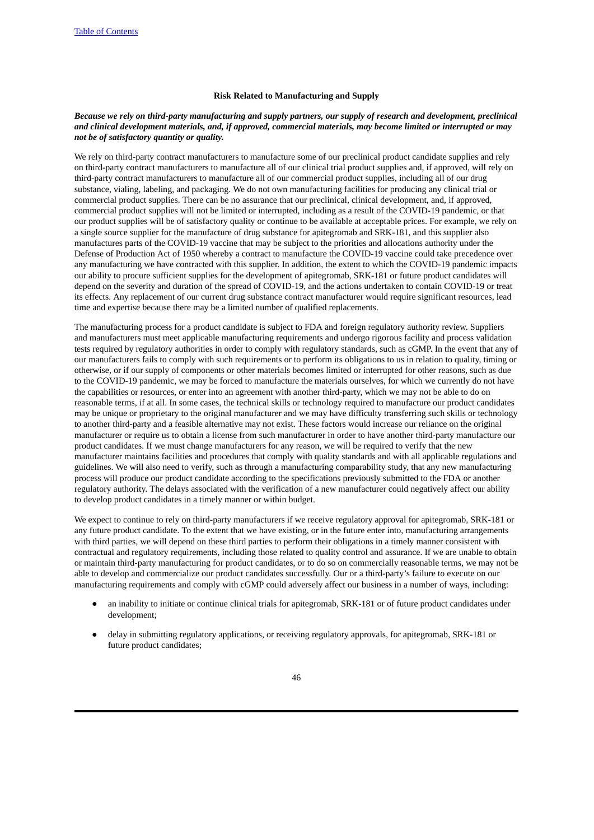#### **Risk Related to Manufacturing and Supply**

## Because we rely on third-party manufacturing and supply partners, our supply of research and development, preclinical and clinical development materials, and, if approved, commercial materials, may become limited or interrupted or may *not be of satisfactory quantity or quality.*

We rely on third-party contract manufacturers to manufacture some of our preclinical product candidate supplies and rely on third-party contract manufacturers to manufacture all of our clinical trial product supplies and, if approved, will rely on third-party contract manufacturers to manufacture all of our commercial product supplies, including all of our drug substance, vialing, labeling, and packaging. We do not own manufacturing facilities for producing any clinical trial or commercial product supplies. There can be no assurance that our preclinical, clinical development, and, if approved, commercial product supplies will not be limited or interrupted, including as a result of the COVID-19 pandemic, or that our product supplies will be of satisfactory quality or continue to be available at acceptable prices. For example, we rely on a single source supplier for the manufacture of drug substance for apitegromab and SRK-181, and this supplier also manufactures parts of the COVID-19 vaccine that may be subject to the priorities and allocations authority under the Defense of Production Act of 1950 whereby a contract to manufacture the COVID-19 vaccine could take precedence over any manufacturing we have contracted with this supplier. In addition, the extent to which the COVID-19 pandemic impacts our ability to procure sufficient supplies for the development of apitegromab, SRK-181 or future product candidates will depend on the severity and duration of the spread of COVID-19, and the actions undertaken to contain COVID-19 or treat its effects. Any replacement of our current drug substance contract manufacturer would require significant resources, lead time and expertise because there may be a limited number of qualified replacements.

The manufacturing process for a product candidate is subject to FDA and foreign regulatory authority review. Suppliers and manufacturers must meet applicable manufacturing requirements and undergo rigorous facility and process validation tests required by regulatory authorities in order to comply with regulatory standards, such as cGMP. In the event that any of our manufacturers fails to comply with such requirements or to perform its obligations to us in relation to quality, timing or otherwise, or if our supply of components or other materials becomes limited or interrupted for other reasons, such as due to the COVID-19 pandemic, we may be forced to manufacture the materials ourselves, for which we currently do not have the capabilities or resources, or enter into an agreement with another third-party, which we may not be able to do on reasonable terms, if at all. In some cases, the technical skills or technology required to manufacture our product candidates may be unique or proprietary to the original manufacturer and we may have difficulty transferring such skills or technology to another third-party and a feasible alternative may not exist. These factors would increase our reliance on the original manufacturer or require us to obtain a license from such manufacturer in order to have another third-party manufacture our product candidates. If we must change manufacturers for any reason, we will be required to verify that the new manufacturer maintains facilities and procedures that comply with quality standards and with all applicable regulations and guidelines. We will also need to verify, such as through a manufacturing comparability study, that any new manufacturing process will produce our product candidate according to the specifications previously submitted to the FDA or another regulatory authority. The delays associated with the verification of a new manufacturer could negatively affect our ability to develop product candidates in a timely manner or within budget.

We expect to continue to rely on third-party manufacturers if we receive regulatory approval for apitegromab, SRK-181 or any future product candidate. To the extent that we have existing, or in the future enter into, manufacturing arrangements with third parties, we will depend on these third parties to perform their obligations in a timely manner consistent with contractual and regulatory requirements, including those related to quality control and assurance. If we are unable to obtain or maintain third-party manufacturing for product candidates, or to do so on commercially reasonable terms, we may not be able to develop and commercialize our product candidates successfully. Our or a third-party's failure to execute on our manufacturing requirements and comply with cGMP could adversely affect our business in a number of ways, including:

- an inability to initiate or continue clinical trials for apitegromab, SRK-181 or of future product candidates under development;
- delay in submitting regulatory applications, or receiving regulatory approvals, for apitegromab, SRK-181 or future product candidates;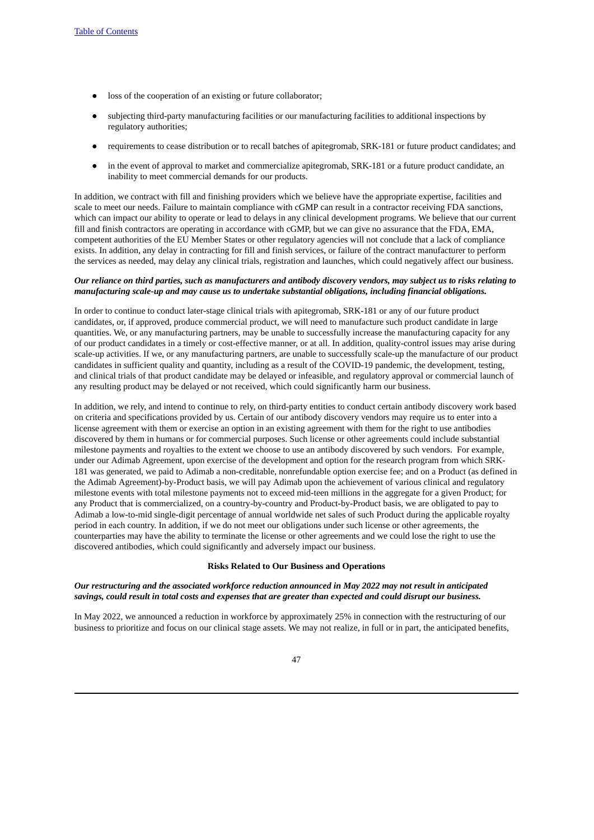- loss of the cooperation of an existing or future collaborator;
- subjecting third-party manufacturing facilities or our manufacturing facilities to additional inspections by regulatory authorities;
- requirements to cease distribution or to recall batches of apitegromab, SRK-181 or future product candidates; and
- in the event of approval to market and commercialize apitegromab, SRK-181 or a future product candidate, an inability to meet commercial demands for our products.

In addition, we contract with fill and finishing providers which we believe have the appropriate expertise, facilities and scale to meet our needs. Failure to maintain compliance with cGMP can result in a contractor receiving FDA sanctions, which can impact our ability to operate or lead to delays in any clinical development programs. We believe that our current fill and finish contractors are operating in accordance with cGMP, but we can give no assurance that the FDA, EMA, competent authorities of the EU Member States or other regulatory agencies will not conclude that a lack of compliance exists. In addition, any delay in contracting for fill and finish services, or failure of the contract manufacturer to perform the services as needed, may delay any clinical trials, registration and launches, which could negatively affect our business.

## Our reliance on third parties, such as manufacturers and antibody discovery vendors, may subiect us to risks relatina to *manufacturing scale-up and may cause us to undertake substantial obligations, including financial obligations.*

In order to continue to conduct later-stage clinical trials with apitegromab, SRK-181 or any of our future product candidates, or, if approved, produce commercial product, we will need to manufacture such product candidate in large quantities. We, or any manufacturing partners, may be unable to successfully increase the manufacturing capacity for any of our product candidates in a timely or cost-effective manner, or at all. In addition, quality-control issues may arise during scale-up activities. If we, or any manufacturing partners, are unable to successfully scale-up the manufacture of our product candidates in sufficient quality and quantity, including as a result of the COVID-19 pandemic, the development, testing, and clinical trials of that product candidate may be delayed or infeasible, and regulatory approval or commercial launch of any resulting product may be delayed or not received, which could significantly harm our business.

In addition, we rely, and intend to continue to rely, on third-party entities to conduct certain antibody discovery work based on criteria and specifications provided by us. Certain of our antibody discovery vendors may require us to enter into a license agreement with them or exercise an option in an existing agreement with them for the right to use antibodies discovered by them in humans or for commercial purposes. Such license or other agreements could include substantial milestone payments and royalties to the extent we choose to use an antibody discovered by such vendors. For example, under our Adimab Agreement, upon exercise of the development and option for the research program from which SRK-181 was generated, we paid to Adimab a non-creditable, nonrefundable option exercise fee; and on a Product (as defined in the Adimab Agreement)-by-Product basis, we will pay Adimab upon the achievement of various clinical and regulatory milestone events with total milestone payments not to exceed mid-teen millions in the aggregate for a given Product; for any Product that is commercialized, on a country-by-country and Product-by-Product basis, we are obligated to pay to Adimab a low-to-mid single-digit percentage of annual worldwide net sales of such Product during the applicable royalty period in each country. In addition, if we do not meet our obligations under such license or other agreements, the counterparties may have the ability to terminate the license or other agreements and we could lose the right to use the discovered antibodies, which could significantly and adversely impact our business.

#### **Risks Related to Our Business and Operations**

## *Our restructuring and the associated workforce reduction announced in May 2022 may not result in anticipated* savings, could result in total costs and expenses that are greater than expected and could disrupt our business.

In May 2022, we announced a reduction in workforce by approximately 25% in connection with the restructuring of our business to prioritize and focus on our clinical stage assets. We may not realize, in full or in part, the anticipated benefits,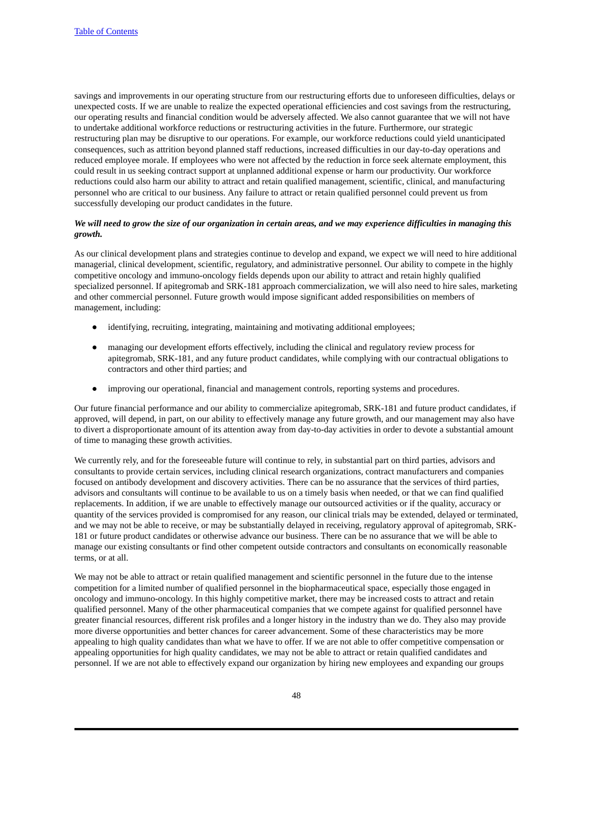savings and improvements in our operating structure from our restructuring efforts due to unforeseen difficulties, delays or unexpected costs. If we are unable to realize the expected operational efficiencies and cost savings from the restructuring, our operating results and financial condition would be adversely affected. We also cannot guarantee that we will not have to undertake additional workforce reductions or restructuring activities in the future. Furthermore, our strategic restructuring plan may be disruptive to our operations. For example, our workforce reductions could yield unanticipated consequences, such as attrition beyond planned staff reductions, increased difficulties in our day-to-day operations and reduced employee morale. If employees who were not affected by the reduction in force seek alternate employment, this could result in us seeking contract support at unplanned additional expense or harm our productivity. Our workforce reductions could also harm our ability to attract and retain qualified management, scientific, clinical, and manufacturing personnel who are critical to our business. Any failure to attract or retain qualified personnel could prevent us from successfully developing our product candidates in the future.

# We will need to grow the size of our organization in certain areas, and we may experience difficulties in managing this *growth.*

As our clinical development plans and strategies continue to develop and expand, we expect we will need to hire additional managerial, clinical development, scientific, regulatory, and administrative personnel. Our ability to compete in the highly competitive oncology and immuno-oncology fields depends upon our ability to attract and retain highly qualified specialized personnel. If apitegromab and SRK-181 approach commercialization, we will also need to hire sales, marketing and other commercial personnel. Future growth would impose significant added responsibilities on members of management, including:

- identifying, recruiting, integrating, maintaining and motivating additional employees;
- managing our development efforts effectively, including the clinical and regulatory review process for apitegromab, SRK-181, and any future product candidates, while complying with our contractual obligations to contractors and other third parties; and
- improving our operational, financial and management controls, reporting systems and procedures.

Our future financial performance and our ability to commercialize apitegromab, SRK-181 and future product candidates, if approved, will depend, in part, on our ability to effectively manage any future growth, and our management may also have to divert a disproportionate amount of its attention away from day-to-day activities in order to devote a substantial amount of time to managing these growth activities.

We currently rely, and for the foreseeable future will continue to rely, in substantial part on third parties, advisors and consultants to provide certain services, including clinical research organizations, contract manufacturers and companies focused on antibody development and discovery activities. There can be no assurance that the services of third parties, advisors and consultants will continue to be available to us on a timely basis when needed, or that we can find qualified replacements. In addition, if we are unable to effectively manage our outsourced activities or if the quality, accuracy or quantity of the services provided is compromised for any reason, our clinical trials may be extended, delayed or terminated, and we may not be able to receive, or may be substantially delayed in receiving, regulatory approval of apitegromab, SRK-181 or future product candidates or otherwise advance our business. There can be no assurance that we will be able to manage our existing consultants or find other competent outside contractors and consultants on economically reasonable terms, or at all.

We may not be able to attract or retain qualified management and scientific personnel in the future due to the intense competition for a limited number of qualified personnel in the biopharmaceutical space, especially those engaged in oncology and immuno-oncology. In this highly competitive market, there may be increased costs to attract and retain qualified personnel. Many of the other pharmaceutical companies that we compete against for qualified personnel have greater financial resources, different risk profiles and a longer history in the industry than we do. They also may provide more diverse opportunities and better chances for career advancement. Some of these characteristics may be more appealing to high quality candidates than what we have to offer. If we are not able to offer competitive compensation or appealing opportunities for high quality candidates, we may not be able to attract or retain qualified candidates and personnel. If we are not able to effectively expand our organization by hiring new employees and expanding our groups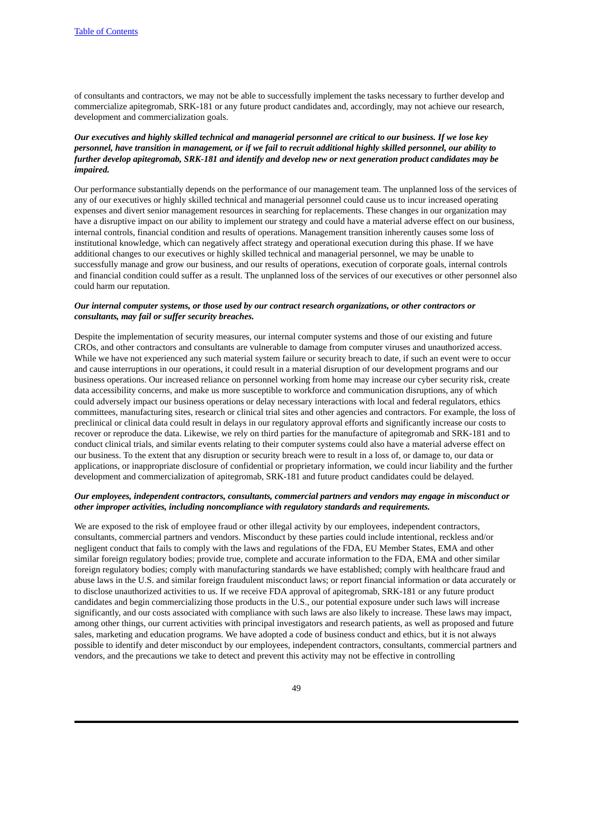of consultants and contractors, we may not be able to successfully implement the tasks necessary to further develop and commercialize apitegromab, SRK-181 or any future product candidates and, accordingly, may not achieve our research, development and commercialization goals.

# Our executives and highly skilled technical and managerial personnel are critical to our business. If we lose key personnel, have transition in management, or if we fail to recruit additional highly skilled personnel, our ability to *further develop apitegromab, SRK-181 and identify and develop new or next generation product candidates may be impaired.*

Our performance substantially depends on the performance of our management team. The unplanned loss of the services of any of our executives or highly skilled technical and managerial personnel could cause us to incur increased operating expenses and divert senior management resources in searching for replacements. These changes in our organization may have a disruptive impact on our ability to implement our strategy and could have a material adverse effect on our business, internal controls, financial condition and results of operations. Management transition inherently causes some loss of institutional knowledge, which can negatively affect strategy and operational execution during this phase. If we have additional changes to our executives or highly skilled technical and managerial personnel, we may be unable to successfully manage and grow our business, and our results of operations, execution of corporate goals, internal controls and financial condition could suffer as a result. The unplanned loss of the services of our executives or other personnel also could harm our reputation.

## *Our internal computer systems, or those used by our contract research organizations, or other contractors or consultants, may fail or suffer security breaches.*

Despite the implementation of security measures, our internal computer systems and those of our existing and future CROs, and other contractors and consultants are vulnerable to damage from computer viruses and unauthorized access. While we have not experienced any such material system failure or security breach to date, if such an event were to occur and cause interruptions in our operations, it could result in a material disruption of our development programs and our business operations. Our increased reliance on personnel working from home may increase our cyber security risk, create data accessibility concerns, and make us more susceptible to workforce and communication disruptions, any of which could adversely impact our business operations or delay necessary interactions with local and federal regulators, ethics committees, manufacturing sites, research or clinical trial sites and other agencies and contractors. For example, the loss of preclinical or clinical data could result in delays in our regulatory approval efforts and significantly increase our costs to recover or reproduce the data. Likewise, we rely on third parties for the manufacture of apitegromab and SRK-181 and to conduct clinical trials, and similar events relating to their computer systems could also have a material adverse effect on our business. To the extent that any disruption or security breach were to result in a loss of, or damage to, our data or applications, or inappropriate disclosure of confidential or proprietary information, we could incur liability and the further development and commercialization of apitegromab, SRK-181 and future product candidates could be delayed.

# *Our employees, independent contractors, consultants, commercial partners and vendors may engage in misconduct or other improper activities, including noncompliance with regulatory standards and requirements.*

We are exposed to the risk of employee fraud or other illegal activity by our employees, independent contractors, consultants, commercial partners and vendors. Misconduct by these parties could include intentional, reckless and/or negligent conduct that fails to comply with the laws and regulations of the FDA, EU Member States, EMA and other similar foreign regulatory bodies; provide true, complete and accurate information to the FDA, EMA and other similar foreign regulatory bodies; comply with manufacturing standards we have established; comply with healthcare fraud and abuse laws in the U.S. and similar foreign fraudulent misconduct laws; or report financial information or data accurately or to disclose unauthorized activities to us. If we receive FDA approval of apitegromab, SRK-181 or any future product candidates and begin commercializing those products in the U.S., our potential exposure under such laws will increase significantly, and our costs associated with compliance with such laws are also likely to increase. These laws may impact, among other things, our current activities with principal investigators and research patients, as well as proposed and future sales, marketing and education programs. We have adopted a code of business conduct and ethics, but it is not always possible to identify and deter misconduct by our employees, independent contractors, consultants, commercial partners and vendors, and the precautions we take to detect and prevent this activity may not be effective in controlling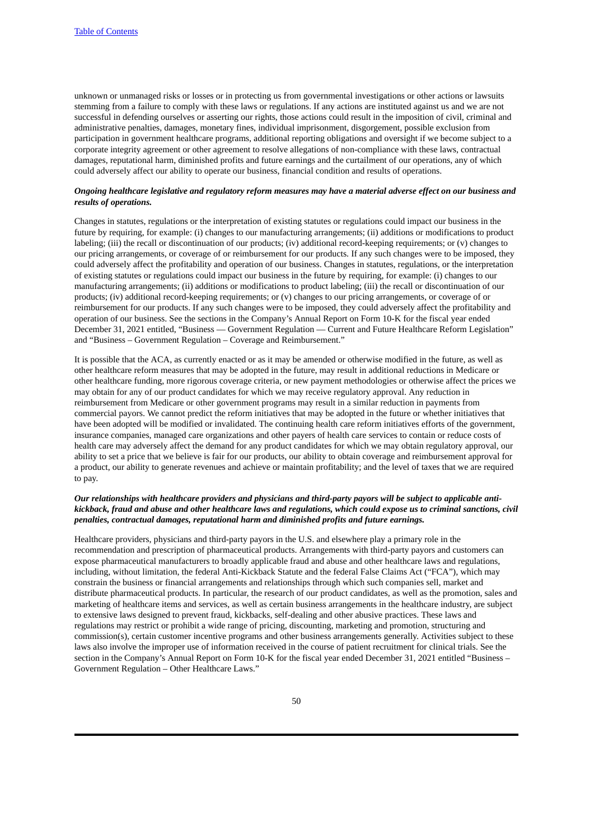unknown or unmanaged risks or losses or in protecting us from governmental investigations or other actions or lawsuits stemming from a failure to comply with these laws or regulations. If any actions are instituted against us and we are not successful in defending ourselves or asserting our rights, those actions could result in the imposition of civil, criminal and administrative penalties, damages, monetary fines, individual imprisonment, disgorgement, possible exclusion from participation in government healthcare programs, additional reporting obligations and oversight if we become subject to a corporate integrity agreement or other agreement to resolve allegations of non-compliance with these laws, contractual damages, reputational harm, diminished profits and future earnings and the curtailment of our operations, any of which could adversely affect our ability to operate our business, financial condition and results of operations.

## Ongoing healthcare legislative and regulatory reform measures may have a material adverse effect on our business and *results of operations.*

Changes in statutes, regulations or the interpretation of existing statutes or regulations could impact our business in the future by requiring, for example: (i) changes to our manufacturing arrangements; (ii) additions or modifications to product labeling; (iii) the recall or discontinuation of our products; (iv) additional record-keeping requirements; or (v) changes to our pricing arrangements, or coverage of or reimbursement for our products. If any such changes were to be imposed, they could adversely affect the profitability and operation of our business. Changes in statutes, regulations, or the interpretation of existing statutes or regulations could impact our business in the future by requiring, for example: (i) changes to our manufacturing arrangements; (ii) additions or modifications to product labeling; (iii) the recall or discontinuation of our products; (iv) additional record-keeping requirements; or (v) changes to our pricing arrangements, or coverage of or reimbursement for our products. If any such changes were to be imposed, they could adversely affect the profitability and operation of our business. See the sections in the Company's Annual Report on Form 10-K for the fiscal year ended December 31, 2021 entitled, "Business — Government Regulation — Current and Future Healthcare Reform Legislation" and "Business – Government Regulation – Coverage and Reimbursement."

It is possible that the ACA, as currently enacted or as it may be amended or otherwise modified in the future, as well as other healthcare reform measures that may be adopted in the future, may result in additional reductions in Medicare or other healthcare funding, more rigorous coverage criteria, or new payment methodologies or otherwise affect the prices we may obtain for any of our product candidates for which we may receive regulatory approval. Any reduction in reimbursement from Medicare or other government programs may result in a similar reduction in payments from commercial payors. We cannot predict the reform initiatives that may be adopted in the future or whether initiatives that have been adopted will be modified or invalidated. The continuing health care reform initiatives efforts of the government, insurance companies, managed care organizations and other payers of health care services to contain or reduce costs of health care may adversely affect the demand for any product candidates for which we may obtain regulatory approval, our ability to set a price that we believe is fair for our products, our ability to obtain coverage and reimbursement approval for a product, our ability to generate revenues and achieve or maintain profitability; and the level of taxes that we are required to pay.

# Our relationships with healthcare providers and physicians and third-party payors will be subject to applicable antikickback, fraud and abuse and other healthcare laws and regulations, which could expose us to criminal sanctions, civil *penalties, contractual damages, reputational harm and diminished profits and future earnings.*

Healthcare providers, physicians and third-party payors in the U.S. and elsewhere play a primary role in the recommendation and prescription of pharmaceutical products. Arrangements with third-party payors and customers can expose pharmaceutical manufacturers to broadly applicable fraud and abuse and other healthcare laws and regulations, including, without limitation, the federal Anti-Kickback Statute and the federal False Claims Act ("FCA"), which may constrain the business or financial arrangements and relationships through which such companies sell, market and distribute pharmaceutical products. In particular, the research of our product candidates, as well as the promotion, sales and marketing of healthcare items and services, as well as certain business arrangements in the healthcare industry, are subject to extensive laws designed to prevent fraud, kickbacks, self-dealing and other abusive practices. These laws and regulations may restrict or prohibit a wide range of pricing, discounting, marketing and promotion, structuring and commission(s), certain customer incentive programs and other business arrangements generally. Activities subject to these laws also involve the improper use of information received in the course of patient recruitment for clinical trials. See the section in the Company's Annual Report on Form 10-K for the fiscal year ended December 31, 2021 entitled "Business – Government Regulation – Other Healthcare Laws."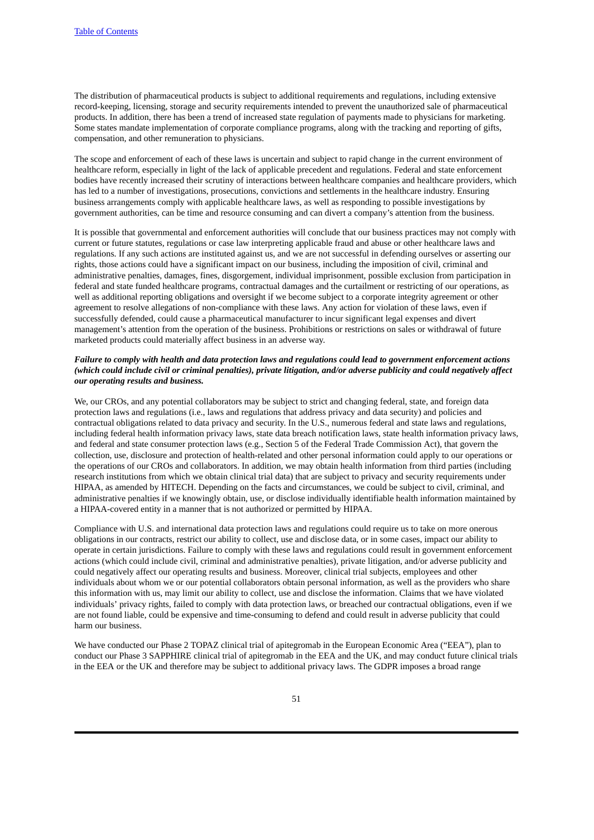The distribution of pharmaceutical products is subject to additional requirements and regulations, including extensive record-keeping, licensing, storage and security requirements intended to prevent the unauthorized sale of pharmaceutical products. In addition, there has been a trend of increased state regulation of payments made to physicians for marketing. Some states mandate implementation of corporate compliance programs, along with the tracking and reporting of gifts, compensation, and other remuneration to physicians.

The scope and enforcement of each of these laws is uncertain and subject to rapid change in the current environment of healthcare reform, especially in light of the lack of applicable precedent and regulations. Federal and state enforcement bodies have recently increased their scrutiny of interactions between healthcare companies and healthcare providers, which has led to a number of investigations, prosecutions, convictions and settlements in the healthcare industry. Ensuring business arrangements comply with applicable healthcare laws, as well as responding to possible investigations by government authorities, can be time and resource consuming and can divert a company's attention from the business.

It is possible that governmental and enforcement authorities will conclude that our business practices may not comply with current or future statutes, regulations or case law interpreting applicable fraud and abuse or other healthcare laws and regulations. If any such actions are instituted against us, and we are not successful in defending ourselves or asserting our rights, those actions could have a significant impact on our business, including the imposition of civil, criminal and administrative penalties, damages, fines, disgorgement, individual imprisonment, possible exclusion from participation in federal and state funded healthcare programs, contractual damages and the curtailment or restricting of our operations, as well as additional reporting obligations and oversight if we become subject to a corporate integrity agreement or other agreement to resolve allegations of non-compliance with these laws. Any action for violation of these laws, even if successfully defended, could cause a pharmaceutical manufacturer to incur significant legal expenses and divert management's attention from the operation of the business. Prohibitions or restrictions on sales or withdrawal of future marketed products could materially affect business in an adverse way.

## Failure to comply with health and data protection laws and regulations could lead to government enforcement actions (which could include civil or criminal penalties), private litigation, and/or adverse publicity and could negatively affect *our operating results and business.*

We, our CROs, and any potential collaborators may be subject to strict and changing federal, state, and foreign data protection laws and regulations (i.e., laws and regulations that address privacy and data security) and policies and contractual obligations related to data privacy and security. In the U.S., numerous federal and state laws and regulations, including federal health information privacy laws, state data breach notification laws, state health information privacy laws, and federal and state consumer protection laws (e.g., Section 5 of the Federal Trade Commission Act), that govern the collection, use, disclosure and protection of health-related and other personal information could apply to our operations or the operations of our CROs and collaborators. In addition, we may obtain health information from third parties (including research institutions from which we obtain clinical trial data) that are subject to privacy and security requirements under HIPAA, as amended by HITECH. Depending on the facts and circumstances, we could be subject to civil, criminal, and administrative penalties if we knowingly obtain, use, or disclose individually identifiable health information maintained by a HIPAA-covered entity in a manner that is not authorized or permitted by HIPAA.

Compliance with U.S. and international data protection laws and regulations could require us to take on more onerous obligations in our contracts, restrict our ability to collect, use and disclose data, or in some cases, impact our ability to operate in certain jurisdictions. Failure to comply with these laws and regulations could result in government enforcement actions (which could include civil, criminal and administrative penalties), private litigation, and/or adverse publicity and could negatively affect our operating results and business. Moreover, clinical trial subjects, employees and other individuals about whom we or our potential collaborators obtain personal information, as well as the providers who share this information with us, may limit our ability to collect, use and disclose the information. Claims that we have violated individuals' privacy rights, failed to comply with data protection laws, or breached our contractual obligations, even if we are not found liable, could be expensive and time-consuming to defend and could result in adverse publicity that could harm our business.

We have conducted our Phase 2 TOPAZ clinical trial of apitegromab in the European Economic Area ("EEA"), plan to conduct our Phase 3 SAPPHIRE clinical trial of apitegromab in the EEA and the UK, and may conduct future clinical trials in the EEA or the UK and therefore may be subject to additional privacy laws. The GDPR imposes a broad range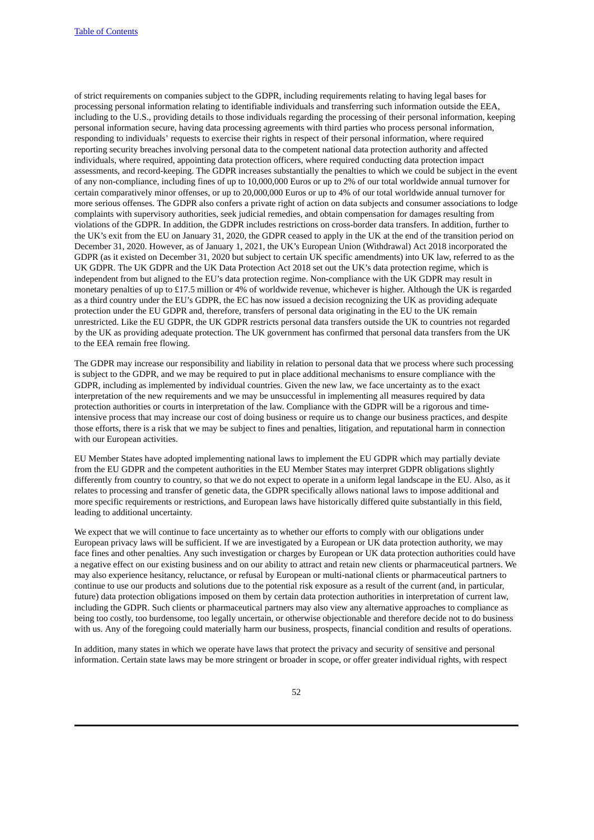of strict requirements on companies subject to the GDPR, including requirements relating to having legal bases for processing personal information relating to identifiable individuals and transferring such information outside the EEA, including to the U.S., providing details to those individuals regarding the processing of their personal information, keeping personal information secure, having data processing agreements with third parties who process personal information, responding to individuals' requests to exercise their rights in respect of their personal information, where required reporting security breaches involving personal data to the competent national data protection authority and affected individuals, where required, appointing data protection officers, where required conducting data protection impact assessments, and record-keeping. The GDPR increases substantially the penalties to which we could be subject in the event of any non-compliance, including fines of up to 10,000,000 Euros or up to 2% of our total worldwide annual turnover for certain comparatively minor offenses, or up to 20,000,000 Euros or up to 4% of our total worldwide annual turnover for more serious offenses. The GDPR also confers a private right of action on data subjects and consumer associations to lodge complaints with supervisory authorities, seek judicial remedies, and obtain compensation for damages resulting from violations of the GDPR. In addition, the GDPR includes restrictions on cross-border data transfers. In addition, further to the UK's exit from the EU on January 31, 2020, the GDPR ceased to apply in the UK at the end of the transition period on December 31, 2020. However, as of January 1, 2021, the UK's European Union (Withdrawal) Act 2018 incorporated the GDPR (as it existed on December 31, 2020 but subject to certain UK specific amendments) into UK law, referred to as the UK GDPR. The UK GDPR and the UK Data Protection Act 2018 set out the UK's data protection regime, which is independent from but aligned to the EU's data protection regime. Non-compliance with the UK GDPR may result in monetary penalties of up to £17.5 million or 4% of worldwide revenue, whichever is higher. Although the UK is regarded as a third country under the EU's GDPR, the EC has now issued a decision recognizing the UK as providing adequate protection under the EU GDPR and, therefore, transfers of personal data originating in the EU to the UK remain unrestricted. Like the EU GDPR, the UK GDPR restricts personal data transfers outside the UK to countries not regarded by the UK as providing adequate protection. The UK government has confirmed that personal data transfers from the UK to the EEA remain free flowing.

The GDPR may increase our responsibility and liability in relation to personal data that we process where such processing is subject to the GDPR, and we may be required to put in place additional mechanisms to ensure compliance with the GDPR, including as implemented by individual countries. Given the new law, we face uncertainty as to the exact interpretation of the new requirements and we may be unsuccessful in implementing all measures required by data protection authorities or courts in interpretation of the law. Compliance with the GDPR will be a rigorous and timeintensive process that may increase our cost of doing business or require us to change our business practices, and despite those efforts, there is a risk that we may be subject to fines and penalties, litigation, and reputational harm in connection with our European activities.

EU Member States have adopted implementing national laws to implement the EU GDPR which may partially deviate from the EU GDPR and the competent authorities in the EU Member States may interpret GDPR obligations slightly differently from country to country, so that we do not expect to operate in a uniform legal landscape in the EU. Also, as it relates to processing and transfer of genetic data, the GDPR specifically allows national laws to impose additional and more specific requirements or restrictions, and European laws have historically differed quite substantially in this field, leading to additional uncertainty.

We expect that we will continue to face uncertainty as to whether our efforts to comply with our obligations under European privacy laws will be sufficient. If we are investigated by a European or UK data protection authority, we may face fines and other penalties. Any such investigation or charges by European or UK data protection authorities could have a negative effect on our existing business and on our ability to attract and retain new clients or pharmaceutical partners. We may also experience hesitancy, reluctance, or refusal by European or multi-national clients or pharmaceutical partners to continue to use our products and solutions due to the potential risk exposure as a result of the current (and, in particular, future) data protection obligations imposed on them by certain data protection authorities in interpretation of current law, including the GDPR. Such clients or pharmaceutical partners may also view any alternative approaches to compliance as being too costly, too burdensome, too legally uncertain, or otherwise objectionable and therefore decide not to do business with us. Any of the foregoing could materially harm our business, prospects, financial condition and results of operations.

In addition, many states in which we operate have laws that protect the privacy and security of sensitive and personal information. Certain state laws may be more stringent or broader in scope, or offer greater individual rights, with respect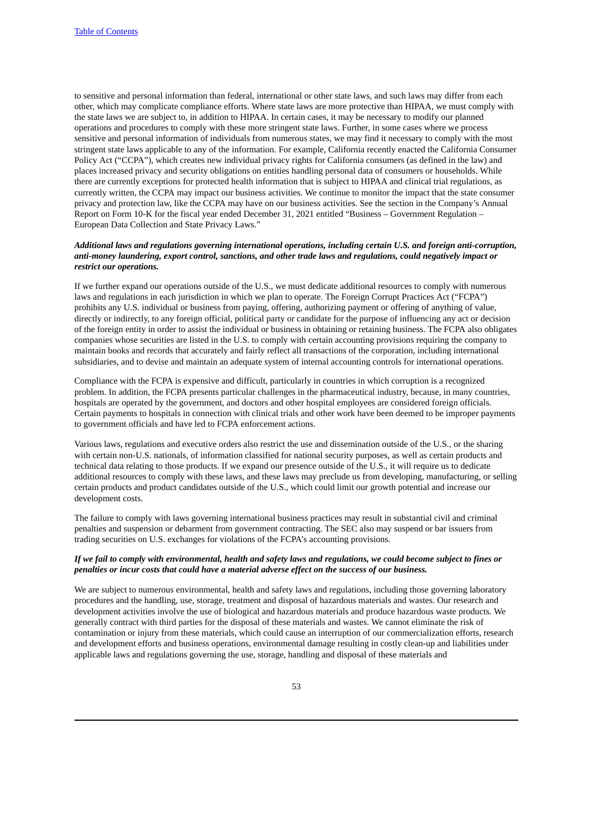to sensitive and personal information than federal, international or other state laws, and such laws may differ from each other, which may complicate compliance efforts. Where state laws are more protective than HIPAA, we must comply with the state laws we are subject to, in addition to HIPAA. In certain cases, it may be necessary to modify our planned operations and procedures to comply with these more stringent state laws. Further, in some cases where we process sensitive and personal information of individuals from numerous states, we may find it necessary to comply with the most stringent state laws applicable to any of the information. For example, California recently enacted the California Consumer Policy Act ("CCPA"), which creates new individual privacy rights for California consumers (as defined in the law) and places increased privacy and security obligations on entities handling personal data of consumers or households. While there are currently exceptions for protected health information that is subject to HIPAA and clinical trial regulations, as currently written, the CCPA may impact our business activities. We continue to monitor the impact that the state consumer privacy and protection law, like the CCPA may have on our business activities. See the section in the Company's Annual Report on Form 10-K for the fiscal year ended December 31, 2021 entitled "Business – Government Regulation – European Data Collection and State Privacy Laws."

## *Additional laws and regulations governing international operations, including certain U.S. and foreign anti-corruption, anti-money laundering, export control, sanctions, and other trade laws and regulations, could negatively impact or restrict our operations.*

If we further expand our operations outside of the U.S., we must dedicate additional resources to comply with numerous laws and regulations in each jurisdiction in which we plan to operate. The Foreign Corrupt Practices Act ("FCPA") prohibits any U.S. individual or business from paying, offering, authorizing payment or offering of anything of value, directly or indirectly, to any foreign official, political party or candidate for the purpose of influencing any act or decision of the foreign entity in order to assist the individual or business in obtaining or retaining business. The FCPA also obligates companies whose securities are listed in the U.S. to comply with certain accounting provisions requiring the company to maintain books and records that accurately and fairly reflect all transactions of the corporation, including international subsidiaries, and to devise and maintain an adequate system of internal accounting controls for international operations.

Compliance with the FCPA is expensive and difficult, particularly in countries in which corruption is a recognized problem. In addition, the FCPA presents particular challenges in the pharmaceutical industry, because, in many countries, hospitals are operated by the government, and doctors and other hospital employees are considered foreign officials. Certain payments to hospitals in connection with clinical trials and other work have been deemed to be improper payments to government officials and have led to FCPA enforcement actions.

Various laws, regulations and executive orders also restrict the use and dissemination outside of the U.S., or the sharing with certain non-U.S. nationals, of information classified for national security purposes, as well as certain products and technical data relating to those products. If we expand our presence outside of the U.S., it will require us to dedicate additional resources to comply with these laws, and these laws may preclude us from developing, manufacturing, or selling certain products and product candidates outside of the U.S., which could limit our growth potential and increase our development costs.

The failure to comply with laws governing international business practices may result in substantial civil and criminal penalties and suspension or debarment from government contracting. The SEC also may suspend or bar issuers from trading securities on U.S. exchanges for violations of the FCPA's accounting provisions.

#### If we fail to comply with environmental, health and safety laws and regulations, we could become subject to fines or *penalties or incur costs that could have a material adverse effect on the success of our business.*

We are subject to numerous environmental, health and safety laws and regulations, including those governing laboratory procedures and the handling, use, storage, treatment and disposal of hazardous materials and wastes. Our research and development activities involve the use of biological and hazardous materials and produce hazardous waste products. We generally contract with third parties for the disposal of these materials and wastes. We cannot eliminate the risk of contamination or injury from these materials, which could cause an interruption of our commercialization efforts, research and development efforts and business operations, environmental damage resulting in costly clean-up and liabilities under applicable laws and regulations governing the use, storage, handling and disposal of these materials and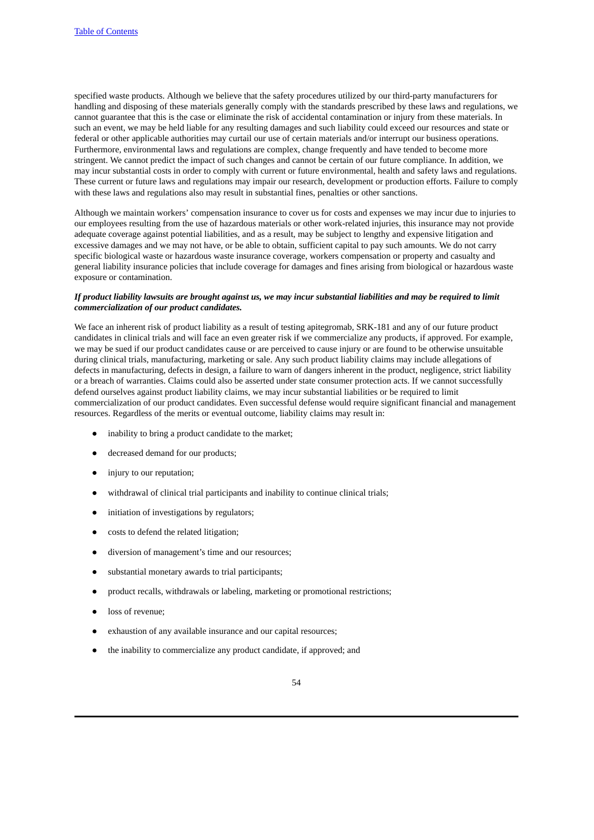specified waste products. Although we believe that the safety procedures utilized by our third-party manufacturers for handling and disposing of these materials generally comply with the standards prescribed by these laws and regulations, we cannot guarantee that this is the case or eliminate the risk of accidental contamination or injury from these materials. In such an event, we may be held liable for any resulting damages and such liability could exceed our resources and state or federal or other applicable authorities may curtail our use of certain materials and/or interrupt our business operations. Furthermore, environmental laws and regulations are complex, change frequently and have tended to become more stringent. We cannot predict the impact of such changes and cannot be certain of our future compliance. In addition, we may incur substantial costs in order to comply with current or future environmental, health and safety laws and regulations. These current or future laws and regulations may impair our research, development or production efforts. Failure to comply with these laws and regulations also may result in substantial fines, penalties or other sanctions.

Although we maintain workers' compensation insurance to cover us for costs and expenses we may incur due to injuries to our employees resulting from the use of hazardous materials or other work-related injuries, this insurance may not provide adequate coverage against potential liabilities, and as a result, may be subject to lengthy and expensive litigation and excessive damages and we may not have, or be able to obtain, sufficient capital to pay such amounts. We do not carry specific biological waste or hazardous waste insurance coverage, workers compensation or property and casualty and general liability insurance policies that include coverage for damages and fines arising from biological or hazardous waste exposure or contamination.

#### If product liability lawsuits are brought against us, we may incur substantial liabilities and may be required to limit *commercialization of our product candidates.*

We face an inherent risk of product liability as a result of testing apitegromab, SRK-181 and any of our future product candidates in clinical trials and will face an even greater risk if we commercialize any products, if approved. For example, we may be sued if our product candidates cause or are perceived to cause injury or are found to be otherwise unsuitable during clinical trials, manufacturing, marketing or sale. Any such product liability claims may include allegations of defects in manufacturing, defects in design, a failure to warn of dangers inherent in the product, negligence, strict liability or a breach of warranties. Claims could also be asserted under state consumer protection acts. If we cannot successfully defend ourselves against product liability claims, we may incur substantial liabilities or be required to limit commercialization of our product candidates. Even successful defense would require significant financial and management resources. Regardless of the merits or eventual outcome, liability claims may result in:

- inability to bring a product candidate to the market;
- decreased demand for our products;
- injury to our reputation;
- withdrawal of clinical trial participants and inability to continue clinical trials;
- initiation of investigations by regulators;
- costs to defend the related litigation;
- diversion of management's time and our resources;
- substantial monetary awards to trial participants;
- product recalls, withdrawals or labeling, marketing or promotional restrictions;
- loss of revenue;
- exhaustion of any available insurance and our capital resources;
- the inability to commercialize any product candidate, if approved; and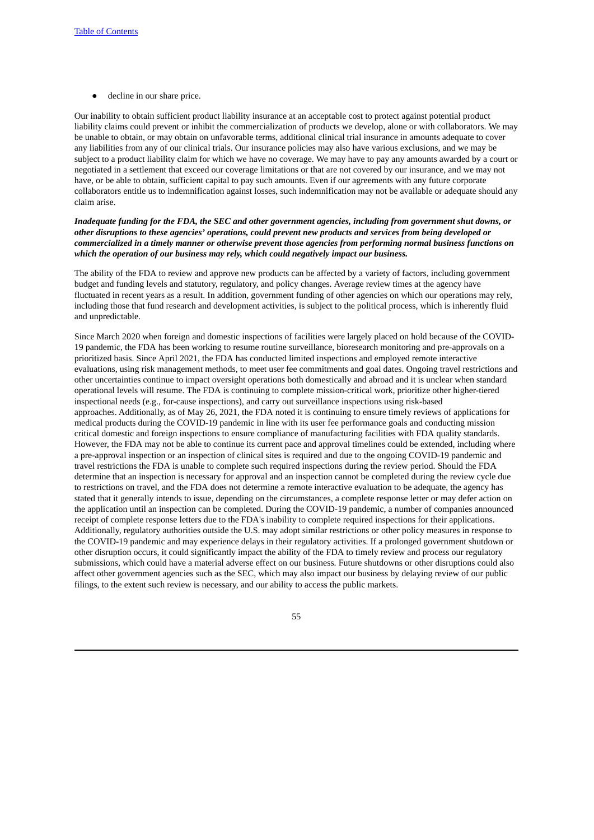● decline in our share price.

Our inability to obtain sufficient product liability insurance at an acceptable cost to protect against potential product liability claims could prevent or inhibit the commercialization of products we develop, alone or with collaborators. We may be unable to obtain, or may obtain on unfavorable terms, additional clinical trial insurance in amounts adequate to cover any liabilities from any of our clinical trials. Our insurance policies may also have various exclusions, and we may be subject to a product liability claim for which we have no coverage. We may have to pay any amounts awarded by a court or negotiated in a settlement that exceed our coverage limitations or that are not covered by our insurance, and we may not have, or be able to obtain, sufficient capital to pay such amounts. Even if our agreements with any future corporate collaborators entitle us to indemnification against losses, such indemnification may not be available or adequate should any claim arise.

## Inadequate funding for the FDA, the SEC and other government agencies, including from government shut downs, or *other disruptions to these agencies' operations, could prevent new products and services from being developed or* commercialized in a timely manner or otherwise prevent those agencies from performing normal business functions on *which the operation of our business may rely, which could negatively impact our business.*

The ability of the FDA to review and approve new products can be affected by a variety of factors, including government budget and funding levels and statutory, regulatory, and policy changes. Average review times at the agency have fluctuated in recent years as a result. In addition, government funding of other agencies on which our operations may rely, including those that fund research and development activities, is subject to the political process, which is inherently fluid and unpredictable.

Since March 2020 when foreign and domestic inspections of facilities were largely placed on hold because of the COVID-19 pandemic, the FDA has been working to resume routine surveillance, bioresearch monitoring and pre-approvals on a prioritized basis. Since April 2021, the FDA has conducted limited inspections and employed remote interactive evaluations, using risk management methods, to meet user fee commitments and goal dates. Ongoing travel restrictions and other uncertainties continue to impact oversight operations both domestically and abroad and it is unclear when standard operational levels will resume. The FDA is continuing to complete mission-critical work, prioritize other higher-tiered inspectional needs (e.g., for-cause inspections), and carry out surveillance inspections using risk-based approaches. Additionally, as of May 26, 2021, the FDA noted it is continuing to ensure timely reviews of applications for medical products during the COVID-19 pandemic in line with its user fee performance goals and conducting mission critical domestic and foreign inspections to ensure compliance of manufacturing facilities with FDA quality standards. However, the FDA may not be able to continue its current pace and approval timelines could be extended, including where a pre-approval inspection or an inspection of clinical sites is required and due to the ongoing COVID-19 pandemic and travel restrictions the FDA is unable to complete such required inspections during the review period. Should the FDA determine that an inspection is necessary for approval and an inspection cannot be completed during the review cycle due to restrictions on travel, and the FDA does not determine a remote interactive evaluation to be adequate, the agency has stated that it generally intends to issue, depending on the circumstances, a complete response letter or may defer action on the application until an inspection can be completed. During the COVID-19 pandemic, a number of companies announced receipt of complete response letters due to the FDA's inability to complete required inspections for their applications. Additionally, regulatory authorities outside the U.S. may adopt similar restrictions or other policy measures in response to the COVID-19 pandemic and may experience delays in their regulatory activities. If a prolonged government shutdown or other disruption occurs, it could significantly impact the ability of the FDA to timely review and process our regulatory submissions, which could have a material adverse effect on our business. Future shutdowns or other disruptions could also affect other government agencies such as the SEC, which may also impact our business by delaying review of our public filings, to the extent such review is necessary, and our ability to access the public markets.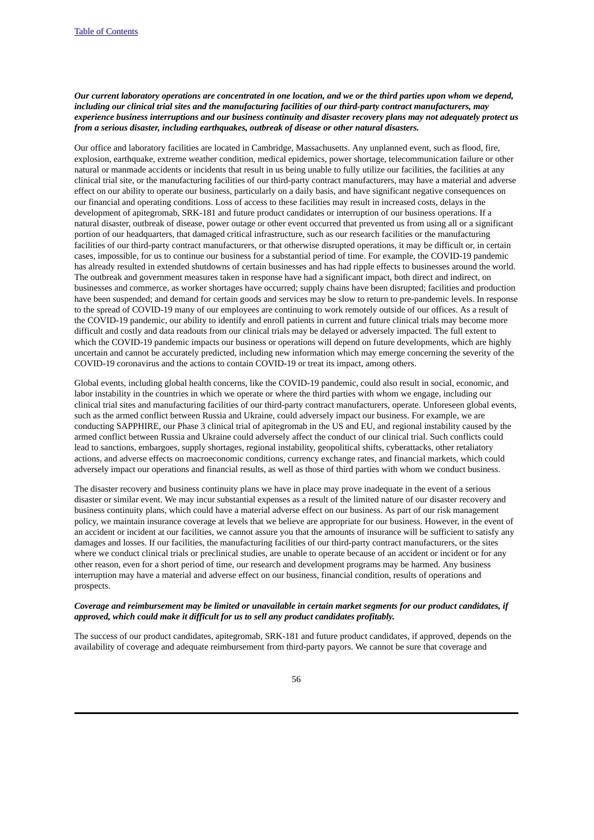# Our current laboratory operations are concentrated in one location, and we or the third parties upon whom we depend, *including our clinical trial sites and the manufacturing facilities of our third-party contract manufacturers, may* experience business interruptions and our business continuity and disaster recovery plans may not adequately protect us *from a serious disaster, including earthquakes, outbreak of disease or other natural disasters.*

Our office and laboratory facilities are located in Cambridge, Massachusetts. Any unplanned event, such as flood, fire, explosion, earthquake, extreme weather condition, medical epidemics, power shortage, telecommunication failure or other natural or manmade accidents or incidents that result in us being unable to fully utilize our facilities, the facilities at any clinical trial site, or the manufacturing facilities of our third-party contract manufacturers, may have a material and adverse effect on our ability to operate our business, particularly on a daily basis, and have significant negative consequences on our financial and operating conditions. Loss of access to these facilities may result in increased costs, delays in the development of apitegromab, SRK-181 and future product candidates or interruption of our business operations. If a natural disaster, outbreak of disease, power outage or other event occurred that prevented us from using all or a significant portion of our headquarters, that damaged critical infrastructure, such as our research facilities or the manufacturing facilities of our third-party contract manufacturers, or that otherwise disrupted operations, it may be difficult or, in certain cases, impossible, for us to continue our business for a substantial period of time. For example, the COVID-19 pandemic has already resulted in extended shutdowns of certain businesses and has had ripple effects to businesses around the world. The outbreak and government measures taken in response have had a significant impact, both direct and indirect, on businesses and commerce, as worker shortages have occurred; supply chains have been disrupted; facilities and production have been suspended; and demand for certain goods and services may be slow to return to pre-pandemic levels. In response to the spread of COVID-19 many of our employees are continuing to work remotely outside of our offices. As a result of the COVID-19 pandemic, our ability to identify and enroll patients in current and future clinical trials may become more difficult and costly and data readouts from our clinical trials may be delayed or adversely impacted. The full extent to which the COVID-19 pandemic impacts our business or operations will depend on future developments, which are highly uncertain and cannot be accurately predicted, including new information which may emerge concerning the severity of the COVID-19 coronavirus and the actions to contain COVID-19 or treat its impact, among others.

Global events, including global health concerns, like the COVID-19 pandemic, could also result in social, economic, and labor instability in the countries in which we operate or where the third parties with whom we engage, including our clinical trial sites and manufacturing facilities of our third-party contract manufacturers, operate. Unforeseen global events, such as the armed conflict between Russia and Ukraine, could adversely impact our business. For example, we are conducting SAPPHIRE, our Phase 3 clinical trial of apitegromab in the US and EU, and regional instability caused by the armed conflict between Russia and Ukraine could adversely affect the conduct of our clinical trial. Such conflicts could lead to sanctions, embargoes, supply shortages, regional instability, geopolitical shifts, cyberattacks, other retaliatory actions, and adverse effects on macroeconomic conditions, currency exchange rates, and financial markets, which could adversely impact our operations and financial results, as well as those of third parties with whom we conduct business.

The disaster recovery and business continuity plans we have in place may prove inadequate in the event of a serious disaster or similar event. We may incur substantial expenses as a result of the limited nature of our disaster recovery and business continuity plans, which could have a material adverse effect on our business. As part of our risk management policy, we maintain insurance coverage at levels that we believe are appropriate for our business. However, in the event of an accident or incident at our facilities, we cannot assure you that the amounts of insurance will be sufficient to satisfy any damages and losses. If our facilities, the manufacturing facilities of our third-party contract manufacturers, or the sites where we conduct clinical trials or preclinical studies, are unable to operate because of an accident or incident or for any other reason, even for a short period of time, our research and development programs may be harmed. Any business interruption may have a material and adverse effect on our business, financial condition, results of operations and prospects.

# Coverage and reimbursement may be limited or unavailable in certain market segments for our product candidates, if *approved, which could make it difficult for us to sell any product candidates profitably.*

The success of our product candidates, apitegromab, SRK-181 and future product candidates, if approved, depends on the availability of coverage and adequate reimbursement from third-party payors. We cannot be sure that coverage and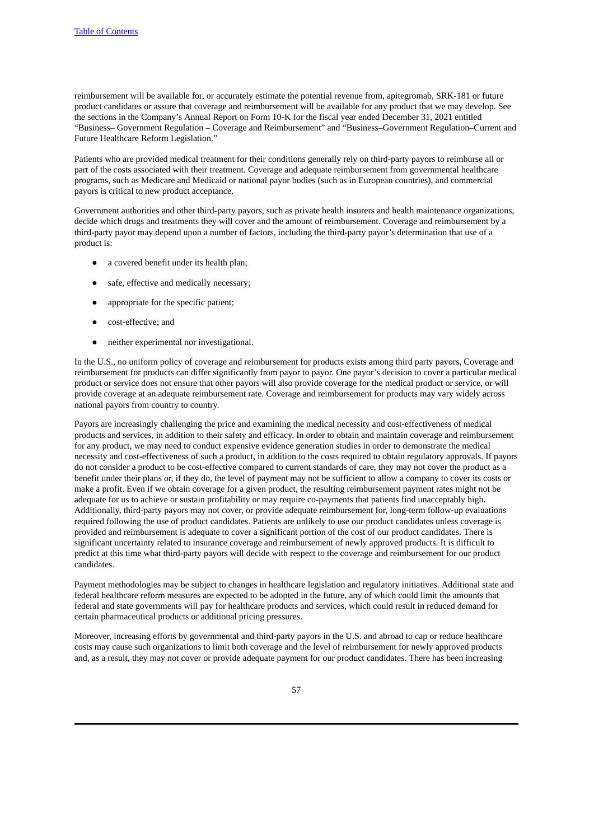reimbursement will be available for, or accurately estimate the potential revenue from, apitegromab, SRK-181 or future product candidates or assure that coverage and reimbursement will be available for any product that we may develop. See the sections in the Company's Annual Report on Form 10-K for the fiscal year ended December 31, 2021 entitled "Business– Government Regulation – Coverage and Reimbursement" and "Business–Government Regulation–Current and Future Healthcare Reform Legislation."

Patients who are provided medical treatment for their conditions generally rely on third-party payors to reimburse all or part of the costs associated with their treatment. Coverage and adequate reimbursement from governmental healthcare programs, such as Medicare and Medicaid or national payor bodies (such as in European countries), and commercial payors is critical to new product acceptance.

Government authorities and other third-party payors, such as private health insurers and health maintenance organizations, decide which drugs and treatments they will cover and the amount of reimbursement. Coverage and reimbursement by a third-party payor may depend upon a number of factors, including the third-party payor's determination that use of a product is:

- a covered benefit under its health plan;
- safe, effective and medically necessary;
- appropriate for the specific patient;
- cost-effective; and
- neither experimental nor investigational.

In the U.S., no uniform policy of coverage and reimbursement for products exists among third party payors, Coverage and reimbursement for products can differ significantly from payor to payor. One payor's decision to cover a particular medical product or service does not ensure that other payors will also provide coverage for the medical product or service, or will provide coverage at an adequate reimbursement rate. Coverage and reimbursement for products may vary widely across national payors from country to country.

Payors are increasingly challenging the price and examining the medical necessity and cost-effectiveness of medical products and services, in addition to their safety and efficacy. In order to obtain and maintain coverage and reimbursement for any product, we may need to conduct expensive evidence generation studies in order to demonstrate the medical necessity and cost-effectiveness of such a product, in addition to the costs required to obtain regulatory approvals. If payors do not consider a product to be cost-effective compared to current standards of care, they may not cover the product as a benefit under their plans or, if they do, the level of payment may not be sufficient to allow a company to cover its costs or make a profit. Even if we obtain coverage for a given product, the resulting reimbursement payment rates might not be adequate for us to achieve or sustain profitability or may require co-payments that patients find unacceptably high. Additionally, third-party payors may not cover, or provide adequate reimbursement for, long-term follow-up evaluations required following the use of product candidates. Patients are unlikely to use our product candidates unless coverage is provided and reimbursement is adequate to cover a significant portion of the cost of our product candidates. There is significant uncertainty related to insurance coverage and reimbursement of newly approved products. It is difficult to predict at this time what third-party payors will decide with respect to the coverage and reimbursement for our product candidates.

Payment methodologies may be subject to changes in healthcare legislation and regulatory initiatives. Additional state and federal healthcare reform measures are expected to be adopted in the future, any of which could limit the amounts that federal and state governments will pay for healthcare products and services, which could result in reduced demand for certain pharmaceutical products or additional pricing pressures.

Moreover, increasing efforts by governmental and third-party payors in the U.S. and abroad to cap or reduce healthcare costs may cause such organizations to limit both coverage and the level of reimbursement for newly approved products and, as a result, they may not cover or provide adequate payment for our product candidates. There has been increasing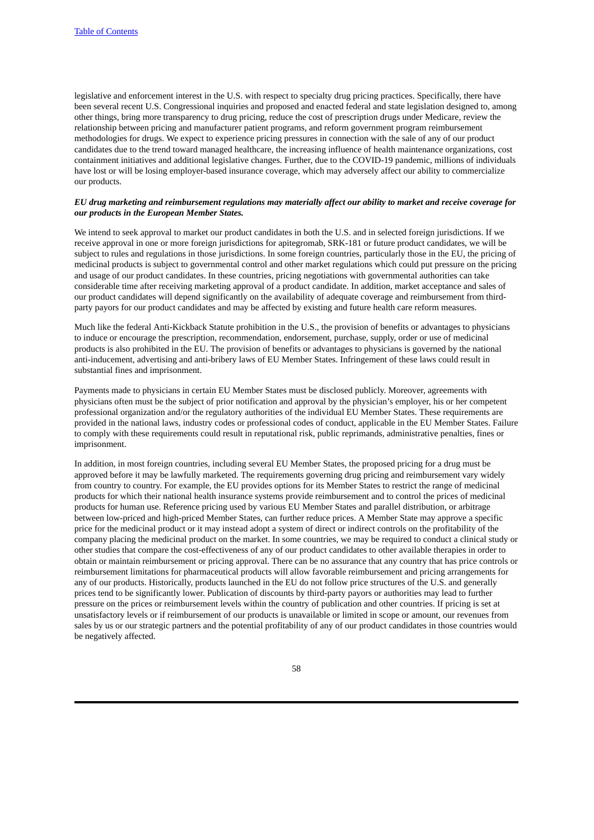legislative and enforcement interest in the U.S. with respect to specialty drug pricing practices. Specifically, there have been several recent U.S. Congressional inquiries and proposed and enacted federal and state legislation designed to, among other things, bring more transparency to drug pricing, reduce the cost of prescription drugs under Medicare, review the relationship between pricing and manufacturer patient programs, and reform government program reimbursement methodologies for drugs. We expect to experience pricing pressures in connection with the sale of any of our product candidates due to the trend toward managed healthcare, the increasing influence of health maintenance organizations, cost containment initiatives and additional legislative changes. Further, due to the COVID-19 pandemic, millions of individuals have lost or will be losing employer-based insurance coverage, which may adversely affect our ability to commercialize our products.

# EU drug marketing and reimbursement regulations may materially affect our ability to market and receive coverage for *our products in the European Member States.*

We intend to seek approval to market our product candidates in both the U.S. and in selected foreign jurisdictions. If we receive approval in one or more foreign jurisdictions for apitegromab, SRK-181 or future product candidates, we will be subject to rules and regulations in those jurisdictions. In some foreign countries, particularly those in the EU, the pricing of medicinal products is subject to governmental control and other market regulations which could put pressure on the pricing and usage of our product candidates. In these countries, pricing negotiations with governmental authorities can take considerable time after receiving marketing approval of a product candidate. In addition, market acceptance and sales of our product candidates will depend significantly on the availability of adequate coverage and reimbursement from thirdparty payors for our product candidates and may be affected by existing and future health care reform measures.

Much like the federal Anti-Kickback Statute prohibition in the U.S., the provision of benefits or advantages to physicians to induce or encourage the prescription, recommendation, endorsement, purchase, supply, order or use of medicinal products is also prohibited in the EU. The provision of benefits or advantages to physicians is governed by the national anti-inducement, advertising and anti-bribery laws of EU Member States. Infringement of these laws could result in substantial fines and imprisonment.

Payments made to physicians in certain EU Member States must be disclosed publicly. Moreover, agreements with physicians often must be the subject of prior notification and approval by the physician's employer, his or her competent professional organization and/or the regulatory authorities of the individual EU Member States. These requirements are provided in the national laws, industry codes or professional codes of conduct, applicable in the EU Member States. Failure to comply with these requirements could result in reputational risk, public reprimands, administrative penalties, fines or imprisonment.

In addition, in most foreign countries, including several EU Member States, the proposed pricing for a drug must be approved before it may be lawfully marketed. The requirements governing drug pricing and reimbursement vary widely from country to country. For example, the EU provides options for its Member States to restrict the range of medicinal products for which their national health insurance systems provide reimbursement and to control the prices of medicinal products for human use. Reference pricing used by various EU Member States and parallel distribution, or arbitrage between low-priced and high-priced Member States, can further reduce prices. A Member State may approve a specific price for the medicinal product or it may instead adopt a system of direct or indirect controls on the profitability of the company placing the medicinal product on the market. In some countries, we may be required to conduct a clinical study or other studies that compare the cost-effectiveness of any of our product candidates to other available therapies in order to obtain or maintain reimbursement or pricing approval. There can be no assurance that any country that has price controls or reimbursement limitations for pharmaceutical products will allow favorable reimbursement and pricing arrangements for any of our products. Historically, products launched in the EU do not follow price structures of the U.S. and generally prices tend to be significantly lower. Publication of discounts by third-party payors or authorities may lead to further pressure on the prices or reimbursement levels within the country of publication and other countries. If pricing is set at unsatisfactory levels or if reimbursement of our products is unavailable or limited in scope or amount, our revenues from sales by us or our strategic partners and the potential profitability of any of our product candidates in those countries would be negatively affected.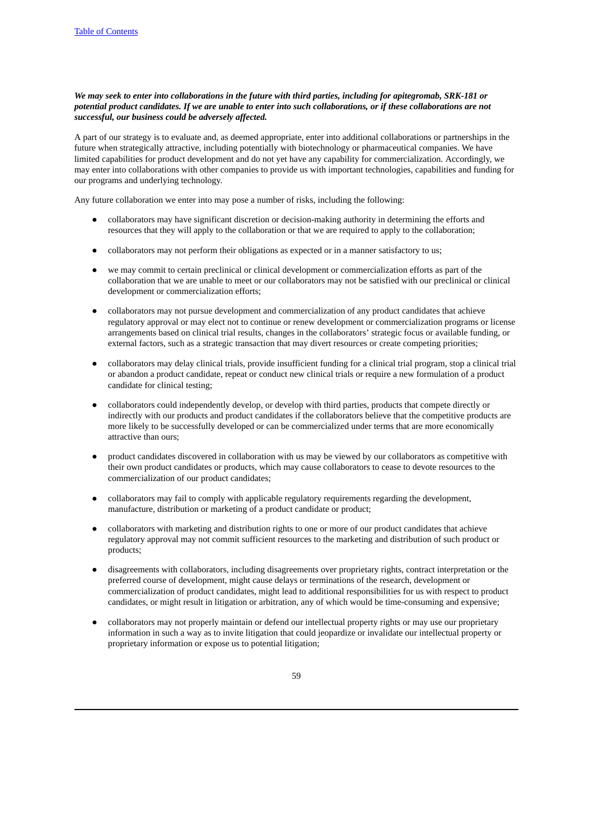# We may seek to enter into collaborations in the future with third parties, including for apitegromab, SRK-181 or potential product candidates. If we are unable to enter into such collaborations, or if these collaborations are not *successful, our business could be adversely affected.*

A part of our strategy is to evaluate and, as deemed appropriate, enter into additional collaborations or partnerships in the future when strategically attractive, including potentially with biotechnology or pharmaceutical companies. We have limited capabilities for product development and do not yet have any capability for commercialization. Accordingly, we may enter into collaborations with other companies to provide us with important technologies, capabilities and funding for our programs and underlying technology.

Any future collaboration we enter into may pose a number of risks, including the following:

- collaborators may have significant discretion or decision-making authority in determining the efforts and resources that they will apply to the collaboration or that we are required to apply to the collaboration;
- collaborators may not perform their obligations as expected or in a manner satisfactory to us;
- we may commit to certain preclinical or clinical development or commercialization efforts as part of the collaboration that we are unable to meet or our collaborators may not be satisfied with our preclinical or clinical development or commercialization efforts;
- collaborators may not pursue development and commercialization of any product candidates that achieve regulatory approval or may elect not to continue or renew development or commercialization programs or license arrangements based on clinical trial results, changes in the collaborators' strategic focus or available funding, or external factors, such as a strategic transaction that may divert resources or create competing priorities;
- collaborators may delay clinical trials, provide insufficient funding for a clinical trial program, stop a clinical trial or abandon a product candidate, repeat or conduct new clinical trials or require a new formulation of a product candidate for clinical testing;
- collaborators could independently develop, or develop with third parties, products that compete directly or indirectly with our products and product candidates if the collaborators believe that the competitive products are more likely to be successfully developed or can be commercialized under terms that are more economically attractive than ours;
- product candidates discovered in collaboration with us may be viewed by our collaborators as competitive with their own product candidates or products, which may cause collaborators to cease to devote resources to the commercialization of our product candidates;
- collaborators may fail to comply with applicable regulatory requirements regarding the development, manufacture, distribution or marketing of a product candidate or product;
- collaborators with marketing and distribution rights to one or more of our product candidates that achieve regulatory approval may not commit sufficient resources to the marketing and distribution of such product or products;
- disagreements with collaborators, including disagreements over proprietary rights, contract interpretation or the preferred course of development, might cause delays or terminations of the research, development or commercialization of product candidates, might lead to additional responsibilities for us with respect to product candidates, or might result in litigation or arbitration, any of which would be time-consuming and expensive;
- collaborators may not properly maintain or defend our intellectual property rights or may use our proprietary information in such a way as to invite litigation that could jeopardize or invalidate our intellectual property or proprietary information or expose us to potential litigation;

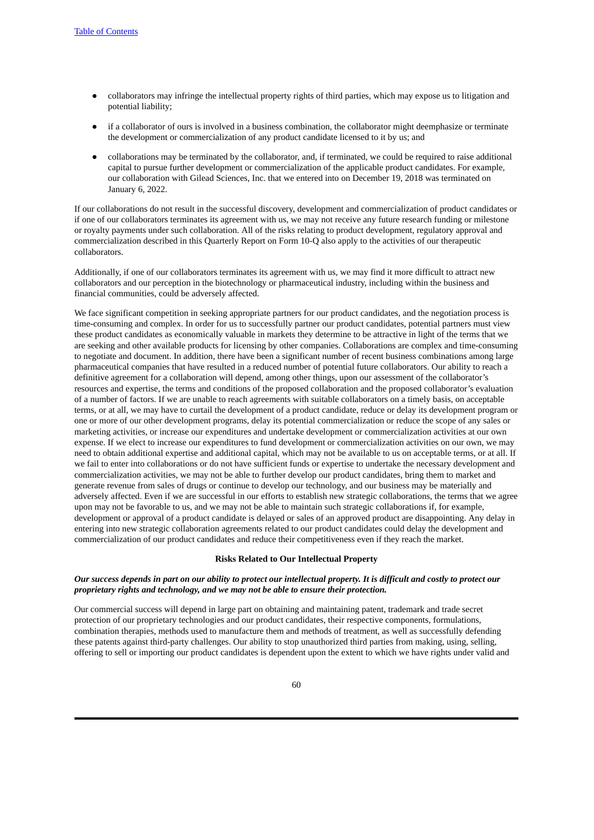- collaborators may infringe the intellectual property rights of third parties, which may expose us to litigation and potential liability;
- if a collaborator of ours is involved in a business combination, the collaborator might deemphasize or terminate the development or commercialization of any product candidate licensed to it by us; and
- collaborations may be terminated by the collaborator, and, if terminated, we could be required to raise additional capital to pursue further development or commercialization of the applicable product candidates. For example, our collaboration with Gilead Sciences, Inc. that we entered into on December 19, 2018 was terminated on January 6, 2022.

If our collaborations do not result in the successful discovery, development and commercialization of product candidates or if one of our collaborators terminates its agreement with us, we may not receive any future research funding or milestone or royalty payments under such collaboration. All of the risks relating to product development, regulatory approval and commercialization described in this Quarterly Report on Form 10-Q also apply to the activities of our therapeutic collaborators.

Additionally, if one of our collaborators terminates its agreement with us, we may find it more difficult to attract new collaborators and our perception in the biotechnology or pharmaceutical industry, including within the business and financial communities, could be adversely affected.

We face significant competition in seeking appropriate partners for our product candidates, and the negotiation process is time-consuming and complex. In order for us to successfully partner our product candidates, potential partners must view these product candidates as economically valuable in markets they determine to be attractive in light of the terms that we are seeking and other available products for licensing by other companies. Collaborations are complex and time-consuming to negotiate and document. In addition, there have been a significant number of recent business combinations among large pharmaceutical companies that have resulted in a reduced number of potential future collaborators. Our ability to reach a definitive agreement for a collaboration will depend, among other things, upon our assessment of the collaborator's resources and expertise, the terms and conditions of the proposed collaboration and the proposed collaborator's evaluation of a number of factors. If we are unable to reach agreements with suitable collaborators on a timely basis, on acceptable terms, or at all, we may have to curtail the development of a product candidate, reduce or delay its development program or one or more of our other development programs, delay its potential commercialization or reduce the scope of any sales or marketing activities, or increase our expenditures and undertake development or commercialization activities at our own expense. If we elect to increase our expenditures to fund development or commercialization activities on our own, we may need to obtain additional expertise and additional capital, which may not be available to us on acceptable terms, or at all. If we fail to enter into collaborations or do not have sufficient funds or expertise to undertake the necessary development and commercialization activities, we may not be able to further develop our product candidates, bring them to market and generate revenue from sales of drugs or continue to develop our technology, and our business may be materially and adversely affected. Even if we are successful in our efforts to establish new strategic collaborations, the terms that we agree upon may not be favorable to us, and we may not be able to maintain such strategic collaborations if, for example, development or approval of a product candidate is delayed or sales of an approved product are disappointing. Any delay in entering into new strategic collaboration agreements related to our product candidates could delay the development and commercialization of our product candidates and reduce their competitiveness even if they reach the market.

#### **Risks Related to Our Intellectual Property**

#### Our success depends in part on our ability to protect our intellectual property. It is difficult and costly to protect our *proprietary rights and technology, and we may not be able to ensure their protection.*

Our commercial success will depend in large part on obtaining and maintaining patent, trademark and trade secret protection of our proprietary technologies and our product candidates, their respective components, formulations, combination therapies, methods used to manufacture them and methods of treatment, as well as successfully defending these patents against third-party challenges. Our ability to stop unauthorized third parties from making, using, selling, offering to sell or importing our product candidates is dependent upon the extent to which we have rights under valid and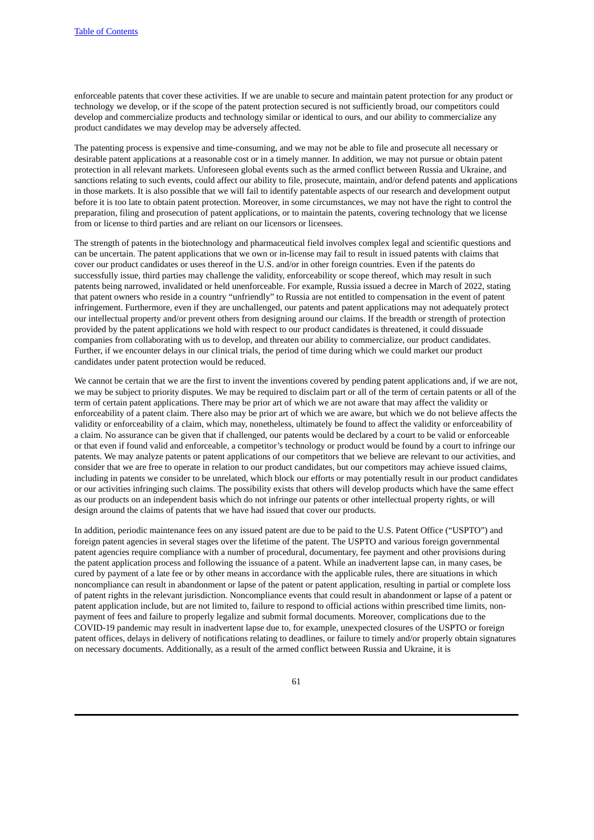enforceable patents that cover these activities. If we are unable to secure and maintain patent protection for any product or technology we develop, or if the scope of the patent protection secured is not sufficiently broad, our competitors could develop and commercialize products and technology similar or identical to ours, and our ability to commercialize any product candidates we may develop may be adversely affected.

The patenting process is expensive and time-consuming, and we may not be able to file and prosecute all necessary or desirable patent applications at a reasonable cost or in a timely manner. In addition, we may not pursue or obtain patent protection in all relevant markets. Unforeseen global events such as the armed conflict between Russia and Ukraine, and sanctions relating to such events, could affect our ability to file, prosecute, maintain, and/or defend patents and applications in those markets. It is also possible that we will fail to identify patentable aspects of our research and development output before it is too late to obtain patent protection. Moreover, in some circumstances, we may not have the right to control the preparation, filing and prosecution of patent applications, or to maintain the patents, covering technology that we license from or license to third parties and are reliant on our licensors or licensees.

The strength of patents in the biotechnology and pharmaceutical field involves complex legal and scientific questions and can be uncertain. The patent applications that we own or in-license may fail to result in issued patents with claims that cover our product candidates or uses thereof in the U.S. and/or in other foreign countries. Even if the patents do successfully issue, third parties may challenge the validity, enforceability or scope thereof, which may result in such patents being narrowed, invalidated or held unenforceable. For example, Russia issued a decree in March of 2022, stating that patent owners who reside in a country "unfriendly" to Russia are not entitled to compensation in the event of patent infringement. Furthermore, even if they are unchallenged, our patents and patent applications may not adequately protect our intellectual property and/or prevent others from designing around our claims. If the breadth or strength of protection provided by the patent applications we hold with respect to our product candidates is threatened, it could dissuade companies from collaborating with us to develop, and threaten our ability to commercialize, our product candidates. Further, if we encounter delays in our clinical trials, the period of time during which we could market our product candidates under patent protection would be reduced.

We cannot be certain that we are the first to invent the inventions covered by pending patent applications and, if we are not, we may be subject to priority disputes. We may be required to disclaim part or all of the term of certain patents or all of the term of certain patent applications. There may be prior art of which we are not aware that may affect the validity or enforceability of a patent claim. There also may be prior art of which we are aware, but which we do not believe affects the validity or enforceability of a claim, which may, nonetheless, ultimately be found to affect the validity or enforceability of a claim. No assurance can be given that if challenged, our patents would be declared by a court to be valid or enforceable or that even if found valid and enforceable, a competitor's technology or product would be found by a court to infringe our patents. We may analyze patents or patent applications of our competitors that we believe are relevant to our activities, and consider that we are free to operate in relation to our product candidates, but our competitors may achieve issued claims, including in patents we consider to be unrelated, which block our efforts or may potentially result in our product candidates or our activities infringing such claims. The possibility exists that others will develop products which have the same effect as our products on an independent basis which do not infringe our patents or other intellectual property rights, or will design around the claims of patents that we have had issued that cover our products.

In addition, periodic maintenance fees on any issued patent are due to be paid to the U.S. Patent Office ("USPTO") and foreign patent agencies in several stages over the lifetime of the patent. The USPTO and various foreign governmental patent agencies require compliance with a number of procedural, documentary, fee payment and other provisions during the patent application process and following the issuance of a patent. While an inadvertent lapse can, in many cases, be cured by payment of a late fee or by other means in accordance with the applicable rules, there are situations in which noncompliance can result in abandonment or lapse of the patent or patent application, resulting in partial or complete loss of patent rights in the relevant jurisdiction. Noncompliance events that could result in abandonment or lapse of a patent or patent application include, but are not limited to, failure to respond to official actions within prescribed time limits, nonpayment of fees and failure to properly legalize and submit formal documents. Moreover, complications due to the COVID-19 pandemic may result in inadvertent lapse due to, for example, unexpected closures of the USPTO or foreign patent offices, delays in delivery of notifications relating to deadlines, or failure to timely and/or properly obtain signatures on necessary documents. Additionally, as a result of the armed conflict between Russia and Ukraine, it is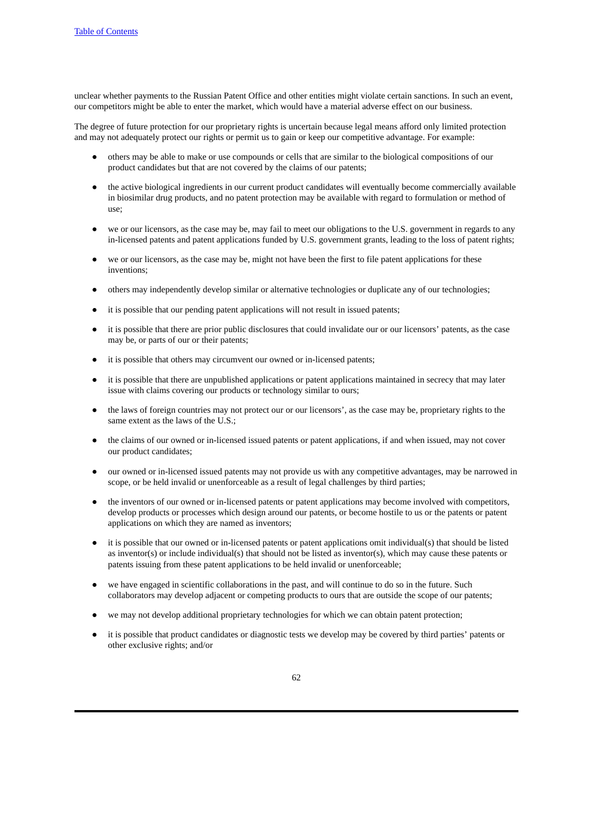unclear whether payments to the Russian Patent Office and other entities might violate certain sanctions. In such an event, our competitors might be able to enter the market, which would have a material adverse effect on our business.

The degree of future protection for our proprietary rights is uncertain because legal means afford only limited protection and may not adequately protect our rights or permit us to gain or keep our competitive advantage. For example:

- others may be able to make or use compounds or cells that are similar to the biological compositions of our product candidates but that are not covered by the claims of our patents;
- the active biological ingredients in our current product candidates will eventually become commercially available in biosimilar drug products, and no patent protection may be available with regard to formulation or method of use;
- we or our licensors, as the case may be, may fail to meet our obligations to the U.S. government in regards to any in-licensed patents and patent applications funded by U.S. government grants, leading to the loss of patent rights;
- we or our licensors, as the case may be, might not have been the first to file patent applications for these inventions;
- others may independently develop similar or alternative technologies or duplicate any of our technologies;
- it is possible that our pending patent applications will not result in issued patents;
- it is possible that there are prior public disclosures that could invalidate our or our licensors' patents, as the case may be, or parts of our or their patents;
- it is possible that others may circumvent our owned or in-licensed patents;
- it is possible that there are unpublished applications or patent applications maintained in secrecy that may later issue with claims covering our products or technology similar to ours;
- the laws of foreign countries may not protect our or our licensors', as the case may be, proprietary rights to the same extent as the laws of the U.S.;
- the claims of our owned or in-licensed issued patents or patent applications, if and when issued, may not cover our product candidates;
- our owned or in-licensed issued patents may not provide us with any competitive advantages, may be narrowed in scope, or be held invalid or unenforceable as a result of legal challenges by third parties;
- the inventors of our owned or in-licensed patents or patent applications may become involved with competitors, develop products or processes which design around our patents, or become hostile to us or the patents or patent applications on which they are named as inventors;
- it is possible that our owned or in-licensed patents or patent applications omit individual(s) that should be listed as inventor(s) or include individual(s) that should not be listed as inventor(s), which may cause these patents or patents issuing from these patent applications to be held invalid or unenforceable;
- we have engaged in scientific collaborations in the past, and will continue to do so in the future. Such collaborators may develop adjacent or competing products to ours that are outside the scope of our patents;
- we may not develop additional proprietary technologies for which we can obtain patent protection;
- it is possible that product candidates or diagnostic tests we develop may be covered by third parties' patents or other exclusive rights; and/or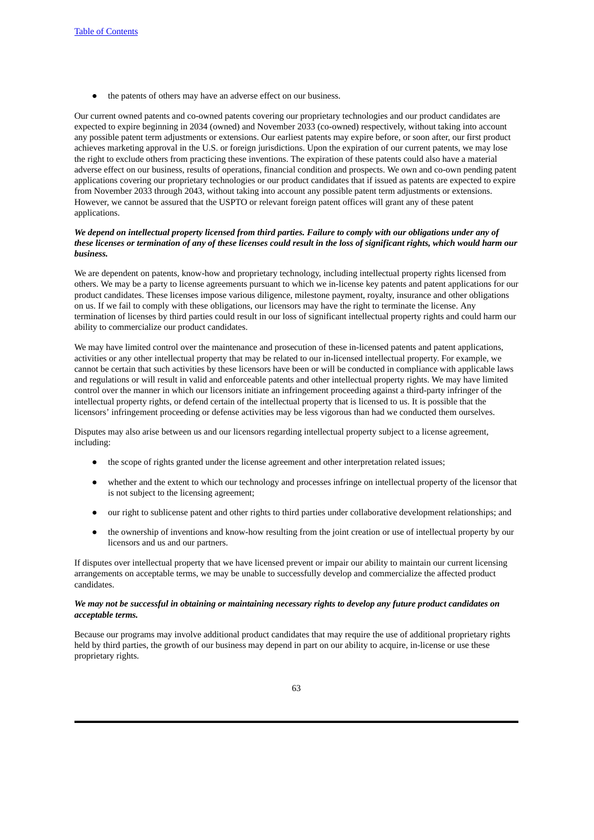● the patents of others may have an adverse effect on our business.

Our current owned patents and co-owned patents covering our proprietary technologies and our product candidates are expected to expire beginning in 2034 (owned) and November 2033 (co-owned) respectively, without taking into account any possible patent term adjustments or extensions. Our earliest patents may expire before, or soon after, our first product achieves marketing approval in the U.S. or foreign jurisdictions. Upon the expiration of our current patents, we may lose the right to exclude others from practicing these inventions. The expiration of these patents could also have a material adverse effect on our business, results of operations, financial condition and prospects. We own and co-own pending patent applications covering our proprietary technologies or our product candidates that if issued as patents are expected to expire from November 2033 through 2043, without taking into account any possible patent term adjustments or extensions. However, we cannot be assured that the USPTO or relevant foreign patent offices will grant any of these patent applications.

#### We depend on intellectual property licensed from third parties. Failure to comply with our obligations under any of these licenses or termination of any of these licenses could result in the loss of significant rights, which would harm our *business.*

We are dependent on patents, know-how and proprietary technology, including intellectual property rights licensed from others. We may be a party to license agreements pursuant to which we in-license key patents and patent applications for our product candidates. These licenses impose various diligence, milestone payment, royalty, insurance and other obligations on us. If we fail to comply with these obligations, our licensors may have the right to terminate the license. Any termination of licenses by third parties could result in our loss of significant intellectual property rights and could harm our ability to commercialize our product candidates.

We may have limited control over the maintenance and prosecution of these in-licensed patents and patent applications, activities or any other intellectual property that may be related to our in-licensed intellectual property. For example, we cannot be certain that such activities by these licensors have been or will be conducted in compliance with applicable laws and regulations or will result in valid and enforceable patents and other intellectual property rights. We may have limited control over the manner in which our licensors initiate an infringement proceeding against a third-party infringer of the intellectual property rights, or defend certain of the intellectual property that is licensed to us. It is possible that the licensors' infringement proceeding or defense activities may be less vigorous than had we conducted them ourselves.

Disputes may also arise between us and our licensors regarding intellectual property subject to a license agreement, including:

- the scope of rights granted under the license agreement and other interpretation related issues;
- whether and the extent to which our technology and processes infringe on intellectual property of the licensor that is not subject to the licensing agreement;
- our right to sublicense patent and other rights to third parties under collaborative development relationships; and
- the ownership of inventions and know-how resulting from the joint creation or use of intellectual property by our licensors and us and our partners.

If disputes over intellectual property that we have licensed prevent or impair our ability to maintain our current licensing arrangements on acceptable terms, we may be unable to successfully develop and commercialize the affected product candidates.

## We may not be successful in obtaining or maintaining necessary rights to develop any future product candidates on *acceptable terms.*

Because our programs may involve additional product candidates that may require the use of additional proprietary rights held by third parties, the growth of our business may depend in part on our ability to acquire, in-license or use these proprietary rights.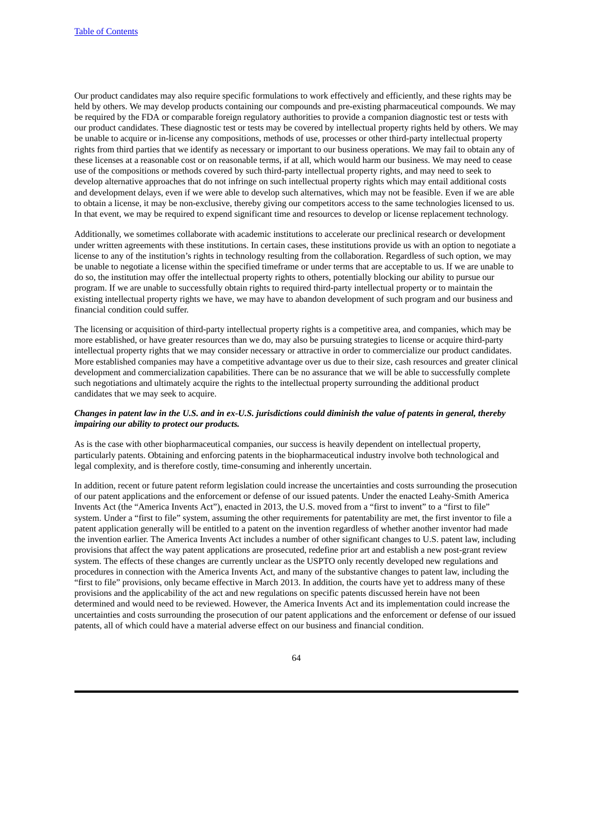Our product candidates may also require specific formulations to work effectively and efficiently, and these rights may be held by others. We may develop products containing our compounds and pre-existing pharmaceutical compounds. We may be required by the FDA or comparable foreign regulatory authorities to provide a companion diagnostic test or tests with our product candidates. These diagnostic test or tests may be covered by intellectual property rights held by others. We may be unable to acquire or in-license any compositions, methods of use, processes or other third-party intellectual property rights from third parties that we identify as necessary or important to our business operations. We may fail to obtain any of these licenses at a reasonable cost or on reasonable terms, if at all, which would harm our business. We may need to cease use of the compositions or methods covered by such third-party intellectual property rights, and may need to seek to develop alternative approaches that do not infringe on such intellectual property rights which may entail additional costs and development delays, even if we were able to develop such alternatives, which may not be feasible. Even if we are able to obtain a license, it may be non-exclusive, thereby giving our competitors access to the same technologies licensed to us. In that event, we may be required to expend significant time and resources to develop or license replacement technology.

Additionally, we sometimes collaborate with academic institutions to accelerate our preclinical research or development under written agreements with these institutions. In certain cases, these institutions provide us with an option to negotiate a license to any of the institution's rights in technology resulting from the collaboration. Regardless of such option, we may be unable to negotiate a license within the specified timeframe or under terms that are acceptable to us. If we are unable to do so, the institution may offer the intellectual property rights to others, potentially blocking our ability to pursue our program. If we are unable to successfully obtain rights to required third-party intellectual property or to maintain the existing intellectual property rights we have, we may have to abandon development of such program and our business and financial condition could suffer.

The licensing or acquisition of third-party intellectual property rights is a competitive area, and companies, which may be more established, or have greater resources than we do, may also be pursuing strategies to license or acquire third-party intellectual property rights that we may consider necessary or attractive in order to commercialize our product candidates. More established companies may have a competitive advantage over us due to their size, cash resources and greater clinical development and commercialization capabilities. There can be no assurance that we will be able to successfully complete such negotiations and ultimately acquire the rights to the intellectual property surrounding the additional product candidates that we may seek to acquire.

#### Changes in patent law in the U.S. and in ex-U.S. jurisdictions could diminish the value of patents in general, thereby *impairing our ability to protect our products.*

As is the case with other biopharmaceutical companies, our success is heavily dependent on intellectual property, particularly patents. Obtaining and enforcing patents in the biopharmaceutical industry involve both technological and legal complexity, and is therefore costly, time-consuming and inherently uncertain.

In addition, recent or future patent reform legislation could increase the uncertainties and costs surrounding the prosecution of our patent applications and the enforcement or defense of our issued patents. Under the enacted Leahy-Smith America Invents Act (the "America Invents Act"), enacted in 2013, the U.S. moved from a "first to invent" to a "first to file" system. Under a "first to file" system, assuming the other requirements for patentability are met, the first inventor to file a patent application generally will be entitled to a patent on the invention regardless of whether another inventor had made the invention earlier. The America Invents Act includes a number of other significant changes to U.S. patent law, including provisions that affect the way patent applications are prosecuted, redefine prior art and establish a new post-grant review system. The effects of these changes are currently unclear as the USPTO only recently developed new regulations and procedures in connection with the America Invents Act, and many of the substantive changes to patent law, including the "first to file" provisions, only became effective in March 2013. In addition, the courts have yet to address many of these provisions and the applicability of the act and new regulations on specific patents discussed herein have not been determined and would need to be reviewed. However, the America Invents Act and its implementation could increase the uncertainties and costs surrounding the prosecution of our patent applications and the enforcement or defense of our issued patents, all of which could have a material adverse effect on our business and financial condition.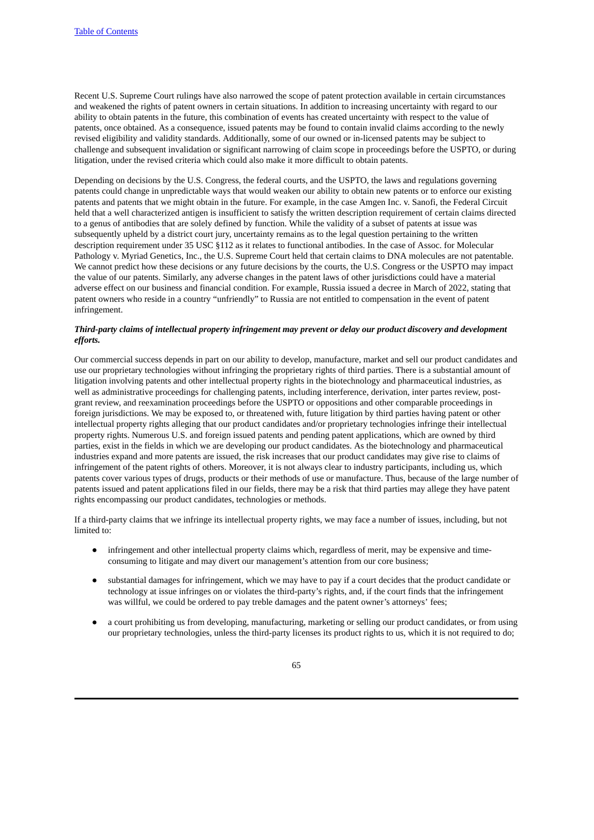Recent U.S. Supreme Court rulings have also narrowed the scope of patent protection available in certain circumstances and weakened the rights of patent owners in certain situations. In addition to increasing uncertainty with regard to our ability to obtain patents in the future, this combination of events has created uncertainty with respect to the value of patents, once obtained. As a consequence, issued patents may be found to contain invalid claims according to the newly revised eligibility and validity standards. Additionally, some of our owned or in-licensed patents may be subject to challenge and subsequent invalidation or significant narrowing of claim scope in proceedings before the USPTO, or during litigation, under the revised criteria which could also make it more difficult to obtain patents.

Depending on decisions by the U.S. Congress, the federal courts, and the USPTO, the laws and regulations governing patents could change in unpredictable ways that would weaken our ability to obtain new patents or to enforce our existing patents and patents that we might obtain in the future. For example, in the case Amgen Inc. v. Sanofi, the Federal Circuit held that a well characterized antigen is insufficient to satisfy the written description requirement of certain claims directed to a genus of antibodies that are solely defined by function. While the validity of a subset of patents at issue was subsequently upheld by a district court jury, uncertainty remains as to the legal question pertaining to the written description requirement under 35 USC §112 as it relates to functional antibodies. In the case of Assoc. for Molecular Pathology v. Myriad Genetics, Inc., the U.S. Supreme Court held that certain claims to DNA molecules are not patentable. We cannot predict how these decisions or any future decisions by the courts, the U.S. Congress or the USPTO may impact the value of our patents. Similarly, any adverse changes in the patent laws of other jurisdictions could have a material adverse effect on our business and financial condition. For example, Russia issued a decree in March of 2022, stating that patent owners who reside in a country "unfriendly" to Russia are not entitled to compensation in the event of patent infringement.

# *Third-party claims of intellectual property infringement may prevent or delay our product discovery and development efforts.*

Our commercial success depends in part on our ability to develop, manufacture, market and sell our product candidates and use our proprietary technologies without infringing the proprietary rights of third parties. There is a substantial amount of litigation involving patents and other intellectual property rights in the biotechnology and pharmaceutical industries, as well as administrative proceedings for challenging patents, including interference, derivation, inter partes review, postgrant review, and reexamination proceedings before the USPTO or oppositions and other comparable proceedings in foreign jurisdictions. We may be exposed to, or threatened with, future litigation by third parties having patent or other intellectual property rights alleging that our product candidates and/or proprietary technologies infringe their intellectual property rights. Numerous U.S. and foreign issued patents and pending patent applications, which are owned by third parties, exist in the fields in which we are developing our product candidates. As the biotechnology and pharmaceutical industries expand and more patents are issued, the risk increases that our product candidates may give rise to claims of infringement of the patent rights of others. Moreover, it is not always clear to industry participants, including us, which patents cover various types of drugs, products or their methods of use or manufacture. Thus, because of the large number of patents issued and patent applications filed in our fields, there may be a risk that third parties may allege they have patent rights encompassing our product candidates, technologies or methods.

If a third-party claims that we infringe its intellectual property rights, we may face a number of issues, including, but not limited to:

- infringement and other intellectual property claims which, regardless of merit, may be expensive and timeconsuming to litigate and may divert our management's attention from our core business;
- substantial damages for infringement, which we may have to pay if a court decides that the product candidate or technology at issue infringes on or violates the third-party's rights, and, if the court finds that the infringement was willful, we could be ordered to pay treble damages and the patent owner's attorneys' fees;
- a court prohibiting us from developing, manufacturing, marketing or selling our product candidates, or from using our proprietary technologies, unless the third-party licenses its product rights to us, which it is not required to do;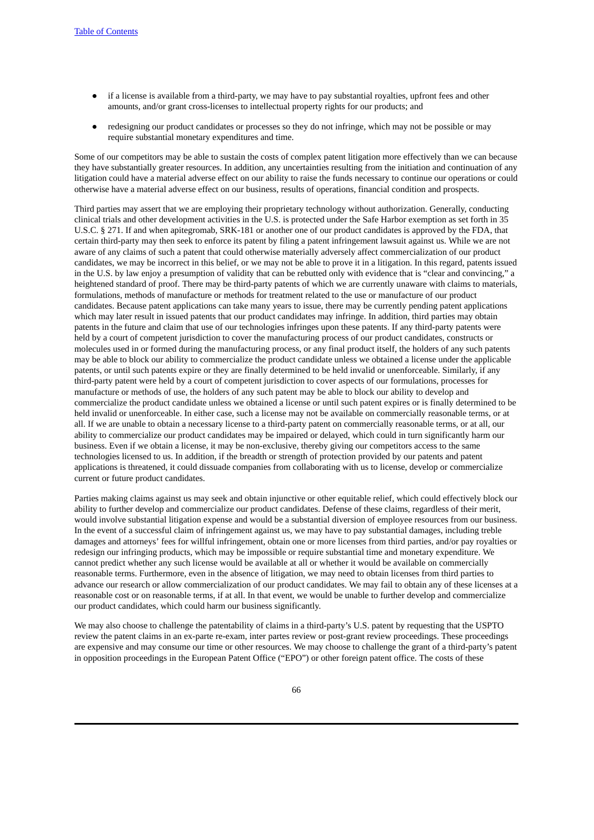- if a license is available from a third-party, we may have to pay substantial royalties, upfront fees and other amounts, and/or grant cross-licenses to intellectual property rights for our products; and
- redesigning our product candidates or processes so they do not infringe, which may not be possible or may require substantial monetary expenditures and time.

Some of our competitors may be able to sustain the costs of complex patent litigation more effectively than we can because they have substantially greater resources. In addition, any uncertainties resulting from the initiation and continuation of any litigation could have a material adverse effect on our ability to raise the funds necessary to continue our operations or could otherwise have a material adverse effect on our business, results of operations, financial condition and prospects.

Third parties may assert that we are employing their proprietary technology without authorization. Generally, conducting clinical trials and other development activities in the U.S. is protected under the Safe Harbor exemption as set forth in 35 U.S.C. § 271. If and when apitegromab, SRK-181 or another one of our product candidates is approved by the FDA, that certain third-party may then seek to enforce its patent by filing a patent infringement lawsuit against us. While we are not aware of any claims of such a patent that could otherwise materially adversely affect commercialization of our product candidates, we may be incorrect in this belief, or we may not be able to prove it in a litigation. In this regard, patents issued in the U.S. by law enjoy a presumption of validity that can be rebutted only with evidence that is "clear and convincing," a heightened standard of proof. There may be third-party patents of which we are currently unaware with claims to materials, formulations, methods of manufacture or methods for treatment related to the use or manufacture of our product candidates. Because patent applications can take many years to issue, there may be currently pending patent applications which may later result in issued patents that our product candidates may infringe. In addition, third parties may obtain patents in the future and claim that use of our technologies infringes upon these patents. If any third-party patents were held by a court of competent jurisdiction to cover the manufacturing process of our product candidates, constructs or molecules used in or formed during the manufacturing process, or any final product itself, the holders of any such patents may be able to block our ability to commercialize the product candidate unless we obtained a license under the applicable patents, or until such patents expire or they are finally determined to be held invalid or unenforceable. Similarly, if any third-party patent were held by a court of competent jurisdiction to cover aspects of our formulations, processes for manufacture or methods of use, the holders of any such patent may be able to block our ability to develop and commercialize the product candidate unless we obtained a license or until such patent expires or is finally determined to be held invalid or unenforceable. In either case, such a license may not be available on commercially reasonable terms, or at all. If we are unable to obtain a necessary license to a third-party patent on commercially reasonable terms, or at all, our ability to commercialize our product candidates may be impaired or delayed, which could in turn significantly harm our business. Even if we obtain a license, it may be non-exclusive, thereby giving our competitors access to the same technologies licensed to us. In addition, if the breadth or strength of protection provided by our patents and patent applications is threatened, it could dissuade companies from collaborating with us to license, develop or commercialize current or future product candidates.

Parties making claims against us may seek and obtain injunctive or other equitable relief, which could effectively block our ability to further develop and commercialize our product candidates. Defense of these claims, regardless of their merit, would involve substantial litigation expense and would be a substantial diversion of employee resources from our business. In the event of a successful claim of infringement against us, we may have to pay substantial damages, including treble damages and attorneys' fees for willful infringement, obtain one or more licenses from third parties, and/or pay royalties or redesign our infringing products, which may be impossible or require substantial time and monetary expenditure. We cannot predict whether any such license would be available at all or whether it would be available on commercially reasonable terms. Furthermore, even in the absence of litigation, we may need to obtain licenses from third parties to advance our research or allow commercialization of our product candidates. We may fail to obtain any of these licenses at a reasonable cost or on reasonable terms, if at all. In that event, we would be unable to further develop and commercialize our product candidates, which could harm our business significantly.

We may also choose to challenge the patentability of claims in a third-party's U.S. patent by requesting that the USPTO review the patent claims in an ex-parte re-exam, inter partes review or post-grant review proceedings. These proceedings are expensive and may consume our time or other resources. We may choose to challenge the grant of a third-party's patent in opposition proceedings in the European Patent Office ("EPO") or other foreign patent office. The costs of these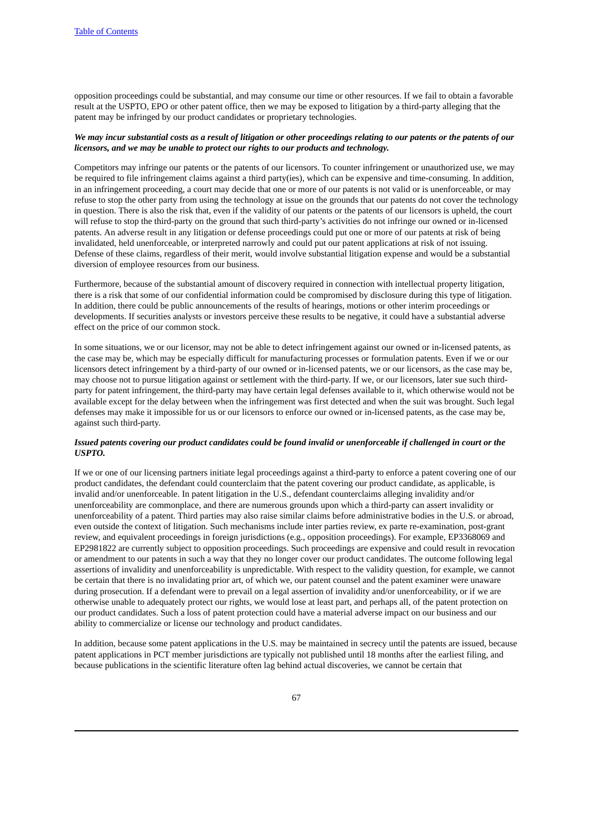opposition proceedings could be substantial, and may consume our time or other resources. If we fail to obtain a favorable result at the USPTO, EPO or other patent office, then we may be exposed to litigation by a third-party alleging that the patent may be infringed by our product candidates or proprietary technologies.

#### We may incur substantial costs as a result of litigation or other proceedings relating to our patents or the patents of our *licensors, and we may be unable to protect our rights to our products and technology.*

Competitors may infringe our patents or the patents of our licensors. To counter infringement or unauthorized use, we may be required to file infringement claims against a third party(ies), which can be expensive and time-consuming. In addition, in an infringement proceeding, a court may decide that one or more of our patents is not valid or is unenforceable, or may refuse to stop the other party from using the technology at issue on the grounds that our patents do not cover the technology in question. There is also the risk that, even if the validity of our patents or the patents of our licensors is upheld, the court will refuse to stop the third-party on the ground that such third-party's activities do not infringe our owned or in-licensed patents. An adverse result in any litigation or defense proceedings could put one or more of our patents at risk of being invalidated, held unenforceable, or interpreted narrowly and could put our patent applications at risk of not issuing. Defense of these claims, regardless of their merit, would involve substantial litigation expense and would be a substantial diversion of employee resources from our business.

Furthermore, because of the substantial amount of discovery required in connection with intellectual property litigation, there is a risk that some of our confidential information could be compromised by disclosure during this type of litigation. In addition, there could be public announcements of the results of hearings, motions or other interim proceedings or developments. If securities analysts or investors perceive these results to be negative, it could have a substantial adverse effect on the price of our common stock.

In some situations, we or our licensor, may not be able to detect infringement against our owned or in-licensed patents, as the case may be, which may be especially difficult for manufacturing processes or formulation patents. Even if we or our licensors detect infringement by a third-party of our owned or in-licensed patents, we or our licensors, as the case may be, may choose not to pursue litigation against or settlement with the third-party. If we, or our licensors, later sue such thirdparty for patent infringement, the third-party may have certain legal defenses available to it, which otherwise would not be available except for the delay between when the infringement was first detected and when the suit was brought. Such legal defenses may make it impossible for us or our licensors to enforce our owned or in-licensed patents, as the case may be, against such third-party.

# Issued patents covering our product candidates could be found invalid or unenforceable if challenged in court or the *USPTO.*

If we or one of our licensing partners initiate legal proceedings against a third-party to enforce a patent covering one of our product candidates, the defendant could counterclaim that the patent covering our product candidate, as applicable, is invalid and/or unenforceable. In patent litigation in the U.S., defendant counterclaims alleging invalidity and/or unenforceability are commonplace, and there are numerous grounds upon which a third-party can assert invalidity or unenforceability of a patent. Third parties may also raise similar claims before administrative bodies in the U.S. or abroad, even outside the context of litigation. Such mechanisms include inter parties review, ex parte re-examination, post-grant review, and equivalent proceedings in foreign jurisdictions (e.g., opposition proceedings). For example, EP3368069 and EP2981822 are currently subject to opposition proceedings. Such proceedings are expensive and could result in revocation or amendment to our patents in such a way that they no longer cover our product candidates. The outcome following legal assertions of invalidity and unenforceability is unpredictable. With respect to the validity question, for example, we cannot be certain that there is no invalidating prior art, of which we, our patent counsel and the patent examiner were unaware during prosecution. If a defendant were to prevail on a legal assertion of invalidity and/or unenforceability, or if we are otherwise unable to adequately protect our rights, we would lose at least part, and perhaps all, of the patent protection on our product candidates. Such a loss of patent protection could have a material adverse impact on our business and our ability to commercialize or license our technology and product candidates.

In addition, because some patent applications in the U.S. may be maintained in secrecy until the patents are issued, because patent applications in PCT member jurisdictions are typically not published until 18 months after the earliest filing, and because publications in the scientific literature often lag behind actual discoveries, we cannot be certain that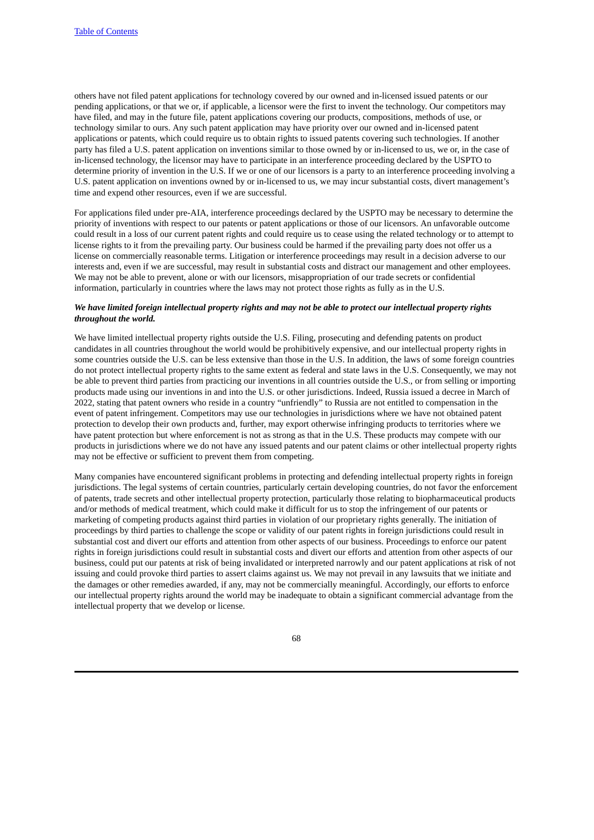others have not filed patent applications for technology covered by our owned and in-licensed issued patents or our pending applications, or that we or, if applicable, a licensor were the first to invent the technology. Our competitors may have filed, and may in the future file, patent applications covering our products, compositions, methods of use, or technology similar to ours. Any such patent application may have priority over our owned and in-licensed patent applications or patents, which could require us to obtain rights to issued patents covering such technologies. If another party has filed a U.S. patent application on inventions similar to those owned by or in-licensed to us, we or, in the case of in-licensed technology, the licensor may have to participate in an interference proceeding declared by the USPTO to determine priority of invention in the U.S. If we or one of our licensors is a party to an interference proceeding involving a U.S. patent application on inventions owned by or in-licensed to us, we may incur substantial costs, divert management's time and expend other resources, even if we are successful.

For applications filed under pre-AIA, interference proceedings declared by the USPTO may be necessary to determine the priority of inventions with respect to our patents or patent applications or those of our licensors. An unfavorable outcome could result in a loss of our current patent rights and could require us to cease using the related technology or to attempt to license rights to it from the prevailing party. Our business could be harmed if the prevailing party does not offer us a license on commercially reasonable terms. Litigation or interference proceedings may result in a decision adverse to our interests and, even if we are successful, may result in substantial costs and distract our management and other employees. We may not be able to prevent, alone or with our licensors, misappropriation of our trade secrets or confidential information, particularly in countries where the laws may not protect those rights as fully as in the U.S.

## We have limited foreign intellectual property rights and may not be able to protect our intellectual property rights *throughout the world.*

We have limited intellectual property rights outside the U.S. Filing, prosecuting and defending patents on product candidates in all countries throughout the world would be prohibitively expensive, and our intellectual property rights in some countries outside the U.S. can be less extensive than those in the U.S. In addition, the laws of some foreign countries do not protect intellectual property rights to the same extent as federal and state laws in the U.S. Consequently, we may not be able to prevent third parties from practicing our inventions in all countries outside the U.S., or from selling or importing products made using our inventions in and into the U.S. or other jurisdictions. Indeed, Russia issued a decree in March of 2022, stating that patent owners who reside in a country "unfriendly" to Russia are not entitled to compensation in the event of patent infringement. Competitors may use our technologies in jurisdictions where we have not obtained patent protection to develop their own products and, further, may export otherwise infringing products to territories where we have patent protection but where enforcement is not as strong as that in the U.S. These products may compete with our products in jurisdictions where we do not have any issued patents and our patent claims or other intellectual property rights may not be effective or sufficient to prevent them from competing.

Many companies have encountered significant problems in protecting and defending intellectual property rights in foreign jurisdictions. The legal systems of certain countries, particularly certain developing countries, do not favor the enforcement of patents, trade secrets and other intellectual property protection, particularly those relating to biopharmaceutical products and/or methods of medical treatment, which could make it difficult for us to stop the infringement of our patents or marketing of competing products against third parties in violation of our proprietary rights generally. The initiation of proceedings by third parties to challenge the scope or validity of our patent rights in foreign jurisdictions could result in substantial cost and divert our efforts and attention from other aspects of our business. Proceedings to enforce our patent rights in foreign jurisdictions could result in substantial costs and divert our efforts and attention from other aspects of our business, could put our patents at risk of being invalidated or interpreted narrowly and our patent applications at risk of not issuing and could provoke third parties to assert claims against us. We may not prevail in any lawsuits that we initiate and the damages or other remedies awarded, if any, may not be commercially meaningful. Accordingly, our efforts to enforce our intellectual property rights around the world may be inadequate to obtain a significant commercial advantage from the intellectual property that we develop or license.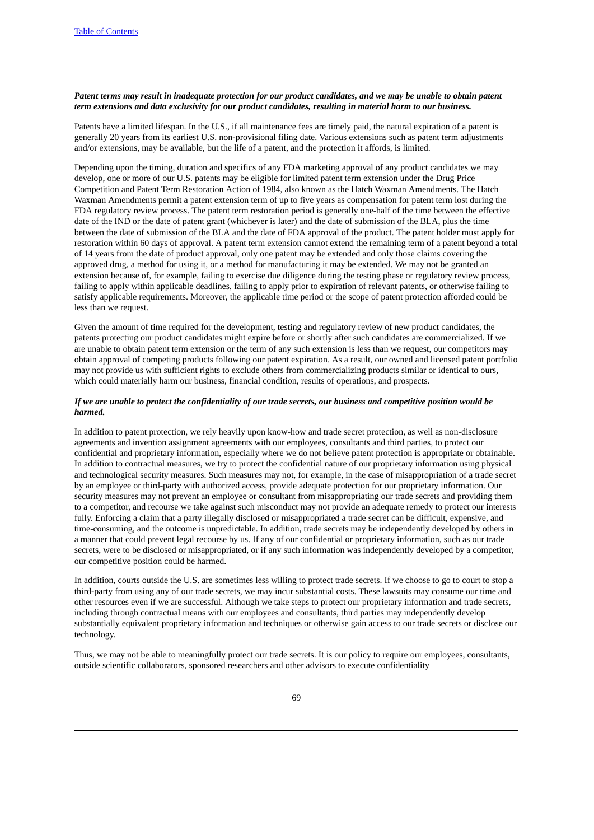## Patent terms may result in inadequate protection for our product candidates, and we may be unable to obtain patent *term extensions and data exclusivity for our product candidates, resulting in material harm to our business.*

Patents have a limited lifespan. In the U.S., if all maintenance fees are timely paid, the natural expiration of a patent is generally 20 years from its earliest U.S. non-provisional filing date. Various extensions such as patent term adjustments and/or extensions, may be available, but the life of a patent, and the protection it affords, is limited.

Depending upon the timing, duration and specifics of any FDA marketing approval of any product candidates we may develop, one or more of our U.S. patents may be eligible for limited patent term extension under the Drug Price Competition and Patent Term Restoration Action of 1984, also known as the Hatch Waxman Amendments. The Hatch Waxman Amendments permit a patent extension term of up to five years as compensation for patent term lost during the FDA regulatory review process. The patent term restoration period is generally one-half of the time between the effective date of the IND or the date of patent grant (whichever is later) and the date of submission of the BLA, plus the time between the date of submission of the BLA and the date of FDA approval of the product. The patent holder must apply for restoration within 60 days of approval. A patent term extension cannot extend the remaining term of a patent beyond a total of 14 years from the date of product approval, only one patent may be extended and only those claims covering the approved drug, a method for using it, or a method for manufacturing it may be extended. We may not be granted an extension because of, for example, failing to exercise due diligence during the testing phase or regulatory review process, failing to apply within applicable deadlines, failing to apply prior to expiration of relevant patents, or otherwise failing to satisfy applicable requirements. Moreover, the applicable time period or the scope of patent protection afforded could be less than we request.

Given the amount of time required for the development, testing and regulatory review of new product candidates, the patents protecting our product candidates might expire before or shortly after such candidates are commercialized. If we are unable to obtain patent term extension or the term of any such extension is less than we request, our competitors may obtain approval of competing products following our patent expiration. As a result, our owned and licensed patent portfolio may not provide us with sufficient rights to exclude others from commercializing products similar or identical to ours, which could materially harm our business, financial condition, results of operations, and prospects.

#### If we are unable to protect the confidentiality of our trade secrets, our business and competitive position would be *harmed.*

In addition to patent protection, we rely heavily upon know-how and trade secret protection, as well as non-disclosure agreements and invention assignment agreements with our employees, consultants and third parties, to protect our confidential and proprietary information, especially where we do not believe patent protection is appropriate or obtainable. In addition to contractual measures, we try to protect the confidential nature of our proprietary information using physical and technological security measures. Such measures may not, for example, in the case of misappropriation of a trade secret by an employee or third-party with authorized access, provide adequate protection for our proprietary information. Our security measures may not prevent an employee or consultant from misappropriating our trade secrets and providing them to a competitor, and recourse we take against such misconduct may not provide an adequate remedy to protect our interests fully. Enforcing a claim that a party illegally disclosed or misappropriated a trade secret can be difficult, expensive, and time-consuming, and the outcome is unpredictable. In addition, trade secrets may be independently developed by others in a manner that could prevent legal recourse by us. If any of our confidential or proprietary information, such as our trade secrets, were to be disclosed or misappropriated, or if any such information was independently developed by a competitor, our competitive position could be harmed.

In addition, courts outside the U.S. are sometimes less willing to protect trade secrets. If we choose to go to court to stop a third-party from using any of our trade secrets, we may incur substantial costs. These lawsuits may consume our time and other resources even if we are successful. Although we take steps to protect our proprietary information and trade secrets, including through contractual means with our employees and consultants, third parties may independently develop substantially equivalent proprietary information and techniques or otherwise gain access to our trade secrets or disclose our technology.

Thus, we may not be able to meaningfully protect our trade secrets. It is our policy to require our employees, consultants, outside scientific collaborators, sponsored researchers and other advisors to execute confidentiality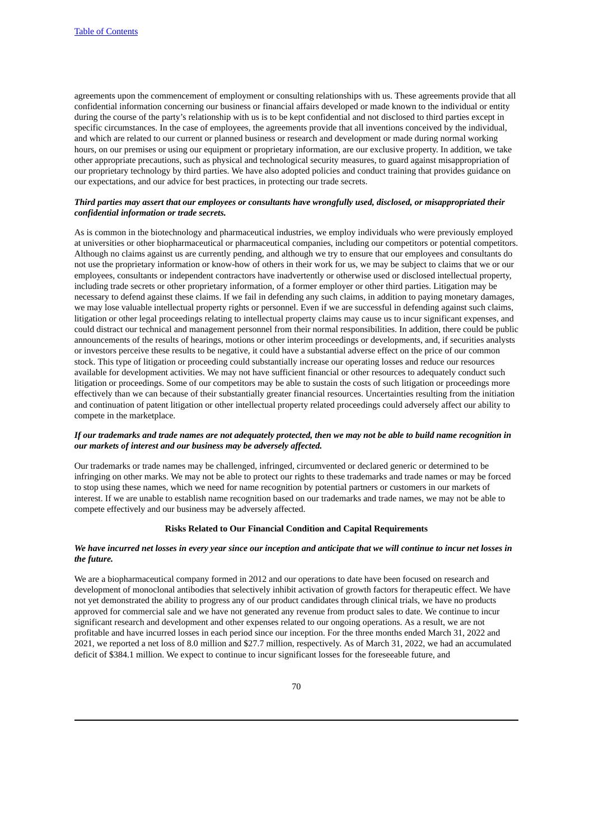agreements upon the commencement of employment or consulting relationships with us. These agreements provide that all confidential information concerning our business or financial affairs developed or made known to the individual or entity during the course of the party's relationship with us is to be kept confidential and not disclosed to third parties except in specific circumstances. In the case of employees, the agreements provide that all inventions conceived by the individual, and which are related to our current or planned business or research and development or made during normal working hours, on our premises or using our equipment or proprietary information, are our exclusive property. In addition, we take other appropriate precautions, such as physical and technological security measures, to guard against misappropriation of our proprietary technology by third parties. We have also adopted policies and conduct training that provides guidance on our expectations, and our advice for best practices, in protecting our trade secrets.

#### Third parties may assert that our employees or consultants have wrongfully used, disclosed, or misappropriated their *confidential information or trade secrets.*

As is common in the biotechnology and pharmaceutical industries, we employ individuals who were previously employed at universities or other biopharmaceutical or pharmaceutical companies, including our competitors or potential competitors. Although no claims against us are currently pending, and although we try to ensure that our employees and consultants do not use the proprietary information or know-how of others in their work for us, we may be subject to claims that we or our employees, consultants or independent contractors have inadvertently or otherwise used or disclosed intellectual property, including trade secrets or other proprietary information, of a former employer or other third parties. Litigation may be necessary to defend against these claims. If we fail in defending any such claims, in addition to paying monetary damages, we may lose valuable intellectual property rights or personnel. Even if we are successful in defending against such claims, litigation or other legal proceedings relating to intellectual property claims may cause us to incur significant expenses, and could distract our technical and management personnel from their normal responsibilities. In addition, there could be public announcements of the results of hearings, motions or other interim proceedings or developments, and, if securities analysts or investors perceive these results to be negative, it could have a substantial adverse effect on the price of our common stock. This type of litigation or proceeding could substantially increase our operating losses and reduce our resources available for development activities. We may not have sufficient financial or other resources to adequately conduct such litigation or proceedings. Some of our competitors may be able to sustain the costs of such litigation or proceedings more effectively than we can because of their substantially greater financial resources. Uncertainties resulting from the initiation and continuation of patent litigation or other intellectual property related proceedings could adversely affect our ability to compete in the marketplace.

#### If our trademarks and trade names are not adequately protected, then we may not be able to build name recognition in *our markets of interest and our business may be adversely affected.*

Our trademarks or trade names may be challenged, infringed, circumvented or declared generic or determined to be infringing on other marks. We may not be able to protect our rights to these trademarks and trade names or may be forced to stop using these names, which we need for name recognition by potential partners or customers in our markets of interest. If we are unable to establish name recognition based on our trademarks and trade names, we may not be able to compete effectively and our business may be adversely affected.

## **Risks Related to Our Financial Condition and Capital Requirements**

## We have incurred net losses in every year since our inception and anticipate that we will continue to incur net losses in *the future.*

We are a biopharmaceutical company formed in 2012 and our operations to date have been focused on research and development of monoclonal antibodies that selectively inhibit activation of growth factors for therapeutic effect. We have not yet demonstrated the ability to progress any of our product candidates through clinical trials, we have no products approved for commercial sale and we have not generated any revenue from product sales to date. We continue to incur significant research and development and other expenses related to our ongoing operations. As a result, we are not profitable and have incurred losses in each period since our inception. For the three months ended March 31, 2022 and 2021, we reported a net loss of 8.0 million and \$27.7 million, respectively. As of March 31, 2022, we had an accumulated deficit of \$384.1 million. We expect to continue to incur significant losses for the foreseeable future, and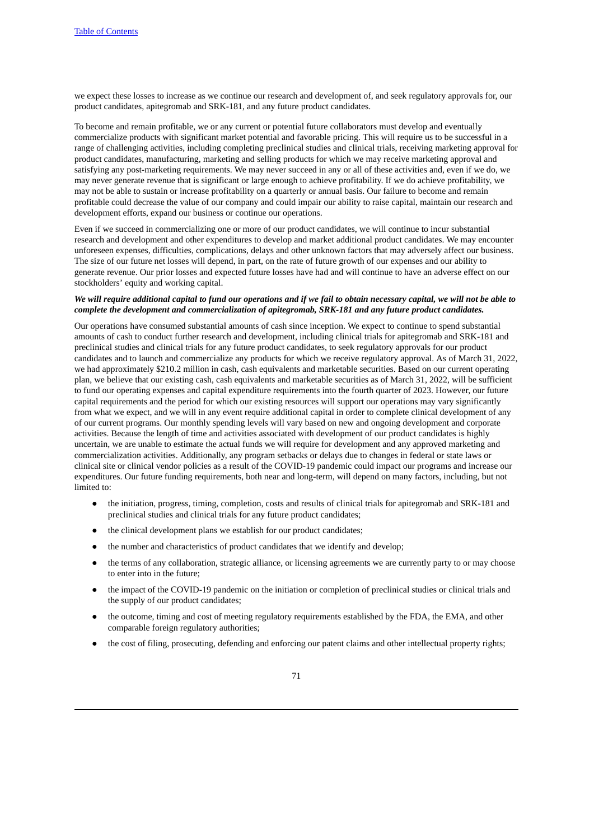we expect these losses to increase as we continue our research and development of, and seek regulatory approvals for, our product candidates, apitegromab and SRK-181, and any future product candidates.

To become and remain profitable, we or any current or potential future collaborators must develop and eventually commercialize products with significant market potential and favorable pricing. This will require us to be successful in a range of challenging activities, including completing preclinical studies and clinical trials, receiving marketing approval for product candidates, manufacturing, marketing and selling products for which we may receive marketing approval and satisfying any post-marketing requirements. We may never succeed in any or all of these activities and, even if we do, we may never generate revenue that is significant or large enough to achieve profitability. If we do achieve profitability, we may not be able to sustain or increase profitability on a quarterly or annual basis. Our failure to become and remain profitable could decrease the value of our company and could impair our ability to raise capital, maintain our research and development efforts, expand our business or continue our operations.

Even if we succeed in commercializing one or more of our product candidates, we will continue to incur substantial research and development and other expenditures to develop and market additional product candidates. We may encounter unforeseen expenses, difficulties, complications, delays and other unknown factors that may adversely affect our business. The size of our future net losses will depend, in part, on the rate of future growth of our expenses and our ability to generate revenue. Our prior losses and expected future losses have had and will continue to have an adverse effect on our stockholders' equity and working capital.

## We will require additional capital to fund our operations and if we fail to obtain necessary capital, we will not be able to *complete the development and commercialization of apitegromab, SRK-181 and any future product candidates.*

Our operations have consumed substantial amounts of cash since inception. We expect to continue to spend substantial amounts of cash to conduct further research and development, including clinical trials for apitegromab and SRK-181 and preclinical studies and clinical trials for any future product candidates, to seek regulatory approvals for our product candidates and to launch and commercialize any products for which we receive regulatory approval. As of March 31, 2022, we had approximately \$210.2 million in cash, cash equivalents and marketable securities. Based on our current operating plan, we believe that our existing cash, cash equivalents and marketable securities as of March 31, 2022, will be sufficient to fund our operating expenses and capital expenditure requirements into the fourth quarter of 2023. However, our future capital requirements and the period for which our existing resources will support our operations may vary significantly from what we expect, and we will in any event require additional capital in order to complete clinical development of any of our current programs. Our monthly spending levels will vary based on new and ongoing development and corporate activities. Because the length of time and activities associated with development of our product candidates is highly uncertain, we are unable to estimate the actual funds we will require for development and any approved marketing and commercialization activities. Additionally, any program setbacks or delays due to changes in federal or state laws or clinical site or clinical vendor policies as a result of the COVID-19 pandemic could impact our programs and increase our expenditures. Our future funding requirements, both near and long-term, will depend on many factors, including, but not limited to:

- the initiation, progress, timing, completion, costs and results of clinical trials for apitegromab and SRK-181 and preclinical studies and clinical trials for any future product candidates;
- the clinical development plans we establish for our product candidates;
- the number and characteristics of product candidates that we identify and develop;
- the terms of any collaboration, strategic alliance, or licensing agreements we are currently party to or may choose to enter into in the future;
- the impact of the COVID-19 pandemic on the initiation or completion of preclinical studies or clinical trials and the supply of our product candidates;
- the outcome, timing and cost of meeting regulatory requirements established by the FDA, the EMA, and other comparable foreign regulatory authorities;
- the cost of filing, prosecuting, defending and enforcing our patent claims and other intellectual property rights;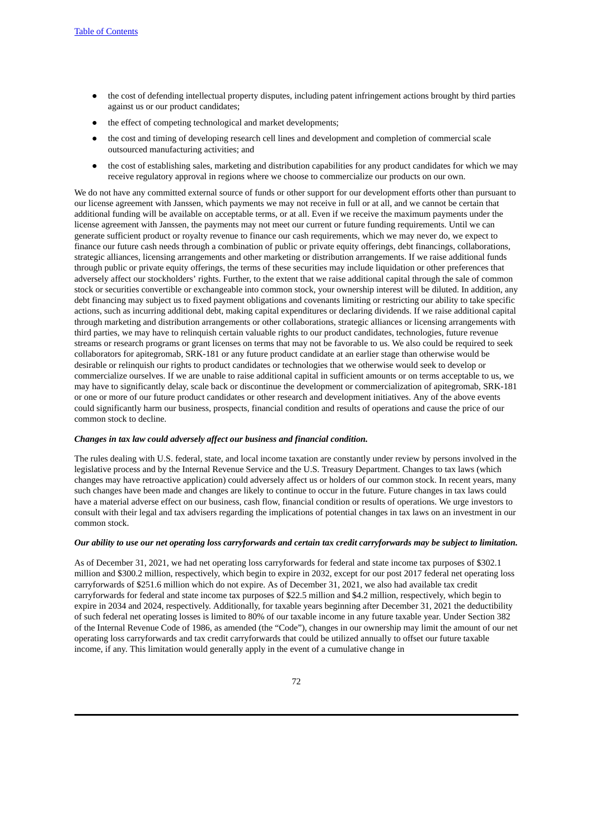- the cost of defending intellectual property disputes, including patent infringement actions brought by third parties against us or our product candidates;
- the effect of competing technological and market developments;
- the cost and timing of developing research cell lines and development and completion of commercial scale outsourced manufacturing activities; and
- the cost of establishing sales, marketing and distribution capabilities for any product candidates for which we may receive regulatory approval in regions where we choose to commercialize our products on our own.

We do not have any committed external source of funds or other support for our development efforts other than pursuant to our license agreement with Janssen, which payments we may not receive in full or at all, and we cannot be certain that additional funding will be available on acceptable terms, or at all. Even if we receive the maximum payments under the license agreement with Janssen, the payments may not meet our current or future funding requirements. Until we can generate sufficient product or royalty revenue to finance our cash requirements, which we may never do, we expect to finance our future cash needs through a combination of public or private equity offerings, debt financings, collaborations, strategic alliances, licensing arrangements and other marketing or distribution arrangements. If we raise additional funds through public or private equity offerings, the terms of these securities may include liquidation or other preferences that adversely affect our stockholders' rights. Further, to the extent that we raise additional capital through the sale of common stock or securities convertible or exchangeable into common stock, your ownership interest will be diluted. In addition, any debt financing may subject us to fixed payment obligations and covenants limiting or restricting our ability to take specific actions, such as incurring additional debt, making capital expenditures or declaring dividends. If we raise additional capital through marketing and distribution arrangements or other collaborations, strategic alliances or licensing arrangements with third parties, we may have to relinquish certain valuable rights to our product candidates, technologies, future revenue streams or research programs or grant licenses on terms that may not be favorable to us. We also could be required to seek collaborators for apitegromab, SRK-181 or any future product candidate at an earlier stage than otherwise would be desirable or relinquish our rights to product candidates or technologies that we otherwise would seek to develop or commercialize ourselves. If we are unable to raise additional capital in sufficient amounts or on terms acceptable to us, we may have to significantly delay, scale back or discontinue the development or commercialization of apitegromab, SRK-181 or one or more of our future product candidates or other research and development initiatives. Any of the above events could significantly harm our business, prospects, financial condition and results of operations and cause the price of our common stock to decline.

#### *Changes in tax law could adversely affect our business and financial condition.*

The rules dealing with U.S. federal, state, and local income taxation are constantly under review by persons involved in the legislative process and by the Internal Revenue Service and the U.S. Treasury Department. Changes to tax laws (which changes may have retroactive application) could adversely affect us or holders of our common stock. In recent years, many such changes have been made and changes are likely to continue to occur in the future. Future changes in tax laws could have a material adverse effect on our business, cash flow, financial condition or results of operations. We urge investors to consult with their legal and tax advisers regarding the implications of potential changes in tax laws on an investment in our common stock.

#### Our ability to use our net operating loss carryforwards and certain tax credit carryforwards may be subject to limitation.

As of December 31, 2021, we had net operating loss carryforwards for federal and state income tax purposes of \$302.1 million and \$300.2 million, respectively, which begin to expire in 2032, except for our post 2017 federal net operating loss carryforwards of \$251.6 million which do not expire. As of December 31, 2021, we also had available tax credit carryforwards for federal and state income tax purposes of \$22.5 million and \$4.2 million, respectively, which begin to expire in 2034 and 2024, respectively. Additionally, for taxable years beginning after December 31, 2021 the deductibility of such federal net operating losses is limited to 80% of our taxable income in any future taxable year. Under Section 382 of the Internal Revenue Code of 1986, as amended (the "Code"), changes in our ownership may limit the amount of our net operating loss carryforwards and tax credit carryforwards that could be utilized annually to offset our future taxable income, if any. This limitation would generally apply in the event of a cumulative change in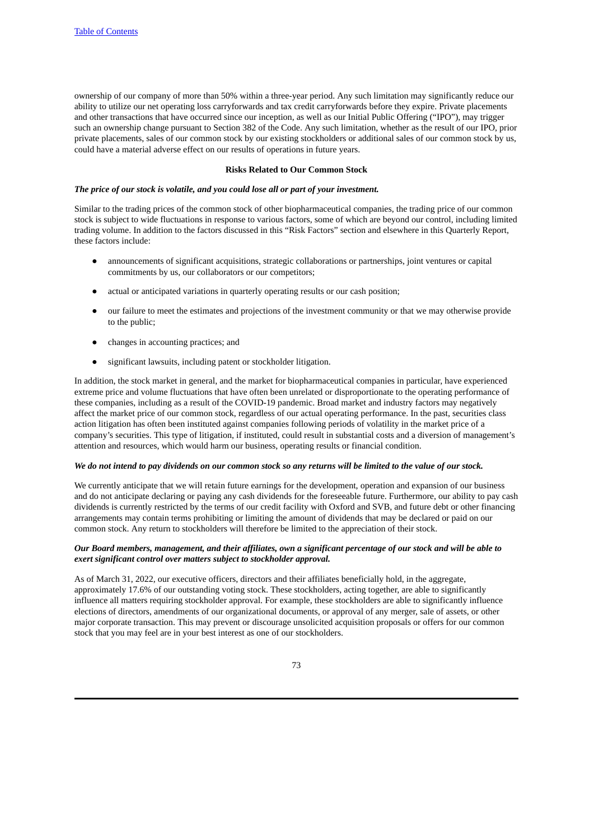ownership of our company of more than 50% within a three-year period. Any such limitation may significantly reduce our ability to utilize our net operating loss carryforwards and tax credit carryforwards before they expire. Private placements and other transactions that have occurred since our inception, as well as our Initial Public Offering ("IPO"), may trigger such an ownership change pursuant to Section 382 of the Code. Any such limitation, whether as the result of our IPO, prior private placements, sales of our common stock by our existing stockholders or additional sales of our common stock by us, could have a material adverse effect on our results of operations in future years.

#### **Risks Related to Our Common Stock**

#### *The price of our stock is volatile, and you could lose all or part of your investment.*

Similar to the trading prices of the common stock of other biopharmaceutical companies, the trading price of our common stock is subject to wide fluctuations in response to various factors, some of which are beyond our control, including limited trading volume. In addition to the factors discussed in this "Risk Factors" section and elsewhere in this Quarterly Report, these factors include:

- announcements of significant acquisitions, strategic collaborations or partnerships, joint ventures or capital commitments by us, our collaborators or our competitors;
- actual or anticipated variations in quarterly operating results or our cash position;
- our failure to meet the estimates and projections of the investment community or that we may otherwise provide to the public;
- changes in accounting practices; and
- significant lawsuits, including patent or stockholder litigation.

In addition, the stock market in general, and the market for biopharmaceutical companies in particular, have experienced extreme price and volume fluctuations that have often been unrelated or disproportionate to the operating performance of these companies, including as a result of the COVID-19 pandemic. Broad market and industry factors may negatively affect the market price of our common stock, regardless of our actual operating performance. In the past, securities class action litigation has often been instituted against companies following periods of volatility in the market price of a company's securities. This type of litigation, if instituted, could result in substantial costs and a diversion of management's attention and resources, which would harm our business, operating results or financial condition.

## We do not intend to pay dividends on our common stock so any returns will be limited to the value of our stock.

We currently anticipate that we will retain future earnings for the development, operation and expansion of our business and do not anticipate declaring or paying any cash dividends for the foreseeable future. Furthermore, our ability to pay cash dividends is currently restricted by the terms of our credit facility with Oxford and SVB, and future debt or other financing arrangements may contain terms prohibiting or limiting the amount of dividends that may be declared or paid on our common stock. Any return to stockholders will therefore be limited to the appreciation of their stock.

#### Our Board members, management, and their affiliates, own a significant percentage of our stock and will be able to *exert significant control over matters subject to stockholder approval.*

As of March 31, 2022, our executive officers, directors and their affiliates beneficially hold, in the aggregate, approximately 17.6% of our outstanding voting stock. These stockholders, acting together, are able to significantly influence all matters requiring stockholder approval. For example, these stockholders are able to significantly influence elections of directors, amendments of our organizational documents, or approval of any merger, sale of assets, or other major corporate transaction. This may prevent or discourage unsolicited acquisition proposals or offers for our common stock that you may feel are in your best interest as one of our stockholders.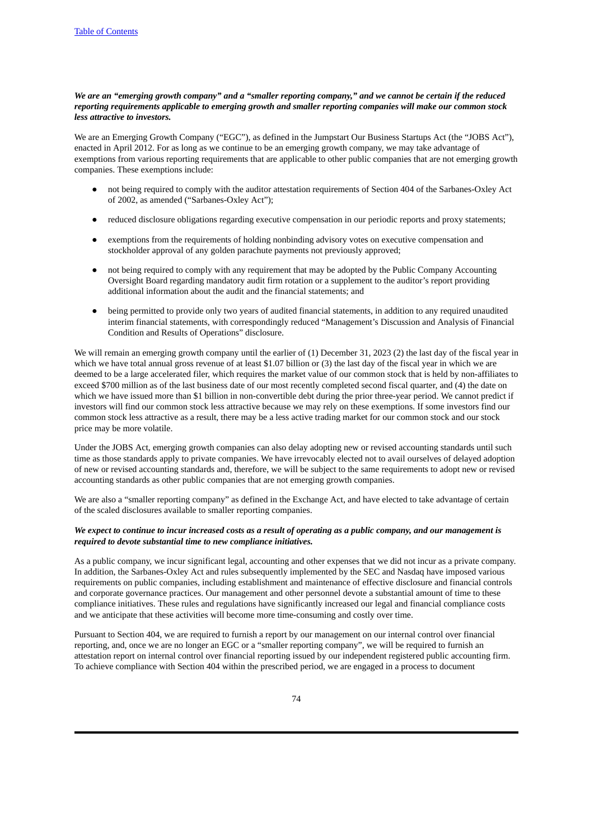## We are an "emeraina arowth company" and a "smaller reportina company," and we cannot be certain if the reduced *reporting requirements applicable to emerging growth and smaller reporting companies will make our common stock less attractive to investors.*

We are an Emerging Growth Company ("EGC"), as defined in the Jumpstart Our Business Startups Act (the "JOBS Act"), enacted in April 2012. For as long as we continue to be an emerging growth company, we may take advantage of exemptions from various reporting requirements that are applicable to other public companies that are not emerging growth companies. These exemptions include:

- not being required to comply with the auditor attestation requirements of Section 404 of the Sarbanes-Oxley Act of 2002, as amended ("Sarbanes-Oxley Act");
- reduced disclosure obligations regarding executive compensation in our periodic reports and proxy statements;
- exemptions from the requirements of holding nonbinding advisory votes on executive compensation and stockholder approval of any golden parachute payments not previously approved;
- not being required to comply with any requirement that may be adopted by the Public Company Accounting Oversight Board regarding mandatory audit firm rotation or a supplement to the auditor's report providing additional information about the audit and the financial statements; and
- being permitted to provide only two years of audited financial statements, in addition to any required unaudited interim financial statements, with correspondingly reduced "Management's Discussion and Analysis of Financial Condition and Results of Operations" disclosure.

We will remain an emerging growth company until the earlier of (1) December 31, 2023 (2) the last day of the fiscal year in which we have total annual gross revenue of at least \$1.07 billion or (3) the last day of the fiscal year in which we are deemed to be a large accelerated filer, which requires the market value of our common stock that is held by non-affiliates to exceed \$700 million as of the last business date of our most recently completed second fiscal quarter, and (4) the date on which we have issued more than \$1 billion in non-convertible debt during the prior three-year period. We cannot predict if investors will find our common stock less attractive because we may rely on these exemptions. If some investors find our common stock less attractive as a result, there may be a less active trading market for our common stock and our stock price may be more volatile.

Under the JOBS Act, emerging growth companies can also delay adopting new or revised accounting standards until such time as those standards apply to private companies. We have irrevocably elected not to avail ourselves of delayed adoption of new or revised accounting standards and, therefore, we will be subject to the same requirements to adopt new or revised accounting standards as other public companies that are not emerging growth companies.

We are also a "smaller reporting company" as defined in the Exchange Act, and have elected to take advantage of certain of the scaled disclosures available to smaller reporting companies.

## We expect to continue to incur increased costs as a result of operating as a public company, and our management is *required to devote substantial time to new compliance initiatives.*

As a public company, we incur significant legal, accounting and other expenses that we did not incur as a private company. In addition, the Sarbanes-Oxley Act and rules subsequently implemented by the SEC and Nasdaq have imposed various requirements on public companies, including establishment and maintenance of effective disclosure and financial controls and corporate governance practices. Our management and other personnel devote a substantial amount of time to these compliance initiatives. These rules and regulations have significantly increased our legal and financial compliance costs and we anticipate that these activities will become more time-consuming and costly over time.

Pursuant to Section 404, we are required to furnish a report by our management on our internal control over financial reporting, and, once we are no longer an EGC or a "smaller reporting company", we will be required to furnish an attestation report on internal control over financial reporting issued by our independent registered public accounting firm. To achieve compliance with Section 404 within the prescribed period, we are engaged in a process to document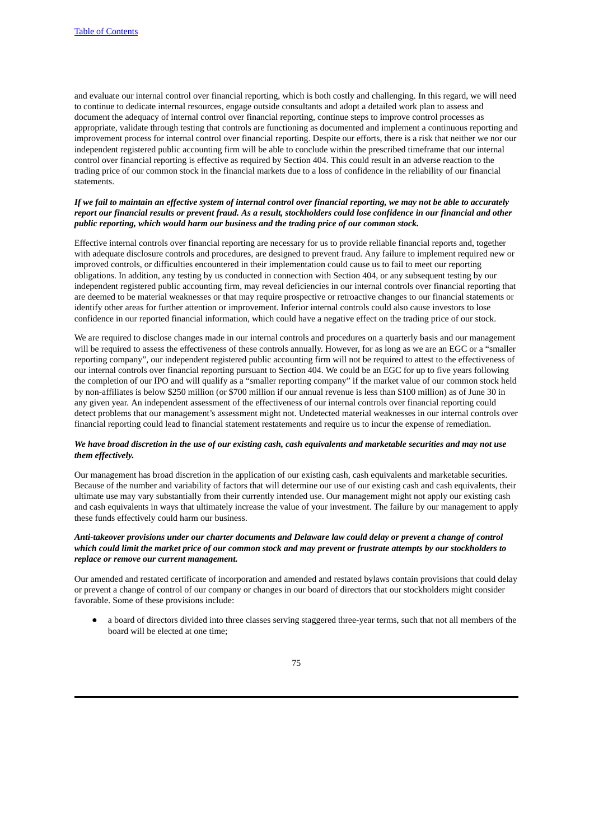and evaluate our internal control over financial reporting, which is both costly and challenging. In this regard, we will need to continue to dedicate internal resources, engage outside consultants and adopt a detailed work plan to assess and document the adequacy of internal control over financial reporting, continue steps to improve control processes as appropriate, validate through testing that controls are functioning as documented and implement a continuous reporting and improvement process for internal control over financial reporting. Despite our efforts, there is a risk that neither we nor our independent registered public accounting firm will be able to conclude within the prescribed timeframe that our internal control over financial reporting is effective as required by Section 404. This could result in an adverse reaction to the trading price of our common stock in the financial markets due to a loss of confidence in the reliability of our financial statements.

## If we fail to maintain an effective system of internal control over financial reporting, we may not be able to accurately report our financial results or prevent fraud. As a result, stockholders could lose confidence in our financial and other *public reporting, which would harm our business and the trading price of our common stock.*

Effective internal controls over financial reporting are necessary for us to provide reliable financial reports and, together with adequate disclosure controls and procedures, are designed to prevent fraud. Any failure to implement required new or improved controls, or difficulties encountered in their implementation could cause us to fail to meet our reporting obligations. In addition, any testing by us conducted in connection with Section 404, or any subsequent testing by our independent registered public accounting firm, may reveal deficiencies in our internal controls over financial reporting that are deemed to be material weaknesses or that may require prospective or retroactive changes to our financial statements or identify other areas for further attention or improvement. Inferior internal controls could also cause investors to lose confidence in our reported financial information, which could have a negative effect on the trading price of our stock.

We are required to disclose changes made in our internal controls and procedures on a quarterly basis and our management will be required to assess the effectiveness of these controls annually. However, for as long as we are an EGC or a "smaller reporting company", our independent registered public accounting firm will not be required to attest to the effectiveness of our internal controls over financial reporting pursuant to Section 404. We could be an EGC for up to five years following the completion of our IPO and will qualify as a "smaller reporting company" if the market value of our common stock held by non-affiliates is below \$250 million (or \$700 million if our annual revenue is less than \$100 million) as of June 30 in any given year. An independent assessment of the effectiveness of our internal controls over financial reporting could detect problems that our management's assessment might not. Undetected material weaknesses in our internal controls over financial reporting could lead to financial statement restatements and require us to incur the expense of remediation.

### We have broad discretion in the use of our existing cash, cash equivalents and marketable securities and may not use *them effectively.*

Our management has broad discretion in the application of our existing cash, cash equivalents and marketable securities. Because of the number and variability of factors that will determine our use of our existing cash and cash equivalents, their ultimate use may vary substantially from their currently intended use. Our management might not apply our existing cash and cash equivalents in ways that ultimately increase the value of your investment. The failure by our management to apply these funds effectively could harm our business.

### Anti-takeover provisions under our charter documents and Delaware law could delay or prevent a change of control which could limit the market price of our common stock and may prevent or frustrate attempts by our stockholders to *replace or remove our current management.*

Our amended and restated certificate of incorporation and amended and restated bylaws contain provisions that could delay or prevent a change of control of our company or changes in our board of directors that our stockholders might consider favorable. Some of these provisions include:

a board of directors divided into three classes serving staggered three-year terms, such that not all members of the board will be elected at one time;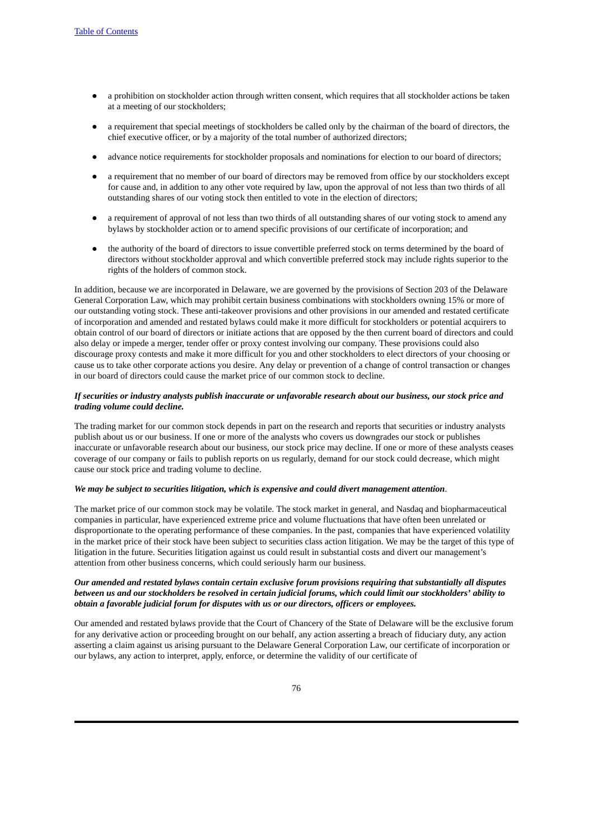- a prohibition on stockholder action through written consent, which requires that all stockholder actions be taken at a meeting of our stockholders;
- a requirement that special meetings of stockholders be called only by the chairman of the board of directors, the chief executive officer, or by a majority of the total number of authorized directors;
- advance notice requirements for stockholder proposals and nominations for election to our board of directors;
- a requirement that no member of our board of directors may be removed from office by our stockholders except for cause and, in addition to any other vote required by law, upon the approval of not less than two thirds of all outstanding shares of our voting stock then entitled to vote in the election of directors;
- a requirement of approval of not less than two thirds of all outstanding shares of our voting stock to amend any bylaws by stockholder action or to amend specific provisions of our certificate of incorporation; and
- the authority of the board of directors to issue convertible preferred stock on terms determined by the board of directors without stockholder approval and which convertible preferred stock may include rights superior to the rights of the holders of common stock.

In addition, because we are incorporated in Delaware, we are governed by the provisions of Section 203 of the Delaware General Corporation Law, which may prohibit certain business combinations with stockholders owning 15% or more of our outstanding voting stock. These anti-takeover provisions and other provisions in our amended and restated certificate of incorporation and amended and restated bylaws could make it more difficult for stockholders or potential acquirers to obtain control of our board of directors or initiate actions that are opposed by the then current board of directors and could also delay or impede a merger, tender offer or proxy contest involving our company. These provisions could also discourage proxy contests and make it more difficult for you and other stockholders to elect directors of your choosing or cause us to take other corporate actions you desire. Any delay or prevention of a change of control transaction or changes in our board of directors could cause the market price of our common stock to decline.

#### If securities or industry analysts publish inaccurate or unfavorable research about our business, our stock price and *trading volume could decline.*

The trading market for our common stock depends in part on the research and reports that securities or industry analysts publish about us or our business. If one or more of the analysts who covers us downgrades our stock or publishes inaccurate or unfavorable research about our business, our stock price may decline. If one or more of these analysts ceases coverage of our company or fails to publish reports on us regularly, demand for our stock could decrease, which might cause our stock price and trading volume to decline.

#### *We may be subject to securities litigation, which is expensive and could divert management attention*.

The market price of our common stock may be volatile. The stock market in general, and Nasdaq and biopharmaceutical companies in particular, have experienced extreme price and volume fluctuations that have often been unrelated or disproportionate to the operating performance of these companies. In the past, companies that have experienced volatility in the market price of their stock have been subject to securities class action litigation. We may be the target of this type of litigation in the future. Securities litigation against us could result in substantial costs and divert our management's attention from other business concerns, which could seriously harm our business.

## *Our amended and restated bylaws contain certain exclusive forum provisions requiring that substantially all disputes* between us and our stockholders be resolved in certain judicial forums, which could limit our stockholders' ability to *obtain a favorable judicial forum for disputes with us or our directors, officers or employees.*

Our amended and restated bylaws provide that the Court of Chancery of the State of Delaware will be the exclusive forum for any derivative action or proceeding brought on our behalf, any action asserting a breach of fiduciary duty, any action asserting a claim against us arising pursuant to the Delaware General Corporation Law, our certificate of incorporation or our bylaws, any action to interpret, apply, enforce, or determine the validity of our certificate of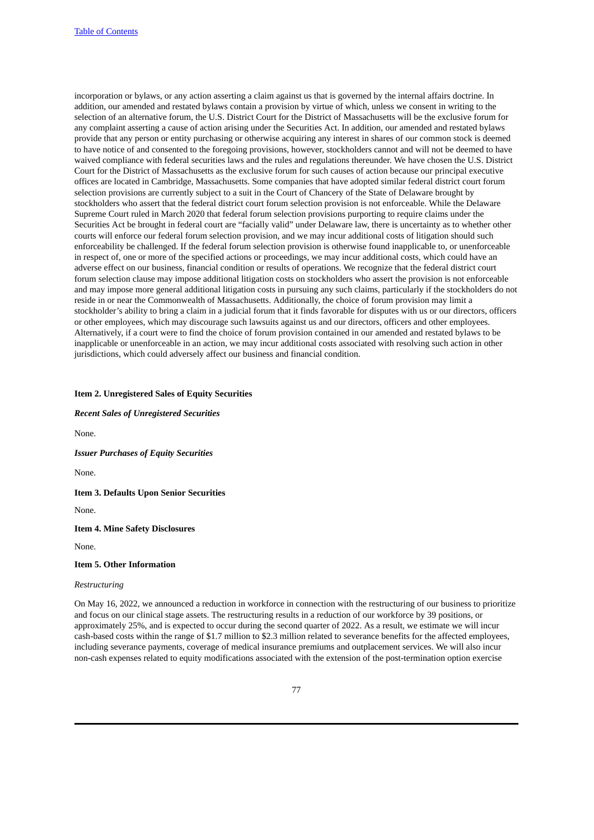incorporation or bylaws, or any action asserting a claim against us that is governed by the internal affairs doctrine. In addition, our amended and restated bylaws contain a provision by virtue of which, unless we consent in writing to the selection of an alternative forum, the U.S. District Court for the District of Massachusetts will be the exclusive forum for any complaint asserting a cause of action arising under the Securities Act. In addition, our amended and restated bylaws provide that any person or entity purchasing or otherwise acquiring any interest in shares of our common stock is deemed to have notice of and consented to the foregoing provisions, however, stockholders cannot and will not be deemed to have waived compliance with federal securities laws and the rules and regulations thereunder. We have chosen the U.S. District Court for the District of Massachusetts as the exclusive forum for such causes of action because our principal executive offices are located in Cambridge, Massachusetts. Some companies that have adopted similar federal district court forum selection provisions are currently subject to a suit in the Court of Chancery of the State of Delaware brought by stockholders who assert that the federal district court forum selection provision is not enforceable. While the Delaware Supreme Court ruled in March 2020 that federal forum selection provisions purporting to require claims under the Securities Act be brought in federal court are "facially valid" under Delaware law, there is uncertainty as to whether other courts will enforce our federal forum selection provision, and we may incur additional costs of litigation should such enforceability be challenged. If the federal forum selection provision is otherwise found inapplicable to, or unenforceable in respect of, one or more of the specified actions or proceedings, we may incur additional costs, which could have an adverse effect on our business, financial condition or results of operations. We recognize that the federal district court forum selection clause may impose additional litigation costs on stockholders who assert the provision is not enforceable and may impose more general additional litigation costs in pursuing any such claims, particularly if the stockholders do not reside in or near the Commonwealth of Massachusetts. Additionally, the choice of forum provision may limit a stockholder's ability to bring a claim in a judicial forum that it finds favorable for disputes with us or our directors, officers or other employees, which may discourage such lawsuits against us and our directors, officers and other employees. Alternatively, if a court were to find the choice of forum provision contained in our amended and restated bylaws to be inapplicable or unenforceable in an action, we may incur additional costs associated with resolving such action in other jurisdictions, which could adversely affect our business and financial condition.

#### **Item 2. Unregistered Sales of Equity Securities**

*Recent Sales of Unregistered Securities*

None.

*Issuer Purchases of Equity Securities*

None.

**Item 3. Defaults Upon Senior Securities**

None.

**Item 4. Mine Safety Disclosures**

None.

**Item 5. Other Information**

#### *Restructuring*

On May 16, 2022, we announced a reduction in workforce in connection with the restructuring of our business to prioritize and focus on our clinical stage assets. The restructuring results in a reduction of our workforce by 39 positions, or approximately 25%, and is expected to occur during the second quarter of 2022. As a result, we estimate we will incur cash-based costs within the range of \$1.7 million to \$2.3 million related to severance benefits for the affected employees, including severance payments, coverage of medical insurance premiums and outplacement services. We will also incur non-cash expenses related to equity modifications associated with the extension of the post-termination option exercise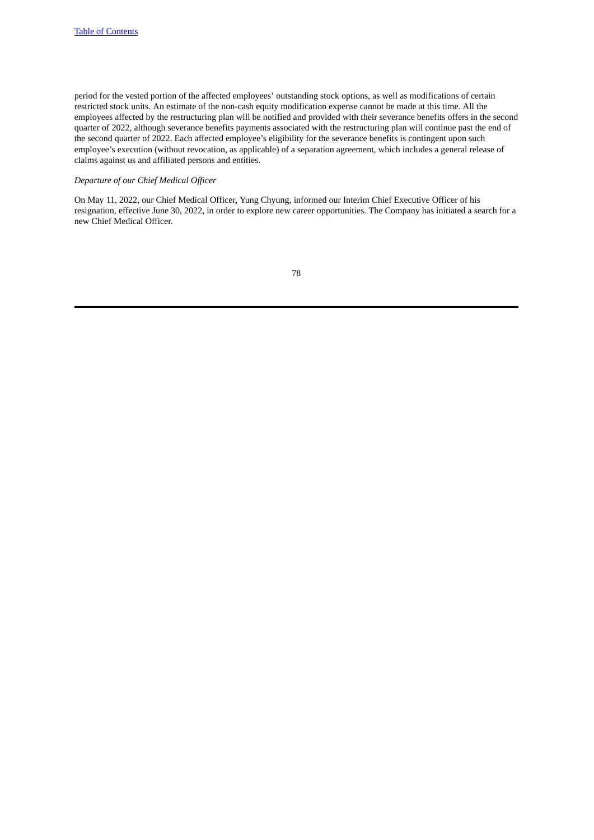period for the vested portion of the affected employees' outstanding stock options, as well as modifications of certain restricted stock units. An estimate of the non-cash equity modification expense cannot be made at this time. All the employees affected by the restructuring plan will be notified and provided with their severance benefits offers in the second quarter of 2022, although severance benefits payments associated with the restructuring plan will continue past the end of the second quarter of 2022. Each affected employee's eligibility for the severance benefits is contingent upon such employee's execution (without revocation, as applicable) of a separation agreement, which includes a general release of claims against us and affiliated persons and entities.

## *Departure of our Chief Medical Officer*

On May 11, 2022, our Chief Medical Officer, Yung Chyung, informed our Interim Chief Executive Officer of his resignation, effective June 30, 2022, in order to explore new career opportunities. The Company has initiated a search for a new Chief Medical Officer.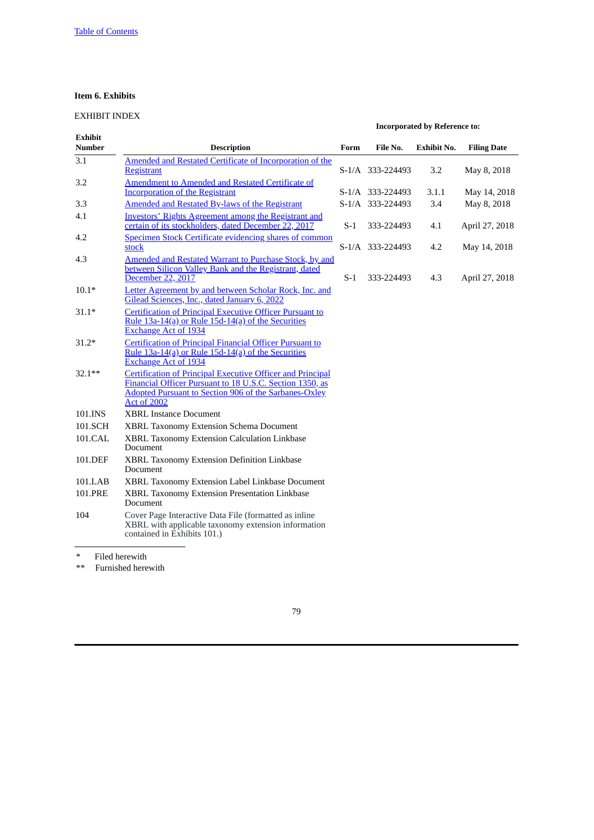## **Item 6. Exhibits**

# EXHIBIT INDEX

| <b>Exhibit</b><br><b>Number</b> | <b>Description</b>                                                                                                                                                                                                  | Form  | File No.         | <b>Exhibit No.</b> | <b>Filing Date</b> |
|---------------------------------|---------------------------------------------------------------------------------------------------------------------------------------------------------------------------------------------------------------------|-------|------------------|--------------------|--------------------|
| 3.1                             | Amended and Restated Certificate of Incorporation of the                                                                                                                                                            |       |                  |                    |                    |
|                                 | <b>Registrant</b>                                                                                                                                                                                                   |       | S-1/A 333-224493 | 3.2                | May 8, 2018        |
| 3.2                             | <b>Amendment to Amended and Restated Certificate of</b><br><b>Incorporation of the Registrant</b>                                                                                                                   |       | S-1/A 333-224493 | 3.1.1              | May 14, 2018       |
| 3.3                             | <b>Amended and Restated By-laws of the Registrant</b>                                                                                                                                                               |       | S-1/A 333-224493 | 3.4                | May 8, 2018        |
| 4.1                             | Investors' Rights Agreement among the Registrant and<br>certain of its stockholders, dated December 22, 2017                                                                                                        | $S-1$ | 333-224493       | 4.1                | April 27, 2018     |
| 4.2                             | <b>Specimen Stock Certificate evidencing shares of common</b><br>stock                                                                                                                                              |       | S-1/A 333-224493 | 4.2                | May 14, 2018       |
| 4.3                             | Amended and Restated Warrant to Purchase Stock, by and<br>between Silicon Valley Bank and the Registrant, dated<br>December 22, 2017                                                                                | $S-1$ | 333-224493       | 4.3                | April 27, 2018     |
| $10.1*$                         | Letter Agreement by and between Scholar Rock, Inc. and<br>Gilead Sciences, Inc., dated January 6, 2022                                                                                                              |       |                  |                    |                    |
| $31.1*$                         | <b>Certification of Principal Executive Officer Pursuant to</b><br>Rule 13a-14(a) or Rule 15d-14(a) of the Securities<br><b>Exchange Act of 1934</b>                                                                |       |                  |                    |                    |
| $31.2*$                         | Certification of Principal Financial Officer Pursuant to<br>Rule 13a-14(a) or Rule 15d-14(a) of the Securities<br><b>Exchange Act of 1934</b>                                                                       |       |                  |                    |                    |
| $32.1**$                        | <b>Certification of Principal Executive Officer and Principal</b><br>Financial Officer Pursuant to 18 U.S.C. Section 1350, as<br><b>Adopted Pursuant to Section 906 of the Sarbanes-Oxley</b><br><b>Act of 2002</b> |       |                  |                    |                    |
| 101.INS                         | <b>XBRL Instance Document</b>                                                                                                                                                                                       |       |                  |                    |                    |
| 101.SCH                         | <b>XBRL Taxonomy Extension Schema Document</b>                                                                                                                                                                      |       |                  |                    |                    |
| 101.CAL                         | XBRL Taxonomy Extension Calculation Linkbase<br>Document                                                                                                                                                            |       |                  |                    |                    |
| 101.DEF                         | XBRL Taxonomy Extension Definition Linkbase<br>Document                                                                                                                                                             |       |                  |                    |                    |
| 101.LAB                         | XBRL Taxonomy Extension Label Linkbase Document                                                                                                                                                                     |       |                  |                    |                    |
| 101.PRE                         | XBRL Taxonomy Extension Presentation Linkbase<br>Document                                                                                                                                                           |       |                  |                    |                    |
| 104                             | Cover Page Interactive Data File (formatted as inline<br>XBRL with applicable taxonomy extension information<br>contained in Exhibits 101.)                                                                         |       |                  |                    |                    |

**Incorporated by Reference to:**

\* Filed herewith<br>\*\* Furnished here

Furnished herewith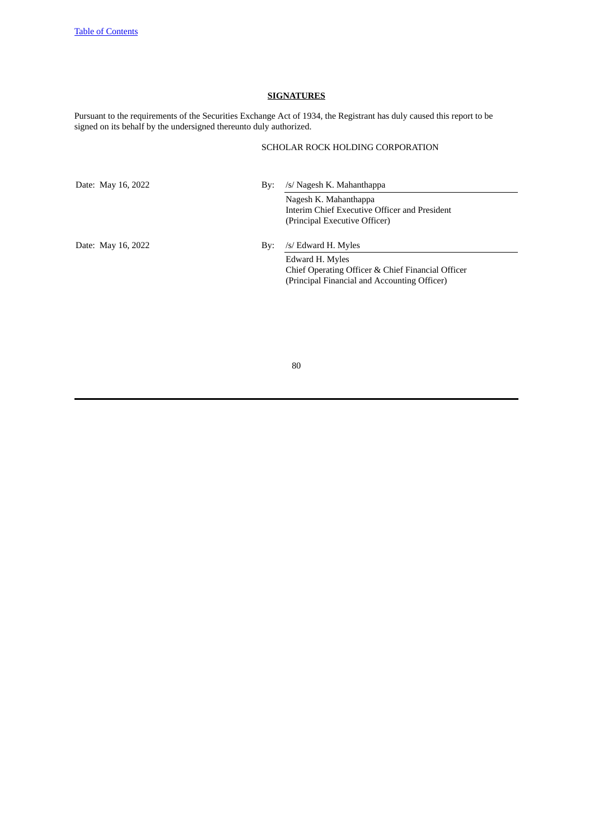## **SIGNATURES**

Pursuant to the requirements of the Securities Exchange Act of 1934, the Registrant has duly caused this report to be signed on its behalf by the undersigned thereunto duly authorized.

# SCHOLAR ROCK HOLDING CORPORATION

Date: May 16, 2022 By: /s/ Nagesh K. Mahanthappa

Nagesh K. Mahanthappa Interim Chief Executive Officer and President (Principal Executive Officer)

Date: May 16, 2022 By: /s/ Edward H. Myles

Edward H. Myles Chief Operating Officer & Chief Financial Officer (Principal Financial and Accounting Officer)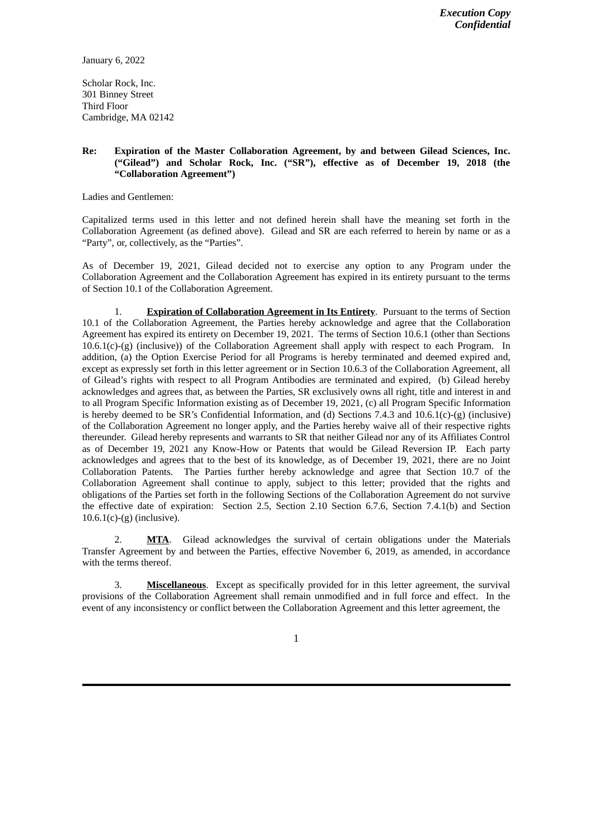<span id="page-80-0"></span>January 6, 2022

Scholar Rock, Inc. 301 Binney Street Third Floor Cambridge, MA 02142

## **Re: Expiration of the Master Collaboration Agreement, by and between Gilead Sciences, Inc. ("Gilead") and Scholar Rock, Inc. ("SR"), effective as of December 19, 2018 (the "Collaboration Agreement")**

Ladies and Gentlemen:

Capitalized terms used in this letter and not defined herein shall have the meaning set forth in the Collaboration Agreement (as defined above). Gilead and SR are each referred to herein by name or as a "Party", or, collectively, as the "Parties".

As of December 19, 2021, Gilead decided not to exercise any option to any Program under the Collaboration Agreement and the Collaboration Agreement has expired in its entirety pursuant to the terms of Section 10.1 of the Collaboration Agreement.

1. **Expiration of Collaboration Agreement in Its Entirety**. Pursuant to the terms of Section 10.1 of the Collaboration Agreement, the Parties hereby acknowledge and agree that the Collaboration Agreement has expired its entirety on December 19, 2021. The terms of Section 10.6.1 (other than Sections  $10.6.1(c)$ -(g) (inclusive)) of the Collaboration Agreement shall apply with respect to each Program. In addition, (a) the Option Exercise Period for all Programs is hereby terminated and deemed expired and, except as expressly set forth in this letter agreement or in Section 10.6.3 of the Collaboration Agreement, all of Gilead's rights with respect to all Program Antibodies are terminated and expired, (b) Gilead hereby acknowledges and agrees that, as between the Parties, SR exclusively owns all right, title and interest in and to all Program Specific Information existing as of December 19, 2021, (c) all Program Specific Information is hereby deemed to be SR's Confidential Information, and (d) Sections 7.4.3 and 10.6.1(c)-(g) (inclusive) of the Collaboration Agreement no longer apply, and the Parties hereby waive all of their respective rights thereunder. Gilead hereby represents and warrants to SR that neither Gilead nor any of its Affiliates Control as of December 19, 2021 any Know-How or Patents that would be Gilead Reversion IP. Each party acknowledges and agrees that to the best of its knowledge, as of December 19, 2021, there are no Joint Collaboration Patents. The Parties further hereby acknowledge and agree that Section 10.7 of the Collaboration Agreement shall continue to apply, subject to this letter; provided that the rights and obligations of the Parties set forth in the following Sections of the Collaboration Agreement do not survive the effective date of expiration: Section 2.5, Section 2.10 Section 6.7.6, Section 7.4.1(b) and Section  $10.6.1(c)$ -(g) (inclusive).

2. **MTA**. Gilead acknowledges the survival of certain obligations under the Materials Transfer Agreement by and between the Parties, effective November 6, 2019, as amended, in accordance with the terms thereof.

3. **Miscellaneous**. Except as specifically provided for in this letter agreement, the survival provisions of the Collaboration Agreement shall remain unmodified and in full force and effect. In the event of any inconsistency or conflict between the Collaboration Agreement and this letter agreement, the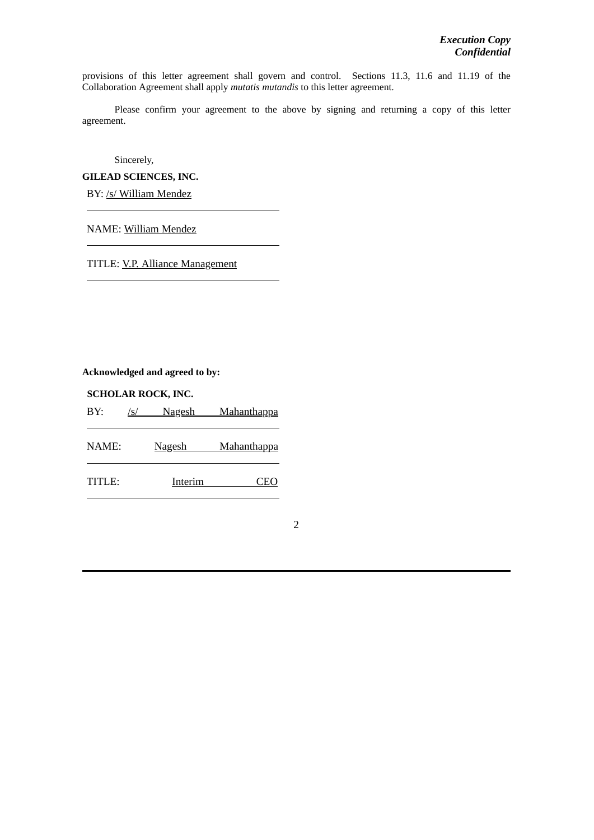provisions of this letter agreement shall govern and control. Sections 11.3, 11.6 and 11.19 of the Collaboration Agreement shall apply *mutatis mutandis* to this letter agreement.

Please confirm your agreement to the above by signing and returning a copy of this letter agreement.

Sincerely,

**GILEAD SCIENCES, INC.**

BY: /s/ William Mendez

NAME: William Mendez

TITLE: V.P. Alliance Management

**Acknowledged and agreed to by:**

**SCHOLAR ROCK, INC.**

BY: /s/ Nagesh Mahanthappa NAME: Nagesh Mahanthappa TITLE: Interim CEO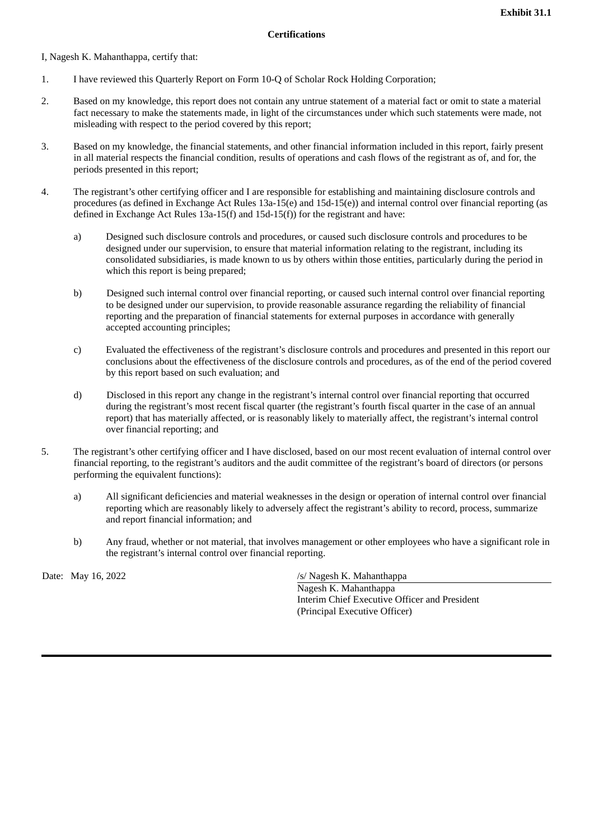<span id="page-82-0"></span>I, Nagesh K. Mahanthappa, certify that:

- 1. I have reviewed this Quarterly Report on Form 10-Q of Scholar Rock Holding Corporation;
- 2. Based on my knowledge, this report does not contain any untrue statement of a material fact or omit to state a material fact necessary to make the statements made, in light of the circumstances under which such statements were made, not misleading with respect to the period covered by this report;
- 3. Based on my knowledge, the financial statements, and other financial information included in this report, fairly present in all material respects the financial condition, results of operations and cash flows of the registrant as of, and for, the periods presented in this report;
- 4. The registrant's other certifying officer and I are responsible for establishing and maintaining disclosure controls and procedures (as defined in Exchange Act Rules 13a-15(e) and 15d-15(e)) and internal control over financial reporting (as defined in Exchange Act Rules  $13a-15(f)$  and  $15d-15(f)$  for the registrant and have:
	- a) Designed such disclosure controls and procedures, or caused such disclosure controls and procedures to be designed under our supervision, to ensure that material information relating to the registrant, including its consolidated subsidiaries, is made known to us by others within those entities, particularly during the period in which this report is being prepared;
	- b) Designed such internal control over financial reporting, or caused such internal control over financial reporting to be designed under our supervision, to provide reasonable assurance regarding the reliability of financial reporting and the preparation of financial statements for external purposes in accordance with generally accepted accounting principles;
	- c) Evaluated the effectiveness of the registrant's disclosure controls and procedures and presented in this report our conclusions about the effectiveness of the disclosure controls and procedures, as of the end of the period covered by this report based on such evaluation; and
	- d) Disclosed in this report any change in the registrant's internal control over financial reporting that occurred during the registrant's most recent fiscal quarter (the registrant's fourth fiscal quarter in the case of an annual report) that has materially affected, or is reasonably likely to materially affect, the registrant's internal control over financial reporting; and
- 5. The registrant's other certifying officer and I have disclosed, based on our most recent evaluation of internal control over financial reporting, to the registrant's auditors and the audit committee of the registrant's board of directors (or persons performing the equivalent functions):
	- a) All significant deficiencies and material weaknesses in the design or operation of internal control over financial reporting which are reasonably likely to adversely affect the registrant's ability to record, process, summarize and report financial information; and
	- b) Any fraud, whether or not material, that involves management or other employees who have a significant role in the registrant's internal control over financial reporting.

Date: May 16, 2022 */s/ Nagesh K. Mahanthappa* 

Nagesh K. Mahanthappa Interim Chief Executive Officer and President (Principal Executive Officer)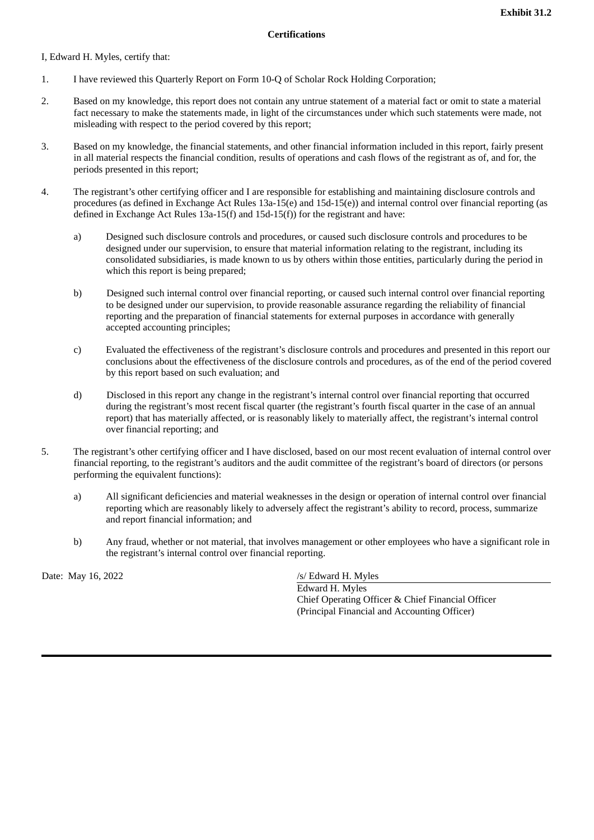<span id="page-83-0"></span>I, Edward H. Myles, certify that:

- 1. I have reviewed this Quarterly Report on Form 10-Q of Scholar Rock Holding Corporation;
- 2. Based on my knowledge, this report does not contain any untrue statement of a material fact or omit to state a material fact necessary to make the statements made, in light of the circumstances under which such statements were made, not misleading with respect to the period covered by this report;
- 3. Based on my knowledge, the financial statements, and other financial information included in this report, fairly present in all material respects the financial condition, results of operations and cash flows of the registrant as of, and for, the periods presented in this report;
- 4. The registrant's other certifying officer and I are responsible for establishing and maintaining disclosure controls and procedures (as defined in Exchange Act Rules 13a-15(e) and 15d-15(e)) and internal control over financial reporting (as defined in Exchange Act Rules 13a-15(f) and 15d-15(f)) for the registrant and have:
	- a) Designed such disclosure controls and procedures, or caused such disclosure controls and procedures to be designed under our supervision, to ensure that material information relating to the registrant, including its consolidated subsidiaries, is made known to us by others within those entities, particularly during the period in which this report is being prepared;
	- b) Designed such internal control over financial reporting, or caused such internal control over financial reporting to be designed under our supervision, to provide reasonable assurance regarding the reliability of financial reporting and the preparation of financial statements for external purposes in accordance with generally accepted accounting principles;
	- c) Evaluated the effectiveness of the registrant's disclosure controls and procedures and presented in this report our conclusions about the effectiveness of the disclosure controls and procedures, as of the end of the period covered by this report based on such evaluation; and
	- d) Disclosed in this report any change in the registrant's internal control over financial reporting that occurred during the registrant's most recent fiscal quarter (the registrant's fourth fiscal quarter in the case of an annual report) that has materially affected, or is reasonably likely to materially affect, the registrant's internal control over financial reporting; and
- 5. The registrant's other certifying officer and I have disclosed, based on our most recent evaluation of internal control over financial reporting, to the registrant's auditors and the audit committee of the registrant's board of directors (or persons performing the equivalent functions):
	- a) All significant deficiencies and material weaknesses in the design or operation of internal control over financial reporting which are reasonably likely to adversely affect the registrant's ability to record, process, summarize and report financial information; and
	- b) Any fraud, whether or not material, that involves management or other employees who have a significant role in the registrant's internal control over financial reporting.

Date: May 16, 2022 */s/ Edward H. Myles* 

Edward H. Myles Chief Operating Officer & Chief Financial Officer (Principal Financial and Accounting Officer)